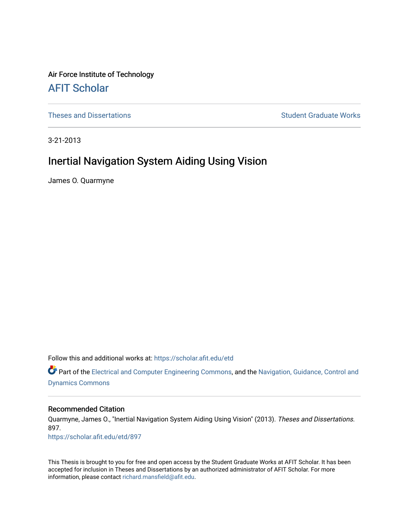Air Force Institute of Technology [AFIT Scholar](https://scholar.afit.edu/) 

[Theses and Dissertations](https://scholar.afit.edu/etd) **Student Graduate Works** Student Graduate Works

3-21-2013

# Inertial Navigation System Aiding Using Vision

James O. Quarmyne

Follow this and additional works at: [https://scholar.afit.edu/etd](https://scholar.afit.edu/etd?utm_source=scholar.afit.edu%2Fetd%2F897&utm_medium=PDF&utm_campaign=PDFCoverPages) 

**C** Part of the [Electrical and Computer Engineering Commons](http://network.bepress.com/hgg/discipline/266?utm_source=scholar.afit.edu%2Fetd%2F897&utm_medium=PDF&utm_campaign=PDFCoverPages), and the [Navigation, Guidance, Control and](http://network.bepress.com/hgg/discipline/226?utm_source=scholar.afit.edu%2Fetd%2F897&utm_medium=PDF&utm_campaign=PDFCoverPages) [Dynamics Commons](http://network.bepress.com/hgg/discipline/226?utm_source=scholar.afit.edu%2Fetd%2F897&utm_medium=PDF&utm_campaign=PDFCoverPages)

### Recommended Citation

Quarmyne, James O., "Inertial Navigation System Aiding Using Vision" (2013). Theses and Dissertations. 897. [https://scholar.afit.edu/etd/897](https://scholar.afit.edu/etd/897?utm_source=scholar.afit.edu%2Fetd%2F897&utm_medium=PDF&utm_campaign=PDFCoverPages) 

This Thesis is brought to you for free and open access by the Student Graduate Works at AFIT Scholar. It has been accepted for inclusion in Theses and Dissertations by an authorized administrator of AFIT Scholar. For more information, please contact [richard.mansfield@afit.edu](mailto:richard.mansfield@afit.edu).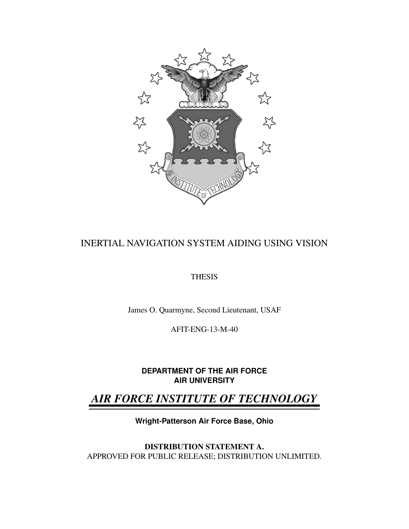

# INERTIAL NAVIGATION SYSTEM AIDING USING VISION

# **THESIS**

James O. Quarmyne, Second Lieutenant, USAF

AFIT-ENG-13-M-40

**DEPARTMENT OF THE AIR FORCE AIR UNIVERSITY**

# *AIR FORCE INSTITUTE OF TECHNOLOGY*

**Wright-Patterson Air Force Base, Ohio**

DISTRIBUTION STATEMENT A. APPROVED FOR PUBLIC RELEASE; DISTRIBUTION UNLIMITED.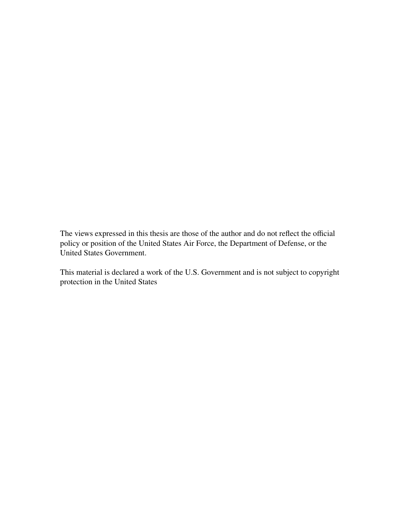The views expressed in this thesis are those of the author and do not reflect the official policy or position of the United States Air Force, the Department of Defense, or the United States Government.

This material is declared a work of the U.S. Government and is not subject to copyright protection in the United States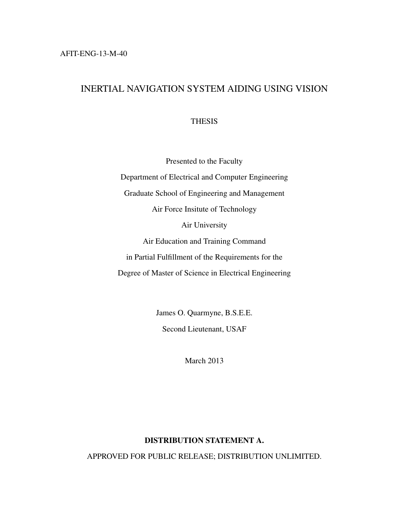# INERTIAL NAVIGATION SYSTEM AIDING USING VISION

**THESIS** 

Presented to the Faculty Department of Electrical and Computer Engineering Graduate School of Engineering and Management Air Force Insitute of Technology Air University Air Education and Training Command in Partial Fulfillment of the Requirements for the Degree of Master of Science in Electrical Engineering

> James O. Quarmyne, B.S.E.E. Second Lieutenant, USAF

> > March 2013

# DISTRIBUTION STATEMENT A.

APPROVED FOR PUBLIC RELEASE; DISTRIBUTION UNLIMITED.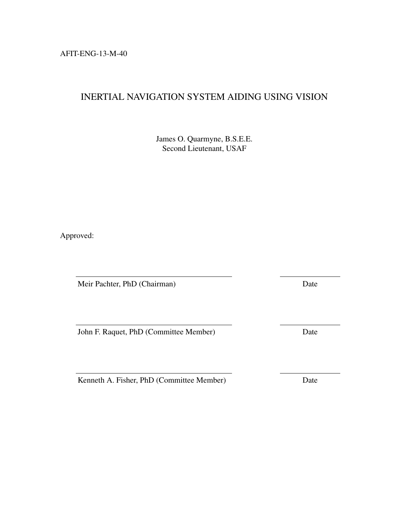AFIT-ENG-13-M-40

# INERTIAL NAVIGATION SYSTEM AIDING USING VISION

James O. Quarmyne, B.S.E.E. Second Lieutenant, USAF

Approved:

Meir Pachter, PhD (Chairman) Date

John F. Raquet, PhD (Committee Member) Date

Kenneth A. Fisher, PhD (Committee Member) Date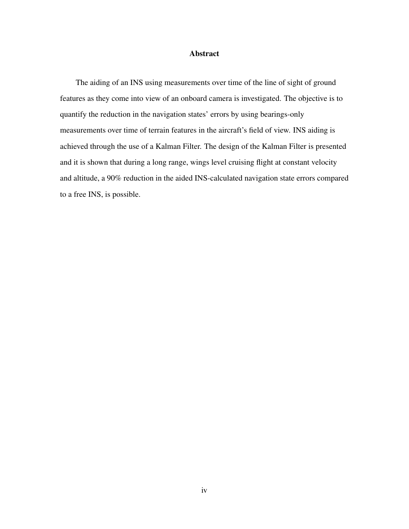### Abstract

The aiding of an INS using measurements over time of the line of sight of ground features as they come into view of an onboard camera is investigated. The objective is to quantify the reduction in the navigation states' errors by using bearings-only measurements over time of terrain features in the aircraft's field of view. INS aiding is achieved through the use of a Kalman Filter. The design of the Kalman Filter is presented and it is shown that during a long range, wings level cruising flight at constant velocity and altitude, a 90% reduction in the aided INS-calculated navigation state errors compared to a free INS, is possible.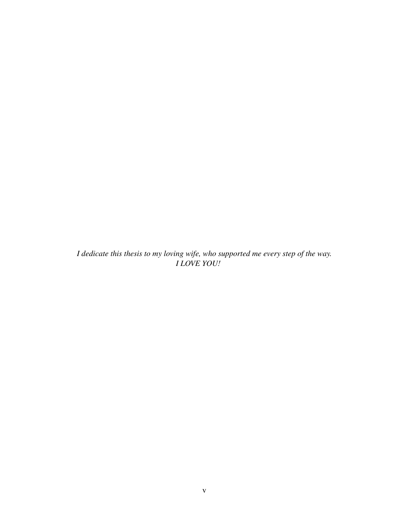*I dedicate this thesis to my loving wife, who supported me every step of the way. I LOVE YOU!*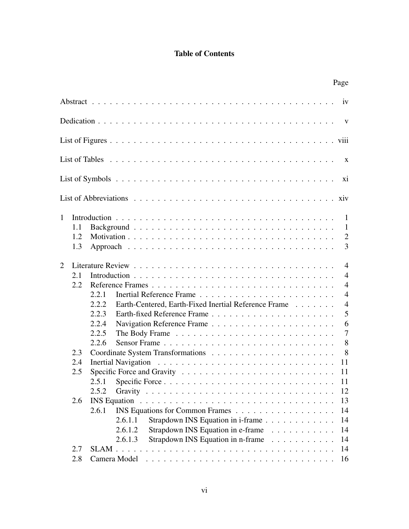# Table of Contents

|   |     |                                                                                             | Page           |
|---|-----|---------------------------------------------------------------------------------------------|----------------|
|   |     |                                                                                             | iv             |
|   |     |                                                                                             | $\mathbf{V}$   |
|   |     |                                                                                             |                |
|   |     |                                                                                             | $\mathbf{X}$   |
|   |     |                                                                                             | X <sub>i</sub> |
|   |     |                                                                                             |                |
| 1 |     |                                                                                             | -1             |
|   | 1.1 |                                                                                             | 1              |
|   | 1.2 |                                                                                             | $\overline{2}$ |
|   | 1.3 |                                                                                             | 3              |
| 2 |     |                                                                                             | $\overline{4}$ |
|   | 2.1 |                                                                                             | $\overline{4}$ |
|   | 2.2 | Reference Frames                                                                            | $\overline{4}$ |
|   |     | 2.2.1                                                                                       | $\overline{4}$ |
|   |     | 2.2.2<br>Earth-Centered, Earth-Fixed Inertial Reference Frame                               | $\overline{4}$ |
|   |     | 2.2.3                                                                                       | 5              |
|   |     | 2.2.4                                                                                       | 6              |
|   |     | 2.2.5                                                                                       | $\overline{7}$ |
|   |     | 2.2.6<br>Sensor Frame                                                                       | 8              |
|   | 2.3 |                                                                                             | 8              |
|   | 2.4 |                                                                                             | 11             |
|   | 2.5 | Specific Force and Gravity $\ldots \ldots \ldots \ldots \ldots \ldots \ldots \ldots \ldots$ | 11             |
|   |     | 2.5.1                                                                                       | 11             |
|   |     | 2.5.2                                                                                       | 12             |
|   | 2.6 |                                                                                             | 13             |
|   |     | 2.6.1                                                                                       | 14             |
|   |     | Strapdown INS Equation in i-frame<br>2.6.1.1                                                | 14             |
|   |     | Strapdown INS Equation in e-frame<br>2.6.1.2                                                | 14             |
|   |     | Strapdown INS Equation in n-frame<br>2.6.1.3                                                | 14             |
|   | 2.7 |                                                                                             | 14             |
|   | 2.8 |                                                                                             | 16             |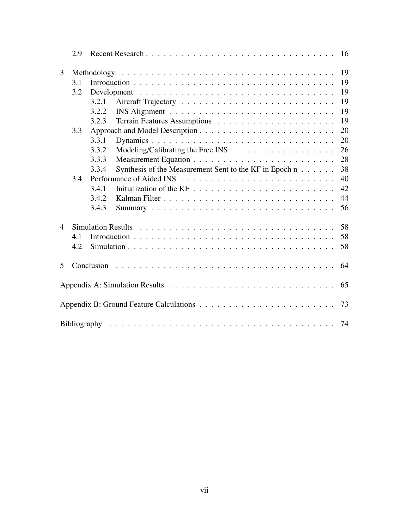|                          | 2.9 |                                                                       |  |
|--------------------------|-----|-----------------------------------------------------------------------|--|
| 3                        |     | 19                                                                    |  |
|                          | 3.1 | 19                                                                    |  |
|                          | 3.2 | 19                                                                    |  |
|                          |     | 19<br>3.2.1                                                           |  |
|                          |     | 19<br>3.2.2                                                           |  |
|                          |     | 19<br>3.2.3                                                           |  |
|                          | 3.3 | 20                                                                    |  |
|                          |     | 3.3.1<br>20                                                           |  |
|                          |     | 3.3.2<br>26                                                           |  |
|                          |     | 28<br>3.3.3                                                           |  |
|                          |     | Synthesis of the Measurement Sent to the KF in Epoch n<br>38<br>3.3.4 |  |
|                          | 3.4 | 40                                                                    |  |
|                          |     | 42<br>3.4.1                                                           |  |
|                          |     | 44<br>3.4.2                                                           |  |
|                          |     | 3.4.3<br>56                                                           |  |
| $\overline{\mathcal{A}}$ |     | 58                                                                    |  |
|                          | 4.1 | 58                                                                    |  |
|                          | 4.2 | 58                                                                    |  |
| 5                        |     | 64<br>Conclusion                                                      |  |
|                          |     |                                                                       |  |
|                          |     | 65                                                                    |  |
|                          |     | 73                                                                    |  |
|                          |     | 74                                                                    |  |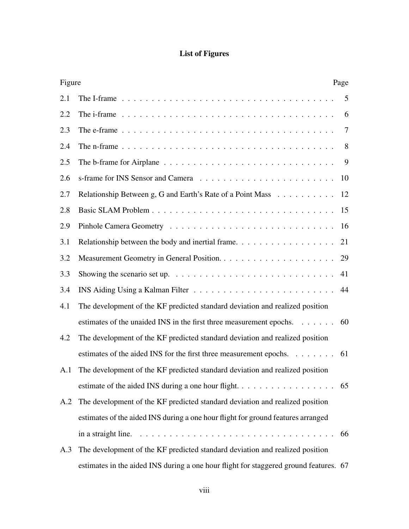# List of Figures

|     | Figure<br>Page                                                                                                   |    |
|-----|------------------------------------------------------------------------------------------------------------------|----|
| 2.1 | The I-frame $\ldots \ldots \ldots \ldots \ldots \ldots \ldots \ldots \ldots \ldots \ldots \ldots \ldots$         | 5  |
| 2.2 | The i-frame $\ldots \ldots \ldots \ldots \ldots \ldots \ldots \ldots \ldots \ldots \ldots \ldots \ldots$         | 6  |
| 2.3 | The e-frame $\ldots \ldots \ldots \ldots \ldots \ldots \ldots \ldots \ldots \ldots \ldots \ldots \ldots$         | 7  |
| 2.4 | The n-frame $\ldots \ldots \ldots \ldots \ldots \ldots \ldots \ldots \ldots \ldots \ldots \ldots \ldots$         | 8  |
| 2.5 | The b-frame for Airplane $\dots \dots \dots \dots \dots \dots \dots \dots \dots \dots \dots$                     | 9  |
| 2.6 |                                                                                                                  | 10 |
| 2.7 | Relationship Between g, G and Earth's Rate of a Point Mass                                                       | 12 |
| 2.8 |                                                                                                                  | 15 |
| 2.9 |                                                                                                                  | 16 |
| 3.1 | Relationship between the body and inertial frame. $\dots \dots \dots \dots \dots \dots$                          | 21 |
| 3.2 |                                                                                                                  | 29 |
| 3.3 | Showing the scenario set up. $\dots \dots \dots \dots \dots \dots \dots \dots \dots \dots \dots$                 | 41 |
| 3.4 |                                                                                                                  | 44 |
| 4.1 | The development of the KF predicted standard deviation and realized position                                     |    |
|     | estimates of the unaided INS in the first three measurement epochs. 60                                           |    |
| 4.2 | The development of the KF predicted standard deviation and realized position                                     |    |
|     | estimates of the aided INS for the first three measurement epochs. 61                                            |    |
| A.1 | The development of the KF predicted standard deviation and realized position                                     |    |
|     |                                                                                                                  |    |
| A.2 | The development of the KF predicted standard deviation and realized position                                     |    |
|     | estimates of the aided INS during a one hour flight for ground features arranged                                 |    |
|     | in a straight line. $\ldots \ldots \ldots \ldots \ldots \ldots \ldots \ldots \ldots \ldots \ldots \ldots \ldots$ |    |
| A.3 | The development of the KF predicted standard deviation and realized position                                     |    |
|     | estimates in the aided INS during a one hour flight for staggered ground features. 67                            |    |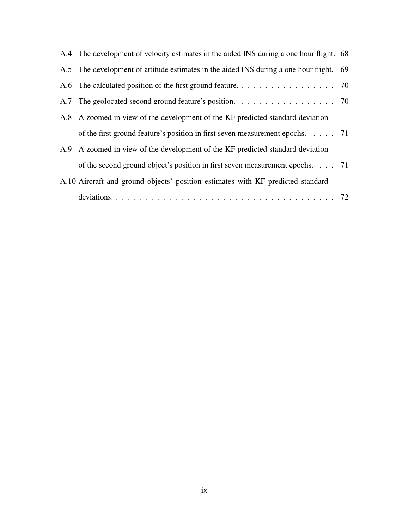| A.4 The development of velocity estimates in the aided INS during a one hour flight. 68 |  |
|-----------------------------------------------------------------------------------------|--|
| A.5 The development of attitude estimates in the aided INS during a one hour flight. 69 |  |
| A.6 The calculated position of the first ground feature. 70                             |  |
| A.7 The geolocated second ground feature's position. 70                                 |  |
| A.8 A zoomed in view of the development of the KF predicted standard deviation          |  |
| of the first ground feature's position in first seven measurement epochs. $\ldots$ . 71 |  |
| A.9 A zoomed in view of the development of the KF predicted standard deviation          |  |
| of the second ground object's position in first seven measurement epochs. 71            |  |
| A.10 Aircraft and ground objects' position estimates with KF predicted standard         |  |
|                                                                                         |  |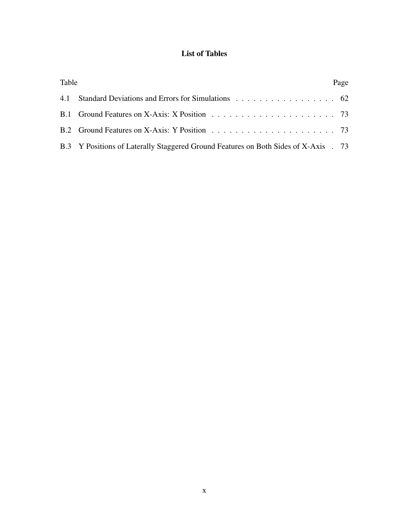# List of Tables

| Table |                                                                                     | Page |
|-------|-------------------------------------------------------------------------------------|------|
|       |                                                                                     |      |
|       |                                                                                     |      |
|       |                                                                                     |      |
|       | B.3 Y Positions of Laterally Staggered Ground Features on Both Sides of X-Axis . 73 |      |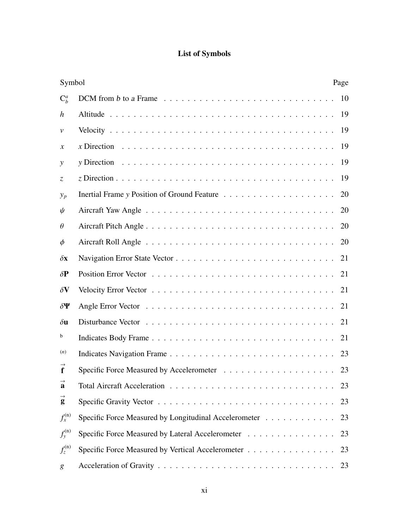# List of Symbols

|                     | Symbol                                                                                                   |    |
|---------------------|----------------------------------------------------------------------------------------------------------|----|
| $C_h^a$             |                                                                                                          | 10 |
| h                   |                                                                                                          | 19 |
| $\mathcal V$        |                                                                                                          | 19 |
| $\mathcal{X}$       | x Direction $\ldots \ldots \ldots \ldots \ldots \ldots \ldots \ldots \ldots \ldots \ldots \ldots \ldots$ | 19 |
| y                   | y Direction $\ldots \ldots \ldots \ldots \ldots \ldots \ldots \ldots \ldots \ldots \ldots \ldots \ldots$ | 19 |
| Z.                  |                                                                                                          | 19 |
| $y_p$               |                                                                                                          | 20 |
| $\psi$              |                                                                                                          | 20 |
| $\theta$            |                                                                                                          | 20 |
| $\phi$              |                                                                                                          | 20 |
| $\delta x$          |                                                                                                          | 21 |
| $\delta \mathbf{P}$ |                                                                                                          | 21 |
| $\delta V$          |                                                                                                          | 21 |
| $\delta \Psi$       |                                                                                                          | 21 |
| $\delta$ u          |                                                                                                          | 21 |
| b                   |                                                                                                          | 21 |
| (n)                 |                                                                                                          | 23 |
| $\mathbf f$         |                                                                                                          |    |
| a                   |                                                                                                          | 23 |
| $\vec{g}$           |                                                                                                          | 23 |
| $f_x^{(n)}$         | Specific Force Measured by Longitudinal Accelerometer                                                    | 23 |
| $f_{y}^{(n)}$       | Specific Force Measured by Lateral Accelerometer                                                         | 23 |
| $f_z^{(n)}$         | Specific Force Measured by Vertical Accelerometer                                                        | 23 |
| $\mathcal{S}_{0}$   |                                                                                                          | 23 |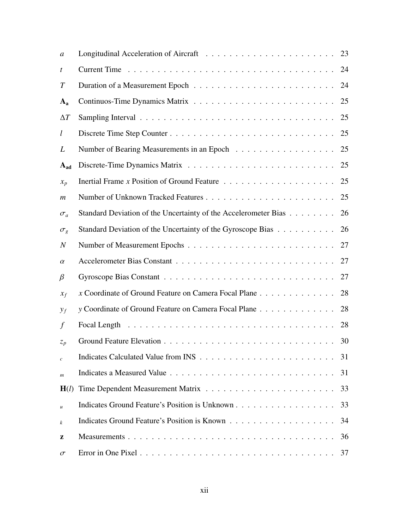| a                |                                                                                         | 23 |
|------------------|-----------------------------------------------------------------------------------------|----|
| t                |                                                                                         | 24 |
| $\, T \,$        |                                                                                         | 24 |
| $A_{a}$          |                                                                                         | 25 |
| $\Delta T$       |                                                                                         | 25 |
| l                |                                                                                         | 25 |
| L                |                                                                                         | 25 |
| $A_{ad}$         |                                                                                         | 25 |
| $x_p$            | Inertial Frame x Position of Ground Feature $\dots \dots \dots \dots \dots \dots \dots$ | 25 |
| $\boldsymbol{m}$ |                                                                                         | 25 |
| $\sigma_a$       | Standard Deviation of the Uncertainty of the Accelerometer Bias                         | 26 |
| $\sigma_g$       | Standard Deviation of the Uncertainty of the Gyroscope Bias                             | 26 |
| $\boldsymbol{N}$ |                                                                                         | 27 |
| $\alpha$         |                                                                                         | 27 |
| $\beta$          |                                                                                         | 27 |
| $x_f$            | x Coordinate of Ground Feature on Camera Focal Plane                                    | 28 |
| $y_f$            | y Coordinate of Ground Feature on Camera Focal Plane                                    | 28 |
| $\int$           |                                                                                         | 28 |
| $z_p$            |                                                                                         | 30 |
| $\mathcal{C}$    |                                                                                         | 31 |
| $\boldsymbol{m}$ |                                                                                         | 31 |
| H(l)             |                                                                                         | 33 |
| $\boldsymbol{u}$ |                                                                                         | 33 |
| k                |                                                                                         | 34 |
| z                |                                                                                         | 36 |
| $\sigma$         |                                                                                         | 37 |
|                  |                                                                                         |    |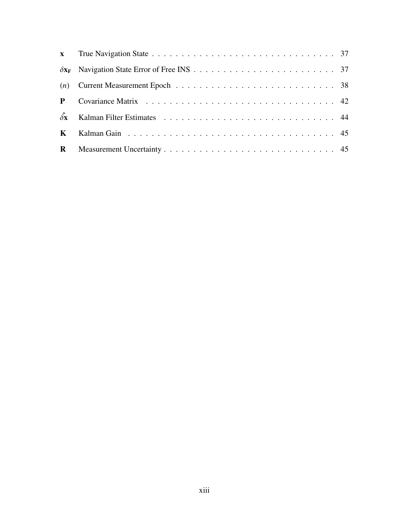| P                        |  |
|--------------------------|--|
| $\delta\hat{\mathbf{x}}$ |  |
| $\mathbf{K}$             |  |
| $\mathbf{R}$             |  |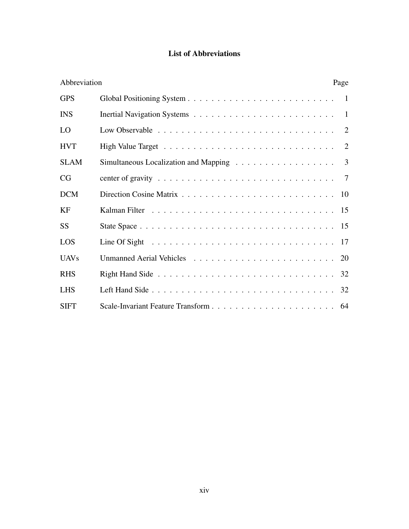# List of Abbreviations

| Abbreviation |                                                                                                 | Page |
|--------------|-------------------------------------------------------------------------------------------------|------|
| <b>GPS</b>   |                                                                                                 | -1   |
| <b>INS</b>   |                                                                                                 | -1   |
| LO           |                                                                                                 | 2    |
| <b>HVT</b>   |                                                                                                 | 2    |
| <b>SLAM</b>  | Simultaneous Localization and Mapping $\ldots \ldots \ldots \ldots \ldots$                      | 3    |
| CG           | center of gravity $\ldots \ldots \ldots \ldots \ldots \ldots \ldots \ldots \ldots \ldots$       | -7   |
| <b>DCM</b>   |                                                                                                 | 10   |
| KF           |                                                                                                 |      |
| <b>SS</b>    |                                                                                                 |      |
| LOS          | Line Of Sight $\ldots \ldots \ldots \ldots \ldots \ldots \ldots \ldots \ldots \ldots \ldots 17$ |      |
| <b>UAVs</b>  |                                                                                                 |      |
| <b>RHS</b>   |                                                                                                 |      |
| <b>LHS</b>   |                                                                                                 |      |
| <b>SIFT</b>  |                                                                                                 |      |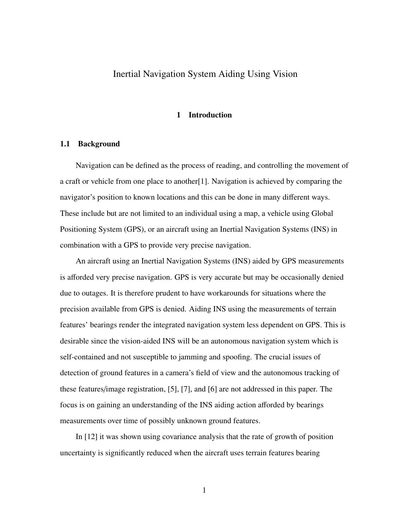# Inertial Navigation System Aiding Using Vision

## 1 Introduction

#### 1.1 Background

Navigation can be defined as the process of reading, and controlling the movement of a craft or vehicle from one place to another[1]. Navigation is achieved by comparing the navigator's position to known locations and this can be done in many different ways. These include but are not limited to an individual using a map, a vehicle using Global Positioning System (GPS), or an aircraft using an Inertial Navigation Systems (INS) in combination with a GPS to provide very precise navigation.

An aircraft using an Inertial Navigation Systems (INS) aided by GPS measurements is afforded very precise navigation. GPS is very accurate but may be occasionally denied due to outages. It is therefore prudent to have workarounds for situations where the precision available from GPS is denied. Aiding INS using the measurements of terrain features' bearings render the integrated navigation system less dependent on GPS. This is desirable since the vision-aided INS will be an autonomous navigation system which is self-contained and not susceptible to jamming and spoofing. The crucial issues of detection of ground features in a camera's field of view and the autonomous tracking of these features/image registration, [5], [7], and [6] are not addressed in this paper. The focus is on gaining an understanding of the INS aiding action afforded by bearings measurements over time of possibly unknown ground features.

In [12] it was shown using covariance analysis that the rate of growth of position uncertainty is significantly reduced when the aircraft uses terrain features bearing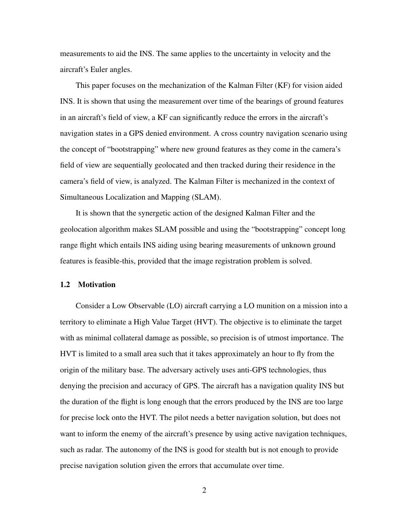measurements to aid the INS. The same applies to the uncertainty in velocity and the aircraft's Euler angles.

This paper focuses on the mechanization of the Kalman Filter (KF) for vision aided INS. It is shown that using the measurement over time of the bearings of ground features in an aircraft's field of view, a KF can significantly reduce the errors in the aircraft's navigation states in a GPS denied environment. A cross country navigation scenario using the concept of "bootstrapping" where new ground features as they come in the camera's field of view are sequentially geolocated and then tracked during their residence in the camera's field of view, is analyzed. The Kalman Filter is mechanized in the context of Simultaneous Localization and Mapping (SLAM).

It is shown that the synergetic action of the designed Kalman Filter and the geolocation algorithm makes SLAM possible and using the "bootstrapping" concept long range flight which entails INS aiding using bearing measurements of unknown ground features is feasible-this, provided that the image registration problem is solved.

### 1.2 Motivation

Consider a Low Observable (LO) aircraft carrying a LO munition on a mission into a territory to eliminate a High Value Target (HVT). The objective is to eliminate the target with as minimal collateral damage as possible, so precision is of utmost importance. The HVT is limited to a small area such that it takes approximately an hour to fly from the origin of the military base. The adversary actively uses anti-GPS technologies, thus denying the precision and accuracy of GPS. The aircraft has a navigation quality INS but the duration of the flight is long enough that the errors produced by the INS are too large for precise lock onto the HVT. The pilot needs a better navigation solution, but does not want to inform the enemy of the aircraft's presence by using active navigation techniques, such as radar. The autonomy of the INS is good for stealth but is not enough to provide precise navigation solution given the errors that accumulate over time.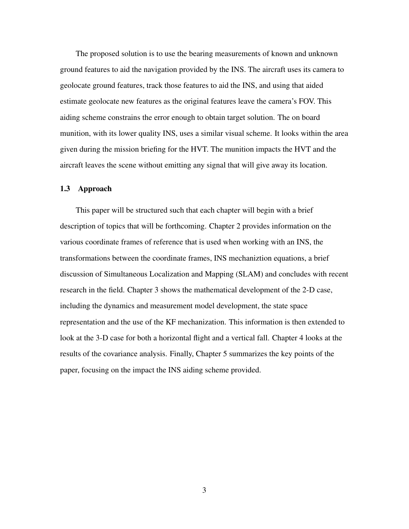The proposed solution is to use the bearing measurements of known and unknown ground features to aid the navigation provided by the INS. The aircraft uses its camera to geolocate ground features, track those features to aid the INS, and using that aided estimate geolocate new features as the original features leave the camera's FOV. This aiding scheme constrains the error enough to obtain target solution. The on board munition, with its lower quality INS, uses a similar visual scheme. It looks within the area given during the mission briefing for the HVT. The munition impacts the HVT and the aircraft leaves the scene without emitting any signal that will give away its location.

# 1.3 Approach

This paper will be structured such that each chapter will begin with a brief description of topics that will be forthcoming. Chapter 2 provides information on the various coordinate frames of reference that is used when working with an INS, the transformations between the coordinate frames, INS mechaniztion equations, a brief discussion of Simultaneous Localization and Mapping (SLAM) and concludes with recent research in the field. Chapter 3 shows the mathematical development of the 2-D case, including the dynamics and measurement model development, the state space representation and the use of the KF mechanization. This information is then extended to look at the 3-D case for both a horizontal flight and a vertical fall. Chapter 4 looks at the results of the covariance analysis. Finally, Chapter 5 summarizes the key points of the paper, focusing on the impact the INS aiding scheme provided.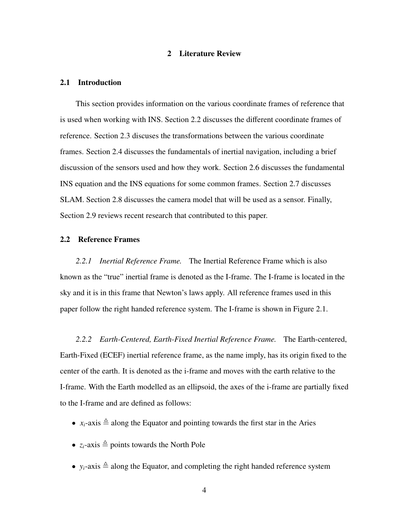## 2 Literature Review

#### 2.1 Introduction

This section provides information on the various coordinate frames of reference that is used when working with INS. Section 2.2 discusses the different coordinate frames of reference. Section 2.3 discuses the transformations between the various coordinate frames. Section 2.4 discusses the fundamentals of inertial navigation, including a brief discussion of the sensors used and how they work. Section 2.6 discusses the fundamental INS equation and the INS equations for some common frames. Section 2.7 discusses SLAM. Section 2.8 discusses the camera model that will be used as a sensor. Finally, Section 2.9 reviews recent research that contributed to this paper.

# 2.2 Reference Frames

*2.2.1 Inertial Reference Frame.* The Inertial Reference Frame which is also known as the "true" inertial frame is denoted as the I-frame. The I-frame is located in the sky and it is in this frame that Newton's laws apply. All reference frames used in this paper follow the right handed reference system. The I-frame is shown in Figure 2.1.

*2.2.2 Earth-Centered, Earth-Fixed Inertial Reference Frame.* The Earth-centered, Earth-Fixed (ECEF) inertial reference frame, as the name imply, has its origin fixed to the center of the earth. It is denoted as the i-frame and moves with the earth relative to the I-frame. With the Earth modelled as an ellipsoid, the axes of the i-frame are partially fixed to the I-frame and are defined as follows:

- $x_i$ -axis  $\triangleq$  along the Equator and pointing towards the first star in the Aries
- $z_i$ -axis  $\triangleq$  points towards the North Pole
- $y_i$ -axis  $\triangleq$  along the Equator, and completing the right handed reference system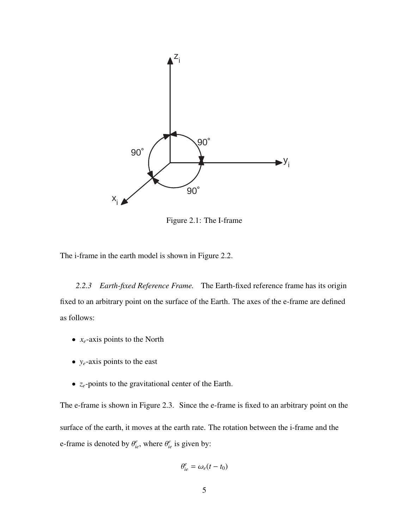

Figure 2.1: The I-frame

The i-frame in the earth model is shown in Figure 2.2.

*2.2.3 Earth-fixed Reference Frame.* The Earth-fixed reference frame has its origin fixed to an arbitrary point on the surface of the Earth. The axes of the e-frame are defined as follows:

- $x_e$ -axis points to the North
- *ye*-axis points to the east
- *ze*-points to the gravitational center of the Earth.

The e-frame is shown in Figure 2.3. Since the e-frame is fixed to an arbitrary point on the surface of the earth, it moves at the earth rate. The rotation between the i-frame and the e-frame is denoted by  $\theta_{ie}^e$ , where  $\theta_{ie}^e$  is given by:

$$
\theta_{ie}^e = \omega_e(t - t_0)
$$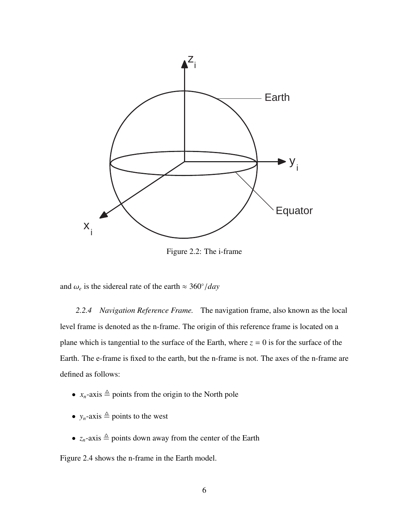

Figure 2.2: The i-frame

and  $\omega_e$  is the sidereal rate of the earth  $\approx 360^\circ / day$ 

*2.2.4 Navigation Reference Frame.* The navigation frame, also known as the local level frame is denoted as the n-frame. The origin of this reference frame is located on a plane which is tangential to the surface of the Earth, where  $z = 0$  is for the surface of the Earth. The e-frame is fixed to the earth, but the n-frame is not. The axes of the n-frame are defined as follows:

- $x_n$ -axis  $\triangleq$  points from the origin to the North pole
- $y_n$ -axis  $\triangleq$  points to the west
- $z_n$ -axis  $\triangleq$  points down away from the center of the Earth

Figure 2.4 shows the n-frame in the Earth model.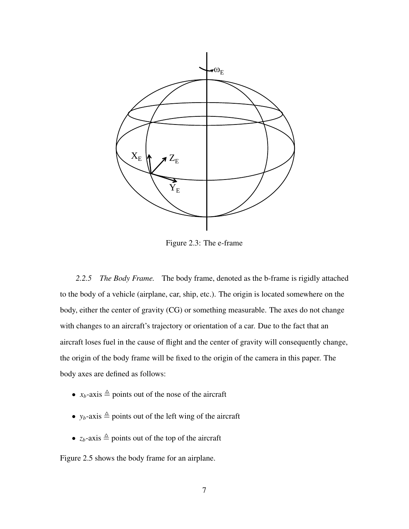

Figure 2.3: The e-frame

*2.2.5 The Body Frame.* The body frame, denoted as the b-frame is rigidly attached to the body of a vehicle (airplane, car, ship, etc.). The origin is located somewhere on the body, either the center of gravity (CG) or something measurable. The axes do not change with changes to an aircraft's trajectory or orientation of a car. Due to the fact that an aircraft loses fuel in the cause of flight and the center of gravity will consequently change, the origin of the body frame will be fixed to the origin of the camera in this paper. The body axes are defined as follows:

- $x_b$ -axis  $\triangleq$  points out of the nose of the aircraft
- $y_b$ -axis  $\triangleq$  points out of the left wing of the aircraft
- $z_b$ -axis  $\triangleq$  points out of the top of the aircraft

Figure 2.5 shows the body frame for an airplane.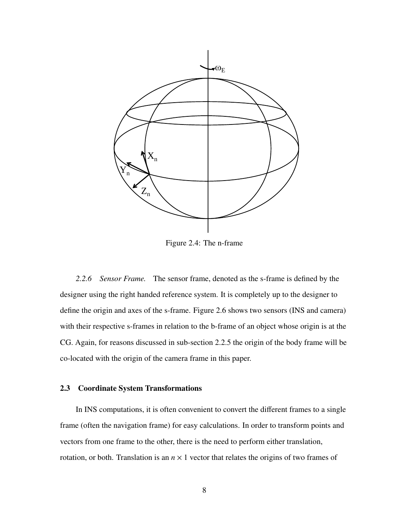

Figure 2.4: The n-frame

*2.2.6 Sensor Frame.* The sensor frame, denoted as the s-frame is defined by the designer using the right handed reference system. It is completely up to the designer to define the origin and axes of the s-frame. Figure 2.6 shows two sensors (INS and camera) with their respective s-frames in relation to the b-frame of an object whose origin is at the CG. Again, for reasons discussed in sub-section 2.2.5 the origin of the body frame will be co-located with the origin of the camera frame in this paper.

### 2.3 Coordinate System Transformations

In INS computations, it is often convenient to convert the different frames to a single frame (often the navigation frame) for easy calculations. In order to transform points and vectors from one frame to the other, there is the need to perform either translation, rotation, or both. Translation is an  $n \times 1$  vector that relates the origins of two frames of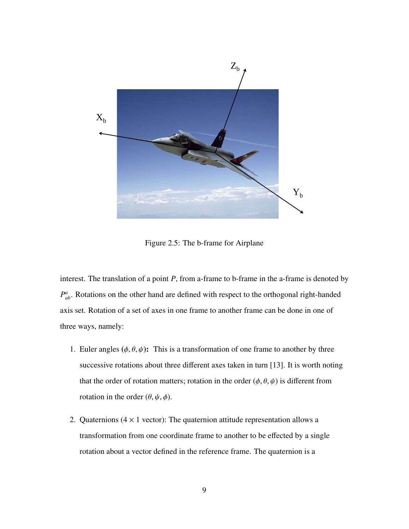

Figure 2.5: The b-frame for Airplane

interest. The translation of a point *P*, from a-frame to b-frame in the a-frame is denoted by  $P_{ab}^a$ . Rotations on the other hand are defined with respect to the orthogonal right-handed axis set. Rotation of a set of axes in one frame to another frame can be done in one of three ways, namely:

- 1. Euler angles  $(\phi, \theta, \psi)$ : This is a transformation of one frame to another by three successive rotations about three different axes taken in turn [13]. It is worth noting that the order of rotation matters; rotation in the order  $(\phi, \theta, \psi)$  is different from rotation in the order  $(\theta, \psi, \phi)$ .
- 2. Quaternions  $(4 \times 1 \text{ vector})$ : The quaternion attitude representation allows a transformation from one coordinate frame to another to be effected by a single rotation about a vector defined in the reference frame. The quaternion is a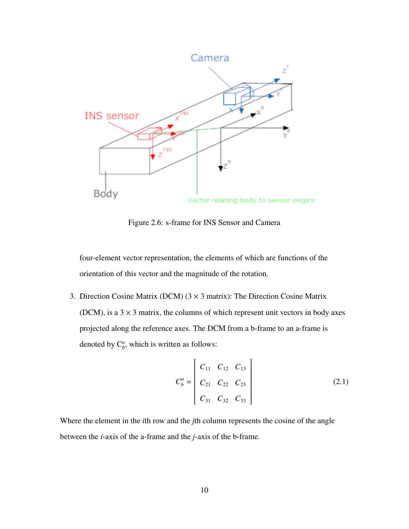

Figure 2.6: s-frame for INS Sensor and Camera

four-element vector representation, the elements of which are functions of the orientation of this vector and the magnitude of the rotation.

3. Direction Cosine Matrix (DCM)  $(3 \times 3 \text{ matrix})$ : The Direction Cosine Matrix (DCM), is a  $3 \times 3$  matrix, the columns of which represent unit vectors in body axes projected along the reference axes. The DCM from a b-frame to an a-frame is denoted by  $C^a_b$ , which is written as follows:

$$
C_b^a = \begin{bmatrix} C_{11} & C_{12} & C_{13} \\ C_{21} & C_{22} & C_{23} \\ C_{31} & C_{32} & C_{33} \end{bmatrix}
$$
 (2.1)

Where the element in the *i*th row and the *j*th column represents the cosine of the angle between the *i*-axis of the a-frame and the *j*-axis of the b-frame.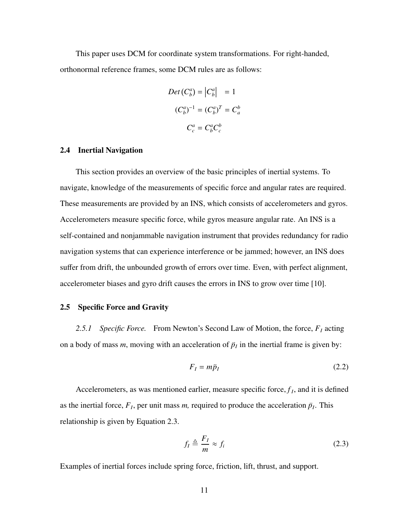This paper uses DCM for coordinate system transformations. For right-handed, orthonormal reference frames, some DCM rules are as follows:

$$
Det (C_b^a) = |C_b^a| = 1
$$
  

$$
(C_b^a)^{-1} = (C_b^a)^T = C_a^b
$$
  

$$
C_c^a = C_b^a C_c^b
$$

### 2.4 Inertial Navigation

This section provides an overview of the basic principles of inertial systems. To navigate, knowledge of the measurements of specific force and angular rates are required. These measurements are provided by an INS, which consists of accelerometers and gyros. Accelerometers measure specific force, while gyros measure angular rate. An INS is a self-contained and nonjammable navigation instrument that provides redundancy for radio navigation systems that can experience interference or be jammed; however, an INS does suffer from drift, the unbounded growth of errors over time. Even, with perfect alignment, accelerometer biases and gyro drift causes the errors in INS to grow over time [10].

# 2.5 Specific Force and Gravity

*2.5.1 Specific Force.* From Newton's Second Law of Motion, the force, *F<sup>I</sup>* acting on a body of mass  $m$ , moving with an acceleration of  $\ddot{p}_I$  in the inertial frame is given by:

$$
F_I = m\ddot{p}_I \tag{2.2}
$$

Accelerometers, as was mentioned earlier, measure specific force,  $f_I$ , and it is defined as the inertial force,  $F_I$ , per unit mass *m*, required to produce the acceleration  $\ddot{p}_I$ . This relationship is given by Equation 2.3.

$$
f_I \triangleq \frac{F_I}{m} \approx f_i \tag{2.3}
$$

Examples of inertial forces include spring force, friction, lift, thrust, and support.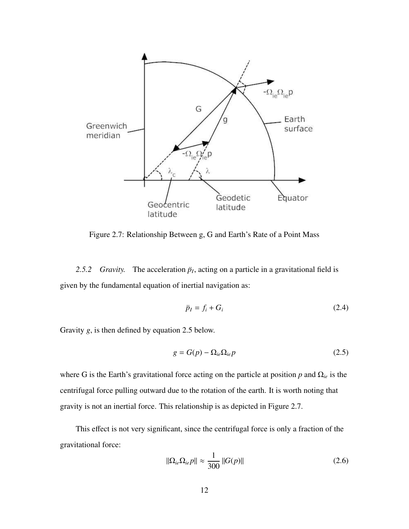

Figure 2.7: Relationship Between g, G and Earth's Rate of a Point Mass

2.5.2 *Gravity*. The acceleration  $\ddot{p}_I$ , acting on a particle in a gravitational field is given by the fundamental equation of inertial navigation as:

$$
\ddot{p}_I = f_i + G_i \tag{2.4}
$$

Gravity *g*, is then defined by equation 2.5 below.

$$
g = G(p) - \Omega_{ie}\Omega_{ie}p \tag{2.5}
$$

where G is the Earth's gravitational force acting on the particle at position *p* and Ω*ie* is the centrifugal force pulling outward due to the rotation of the earth. It is worth noting that gravity is not an inertial force. This relationship is as depicted in Figure 2.7.

This effect is not very significant, since the centrifugal force is only a fraction of the gravitational force:

$$
\|\Omega_{ie}\Omega_{ie}p\| \approx \frac{1}{300} \|G(p)\|
$$
\n(2.6)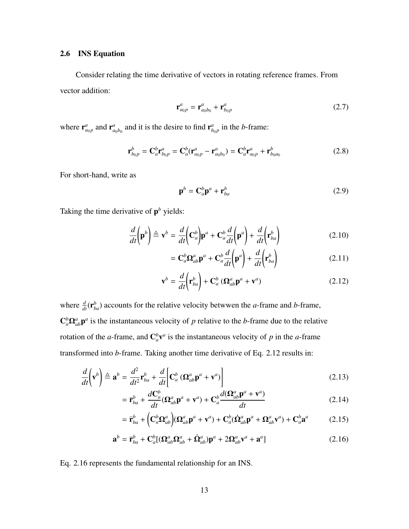### 2.6 INS Equation

Consider relating the time derivative of vectors in rotating reference frames. From vector addition:

$$
\mathbf{r}_{a_0p}^a = \mathbf{r}_{a_0b_0}^a + \mathbf{r}_{b_0p}^a \tag{2.7}
$$

where  $\mathbf{r}_{a_0 p}^a$  and  $\mathbf{r}_a^a$  $a_{a_0b_0}$  and it is the desire to find  $\mathbf{r}_b^a$  $_{b_0 p}^a$  in the *b*-frame:

$$
\mathbf{r}_{b_{0}p}^{b} = \mathbf{C}_{a}^{b} \mathbf{r}_{b_{0}p}^{a} = \mathbf{C}_{a}^{b} (\mathbf{r}_{a_{0}p}^{a} - \mathbf{r}_{a_{0}b_{0}}^{a}) = \mathbf{C}_{a}^{b} \mathbf{r}_{a_{0}p}^{a} + \mathbf{r}_{b_{0}a_{0}}^{b}
$$
(2.8)

For short-hand, write as

$$
\mathbf{p}^b = \mathbf{C}_a^b \mathbf{p}^a + \mathbf{r}_{ba}^b \tag{2.9}
$$

Taking the time derivative of p *<sup>b</sup>* yields:

$$
\frac{d}{dt}\left(\mathbf{p}^b\right) \triangleq \mathbf{v}^b = \frac{d}{dt}\left(\mathbf{C}_a^b\right)\mathbf{p}^a + \mathbf{C}_a^b \frac{d}{dt}\left(\mathbf{p}^a\right) + \frac{d}{dt}\left(\mathbf{r}_{ba}^b\right) \tag{2.10}
$$

$$
= \mathbf{C}_{a}^{b} \mathbf{\Omega}_{ab}^{a} \mathbf{p}^{a} + \mathbf{C}_{a}^{b} \frac{d}{dt} \left( \mathbf{p}^{a} \right) + \frac{d}{dt} \left( \mathbf{r}_{ba}^{b} \right)
$$
 (2.11)

$$
\mathbf{v}^{b} = \frac{d}{dt} \left( \mathbf{r}_{ba}^{b} \right) + \mathbf{C}_{a}^{b} \left( \mathbf{\Omega}_{ab}^{a} \mathbf{p}^{a} + \mathbf{v}^{a} \right)
$$
 (2.12)

where  $\frac{d}{dt}(\mathbf{r}_{ba}^b)$  accounts for the relative velocity betwwen the *a*-frame and *b*-frame,  $C_a^b \Omega_{ab}^a p^a$  is the instantaneous velocity of *p* relative to the *b*-frame due to the relative rotation of the *a*-frame, and  $\mathbb{C}_a^b \mathbf{v}^a$  is the instantaneous velocity of *p* in the *a*-frame transformed into *b*-frame. Taking another time derivative of Eq. 2.12 results in:

$$
\frac{d}{dt}\left(\mathbf{v}^{b}\right) \triangleq \mathbf{a}^{b} = \frac{d^{2}}{dt^{2}}\mathbf{r}_{ba}^{b} + \frac{d}{dt}\left[\mathbf{C}_{a}^{b}\left(\mathbf{\Omega}_{ab}^{a}\mathbf{p}^{a} + \mathbf{v}^{a}\right)\right]
$$
\n(2.13)

$$
= \ddot{\mathbf{r}}_{ba}^b + \frac{d\mathbf{C}_a^b}{dt} (\mathbf{\Omega}_{ab}^a \mathbf{p}^a + \mathbf{v}^a) + \mathbf{C}_a^b \frac{d(\mathbf{\Omega}_{ab}^a \mathbf{p}^a + \mathbf{v}^a)}{dt}
$$
(2.14)

$$
= \ddot{\mathbf{r}}_{ba}^b + \left(\mathbf{C}_a^b \mathbf{\Omega}_{ab}^a \right) (\mathbf{\Omega}_{ab}^a \mathbf{p}^a + \mathbf{v}^a) + \mathbf{C}_a^b (\dot{\mathbf{\Omega}}_{ab}^a \mathbf{p}^a + \mathbf{\Omega}_{ab}^a \mathbf{v}^a) + \mathbf{C}_a^b \mathbf{a}^a \tag{2.15}
$$

$$
\mathbf{a}^b = \ddot{\mathbf{r}}_{ba}^b + \mathbf{C}_a^b [(\mathbf{\Omega}_{ab}^a \mathbf{\Omega}_{ab}^a + \dot{\mathbf{\Omega}}_{ab}^a) \mathbf{p}^a + 2\mathbf{\Omega}_{ab}^a \mathbf{v}^a + \mathbf{a}^a]
$$
(2.16)

Eq. 2.16 represents the fundamental relationship for an INS.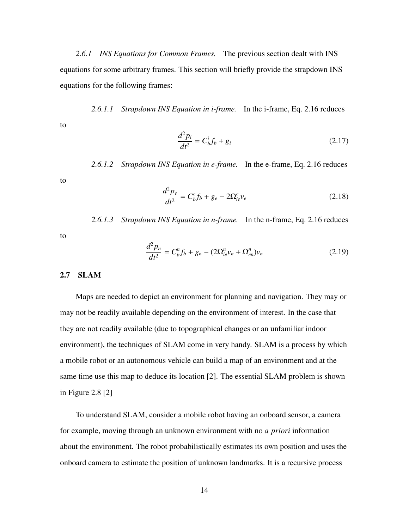*2.6.1 INS Equations for Common Frames.* The previous section dealt with INS equations for some arbitrary frames. This section will briefly provide the strapdown INS equations for the following frames:

*2.6.1.1 Strapdown INS Equation in i-frame.* In the i-frame, Eq. 2.16 reduces

$$
\frac{d^2 p_i}{dt^2} = C_b^i f_b + g_i \tag{2.17}
$$

*2.6.1.2 Strapdown INS Equation in e-frame.* In the e-frame, Eq. 2.16 reduces

$$
\frac{d^2 p_e}{dt^2} = C_b^e f_b + g_e - 2\Omega_{ie}^e v_e
$$
 (2.18)

*2.6.1.3 Strapdown INS Equation in n-frame.* In the n-frame, Eq. 2.16 reduces

$$
\frac{d^2 p_n}{dt^2} = C_b^n f_b + g_n - (2\Omega_{ie}^n v_n + \Omega_{en}^n) v_n \tag{2.19}
$$

## 2.7 SLAM

to

to

to

Maps are needed to depict an environment for planning and navigation. They may or may not be readily available depending on the environment of interest. In the case that they are not readily available (due to topographical changes or an unfamiliar indoor environment), the techniques of SLAM come in very handy. SLAM is a process by which a mobile robot or an autonomous vehicle can build a map of an environment and at the same time use this map to deduce its location [2]. The essential SLAM problem is shown in Figure 2.8 [2]

To understand SLAM, consider a mobile robot having an onboard sensor, a camera for example, moving through an unknown environment with no *a priori* information about the environment. The robot probabilistically estimates its own position and uses the onboard camera to estimate the position of unknown landmarks. It is a recursive process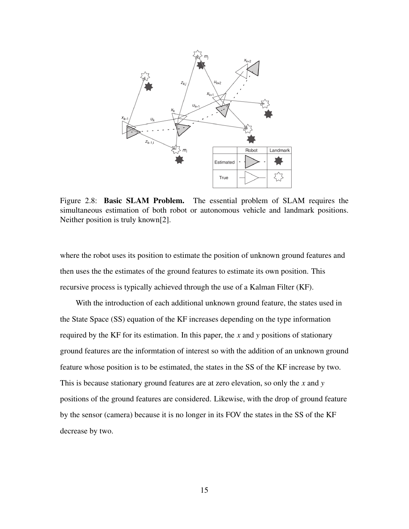

Figure 2.8: **Basic SLAM Problem.** The essential problem of SLAM requires the simultaneous estimation of both robot or autonomous vehicle and landmark positions. Neither position is truly known[2].

where the robot uses its position to estimate the position of unknown ground features and then uses the the estimates of the ground features to estimate its own position. This recursive process is typically achieved through the use of a Kalman Filter (KF).

With the introduction of each additional unknown ground feature, the states used in the State Space (SS) equation of the KF increases depending on the type information required by the KF for its estimation. In this paper, the *x* and *y* positions of stationary ground features are the informtation of interest so with the addition of an unknown ground feature whose position is to be estimated, the states in the SS of the KF increase by two. This is because stationary ground features are at zero elevation, so only the *x* and *y* positions of the ground features are considered. Likewise, with the drop of ground feature by the sensor (camera) because it is no longer in its FOV the states in the SS of the KF decrease by two.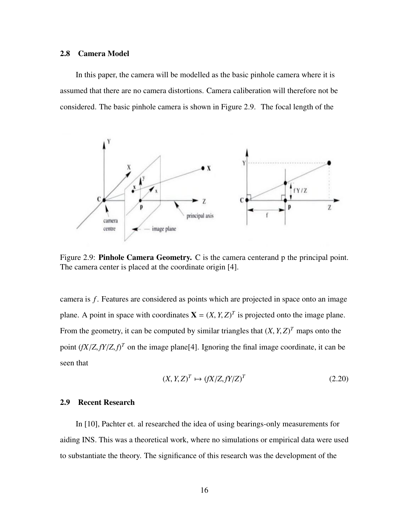### 2.8 Camera Model

In this paper, the camera will be modelled as the basic pinhole camera where it is assumed that there are no camera distortions. Camera caliberation will therefore not be considered. The basic pinhole camera is shown in Figure 2.9. The focal length of the



Figure 2.9: **Pinhole Camera Geometry.** C is the camera centerand p the principal point. The camera center is placed at the coordinate origin [4].

camera is *f*. Features are considered as points which are projected in space onto an image plane. A point in space with coordinates  $X = (X, Y, Z)^T$  is projected onto the image plane. From the geometry, it can be computed by similar triangles that  $(X, Y, Z)^T$  maps onto the point  $(fX/Z, fY/Z, f)^T$  on the image plane[4]. Ignoring the final image coordinate, it can be seen that

$$
(X, Y, Z)^{T} \mapsto (fX/Z, fY/Z)^{T}
$$
\n(2.20)

### 2.9 Recent Research

In [10], Pachter et. al researched the idea of using bearings-only measurements for aiding INS. This was a theoretical work, where no simulations or empirical data were used to substantiate the theory. The significance of this research was the development of the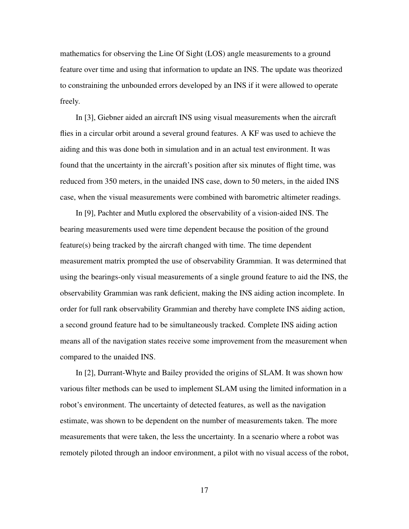mathematics for observing the Line Of Sight (LOS) angle measurements to a ground feature over time and using that information to update an INS. The update was theorized to constraining the unbounded errors developed by an INS if it were allowed to operate freely.

In [3], Giebner aided an aircraft INS using visual measurements when the aircraft flies in a circular orbit around a several ground features. A KF was used to achieve the aiding and this was done both in simulation and in an actual test environment. It was found that the uncertainty in the aircraft's position after six minutes of flight time, was reduced from 350 meters, in the unaided INS case, down to 50 meters, in the aided INS case, when the visual measurements were combined with barometric altimeter readings.

In [9], Pachter and Mutlu explored the observability of a vision-aided INS. The bearing measurements used were time dependent because the position of the ground feature(s) being tracked by the aircraft changed with time. The time dependent measurement matrix prompted the use of observability Grammian. It was determined that using the bearings-only visual measurements of a single ground feature to aid the INS, the observability Grammian was rank deficient, making the INS aiding action incomplete. In order for full rank observability Grammian and thereby have complete INS aiding action, a second ground feature had to be simultaneously tracked. Complete INS aiding action means all of the navigation states receive some improvement from the measurement when compared to the unaided INS.

In [2], Durrant-Whyte and Bailey provided the origins of SLAM. It was shown how various filter methods can be used to implement SLAM using the limited information in a robot's environment. The uncertainty of detected features, as well as the navigation estimate, was shown to be dependent on the number of measurements taken. The more measurements that were taken, the less the uncertainty. In a scenario where a robot was remotely piloted through an indoor environment, a pilot with no visual access of the robot,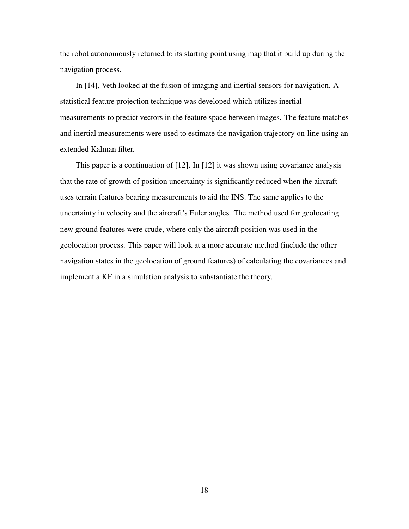the robot autonomously returned to its starting point using map that it build up during the navigation process.

In [14], Veth looked at the fusion of imaging and inertial sensors for navigation. A statistical feature projection technique was developed which utilizes inertial measurements to predict vectors in the feature space between images. The feature matches and inertial measurements were used to estimate the navigation trajectory on-line using an extended Kalman filter.

This paper is a continuation of [12]. In [12] it was shown using covariance analysis that the rate of growth of position uncertainty is significantly reduced when the aircraft uses terrain features bearing measurements to aid the INS. The same applies to the uncertainty in velocity and the aircraft's Euler angles. The method used for geolocating new ground features were crude, where only the aircraft position was used in the geolocation process. This paper will look at a more accurate method (include the other navigation states in the geolocation of ground features) of calculating the covariances and implement a KF in a simulation analysis to substantiate the theory.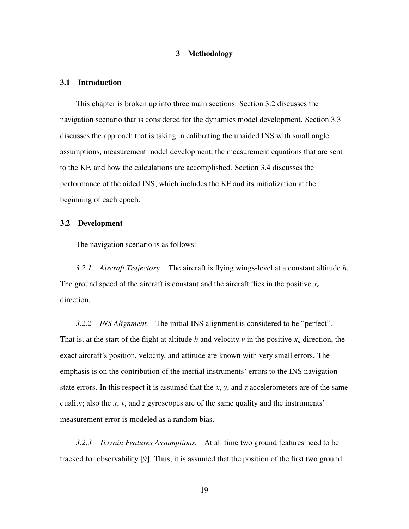# 3 Methodology

#### 3.1 Introduction

This chapter is broken up into three main sections. Section 3.2 discusses the navigation scenario that is considered for the dynamics model development. Section 3.3 discusses the approach that is taking in calibrating the unaided INS with small angle assumptions, measurement model development, the measurement equations that are sent to the KF, and how the calculations are accomplished. Section 3.4 discusses the performance of the aided INS, which includes the KF and its initialization at the beginning of each epoch.

#### 3.2 Development

The navigation scenario is as follows:

*3.2.1 Aircraft Trajectory.* The aircraft is flying wings-level at a constant altitude *h*. The ground speed of the aircraft is constant and the aircraft flies in the positive  $x_n$ direction.

*3.2.2 INS Alignment.* The initial INS alignment is considered to be "perfect". That is, at the start of the flight at altitude *h* and velocity  $\nu$  in the positive  $x_n$  direction, the exact aircraft's position, velocity, and attitude are known with very small errors. The emphasis is on the contribution of the inertial instruments' errors to the INS navigation state errors. In this respect it is assumed that the *x*, *y*, and *z* accelerometers are of the same quality; also the *x*, *y*, and *z* gyroscopes are of the same quality and the instruments' measurement error is modeled as a random bias.

*3.2.3 Terrain Features Assumptions.* At all time two ground features need to be tracked for observability [9]. Thus, it is assumed that the position of the first two ground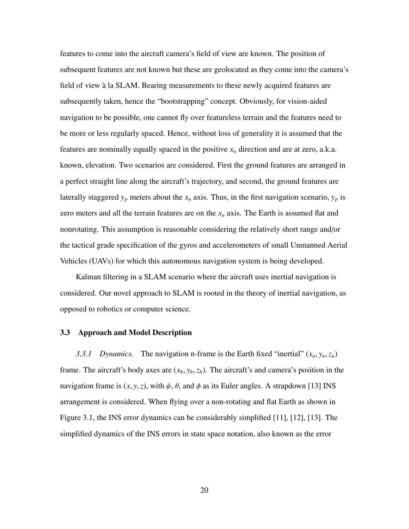features to come into the aircraft camera's field of view are known. The position of subsequent features are not known but these are geolocated as they come into the camera's field of view a la SLAM. Bearing measurements to these newly acquired features are ` subsequently taken, hence the "bootstrapping" concept. Obviously, for vision-aided navigation to be possible, one cannot fly over featureless terrain and the features need to be more or less regularly spaced. Hence, without loss of generality it is assumed that the features are nominally equally spaced in the positive  $x_n$  direction and are at zero, a.k.a. known, elevation. Two scenarios are considered. First the ground features are arranged in a perfect straight line along the aircraft's trajectory, and second, the ground features are laterally staggered  $y_p$  meters about the  $x_n$  axis. Thus, in the first navigation scenario,  $y_p$  is zero meters and all the terrain features are on the  $x_n$  axis. The Earth is assumed flat and nonrotating. This assumption is reasonable considering the relatively short range and/or the tactical grade specification of the gyros and accelerometers of small Unmanned Aerial Vehicles (UAVs) for which this autonomous navigation system is being developed.

Kalman filtering in a SLAM scenario where the aircraft uses inertial navigation is considered. Our novel approach to SLAM is rooted in the theory of inertial navigation, as opposed to robotics or computer science.

#### 3.3 Approach and Model Description

*3.3.1 Dynamics.* The navigation n-frame is the Earth fixed "inertial"  $(x_n, y_n, z_n)$ frame. The aircraft's body axes are  $(x_b, y_b, z_b)$ . The aircraft's and camera's position in the navigation frame is  $(x, y, z)$ , with  $\psi$ ,  $\theta$ , and  $\phi$  as its Euler angles. A strapdown [13] INS arrangement is considered. When flying over a non-rotating and flat Earth as shown in Figure 3.1, the INS error dynamics can be considerably simplified [11], [12], [13]. The simplified dynamics of the INS errors in state space notation, also known as the error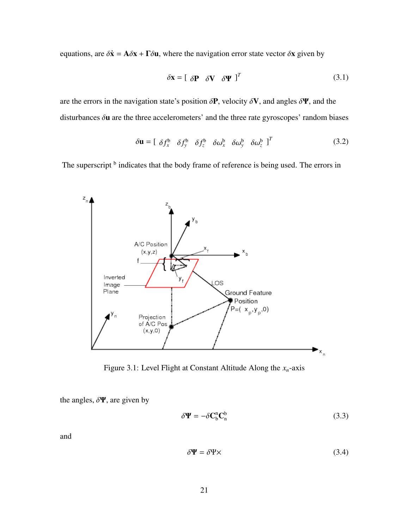equations, are  $\delta \dot{\mathbf{x}} = \mathbf{A} \delta \mathbf{x} + \mathbf{\Gamma} \delta \mathbf{u}$ , where the navigation error state vector  $\delta \mathbf{x}$  given by

$$
\delta \mathbf{x} = \left[ \begin{array}{cc} \delta \mathbf{P} & \delta \mathbf{V} & \delta \mathbf{\Psi} \end{array} \right]^T \tag{3.1}
$$

are the errors in the navigation state's position  $\delta P$ , velocity  $\delta V$ , and angles  $\delta \Psi$ , and the disturbances  $\delta$ **u** are the three accelerometers' and the three rate gyroscopes' random biases

$$
\delta \mathbf{u} = \begin{bmatrix} \delta f_x^{\mathbf{b}} & \delta f_y^{\mathbf{b}} & \delta f_z^{\mathbf{b}} & \delta \omega_x^{\mathbf{b}} & \delta \omega_y^{\mathbf{b}} & \delta \omega_z^{\mathbf{b}} \end{bmatrix}^T
$$
 (3.2)

The superscript <sup>b</sup> indicates that the body frame of reference is being used. The errors in



Figure 3.1: Level Flight at Constant Altitude Along the *xn*-axis

the angles,  $\delta \Psi$ , are given by

$$
\delta \Psi = -\delta C_{\rm b}^{\rm n} C_{\rm n}^{\rm b} \tag{3.3}
$$

and

$$
\delta \Psi = \delta \Psi \times \tag{3.4}
$$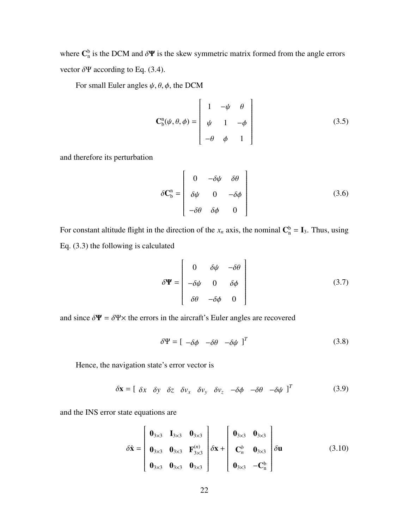where  $\mathbf{C}_{n}^{b}$  is the DCM and  $\delta \Psi$  is the skew symmetric matrix formed from the angle errors vector  $\delta \Psi$  according to Eq. (3.4).

For small Euler angles  $\psi$ ,  $\theta$ ,  $\phi$ , the DCM

$$
\mathbf{C}_{\mathbf{b}}^{\mathbf{n}}(\psi,\theta,\phi) = \begin{bmatrix} 1 & -\psi & \theta \\ \psi & 1 & -\phi \\ -\theta & \phi & 1 \end{bmatrix}
$$
(3.5)

and therefore its perturbation

$$
\delta \mathbf{C}_{\mathbf{b}}^{\mathbf{n}} = \begin{bmatrix} 0 & -\delta \psi & \delta \theta \\ \delta \psi & 0 & -\delta \phi \\ -\delta \theta & \delta \phi & 0 \end{bmatrix}
$$
 (3.6)

For constant altitude flight in the direction of the  $x_n$  axis, the nominal  $\mathbf{C}_n^b = \mathbf{I}_3$ . Thus, using Eq. (3.3) the following is calculated

$$
\delta \mathbf{\Psi} = \begin{bmatrix} 0 & \delta \psi & -\delta \theta \\ -\delta \psi & 0 & \delta \phi \\ \delta \theta & -\delta \phi & 0 \end{bmatrix}
$$
 (3.7)

and since  $\delta \Psi = \delta \Psi \times$  the errors in the aircraft's Euler angles are recovered

$$
\delta \Psi = [ -\delta \phi \quad -\delta \theta \quad -\delta \psi \ ]^T \tag{3.8}
$$

Hence, the navigation state's error vector is

 $\delta \mathbf{x} = \begin{bmatrix} \delta x & \delta y & \delta z & \delta v_x & \delta v_y & \delta v_z & -\delta \phi & -\delta \phi & -\delta \psi \end{bmatrix}^T$ (3.9)

and the INS error state equations are

$$
\delta \dot{\mathbf{x}} = \begin{bmatrix} \mathbf{0}_{3\times 3} & \mathbf{I}_{3\times 3} & \mathbf{0}_{3\times 3} \\ \mathbf{0}_{3\times 3} & \mathbf{0}_{3\times 3} & \mathbf{F}_{3\times 3}^{(n)} \\ \mathbf{0}_{3\times 3} & \mathbf{0}_{3\times 3} & \mathbf{0}_{3\times 3} \end{bmatrix} \delta \mathbf{x} + \begin{bmatrix} \mathbf{0}_{3\times 3} & \mathbf{0}_{3\times 3} \\ \mathbf{C}_n^b & \mathbf{0}_{3\times 3} \\ \mathbf{0}_{3\times 3} & -\mathbf{C}_n^b \end{bmatrix} \delta \mathbf{u} \tag{3.10}
$$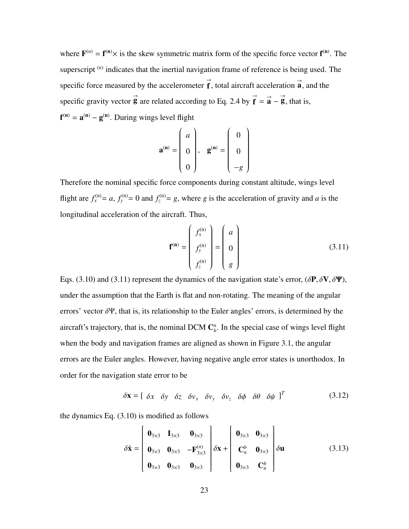where  $F^{(n)} = f^{(n)} \times$  is the skew symmetric matrix form of the specific force vector  $f^{(n)}$ . The superscript<sup>(*n*)</sup> indicates that the inertial navigation frame of reference is being used. The specific force measured by the accelerometer  $\vec{f}$ , total aircraft acceleration  $\vec{a}$ , and the specific gravity vector  $\vec{g}$  are related according to Eq. 2.4 by  $\vec{f} = \vec{a} - \vec{g}$ , that is,  $f^{(n)} = a^{(n)} - g^{(n)}$ . During wings level flight

$$
\mathbf{a}^{(\mathbf{n})} = \begin{pmatrix} a \\ 0 \\ 0 \end{pmatrix}, \quad \mathbf{g}^{(\mathbf{n})} = \begin{pmatrix} 0 \\ 0 \\ -g \end{pmatrix}
$$

Therefore the nominal specific force components during constant altitude, wings level flight are  $f_x^{(n)} = a$ ,  $f_y^{(n)} = 0$  and  $f_z^{(n)} = g$ , where *g* is the acceleration of gravity and *a* is the longitudinal acceleration of the aircraft. Thus,

$$
\mathbf{f}^{(\mathbf{n})} = \begin{pmatrix} f_x^{(\mathbf{n})} \\ f_y^{(\mathbf{n})} \\ f_z^{(\mathbf{n})} \end{pmatrix} = \begin{pmatrix} a \\ 0 \\ g \end{pmatrix}
$$
(3.11)

Eqs. (3.10) and (3.11) represent the dynamics of the navigation state's error,  $(\delta \mathbf{P}, \delta \mathbf{V}, \delta \mathbf{\Psi})$ , under the assumption that the Earth is flat and non-rotating. The meaning of the angular errors' vector  $\delta \Psi$ , that is, its relationship to the Euler angles' errors, is determined by the aircraft's trajectory, that is, the nominal DCM  $\mathbb{C}_{h}^{n}$  $b<sub>b</sub>$ . In the special case of wings level flight when the body and navigation frames are aligned as shown in Figure 3.1, the angular errors are the Euler angles. However, having negative angle error states is unorthodox. In order for the navigation state error to be

$$
\delta \mathbf{x} = \left[ \begin{array}{cccccc} \delta x & \delta y & \delta z & \delta v_x & \delta v_y & \delta v_z & \delta \phi & \delta \theta & \delta \psi \end{array} \right]^T \tag{3.12}
$$

the dynamics Eq. (3.10) is modified as follows

$$
\delta \dot{\mathbf{x}} = \begin{bmatrix} \mathbf{0}_{3\times 3} & \mathbf{I}_{3\times 3} & \mathbf{0}_{3\times 3} \\ \mathbf{0}_{3\times 3} & \mathbf{0}_{3\times 3} & -\mathbf{F}_{3\times 3}^{(n)} \\ \mathbf{0}_{3\times 3} & \mathbf{0}_{3\times 3} & \mathbf{0}_{3\times 3} \end{bmatrix} \delta \mathbf{x} + \begin{bmatrix} \mathbf{0}_{3\times 3} & \mathbf{0}_{3\times 3} \\ \mathbf{C}_n^b & \mathbf{0}_{3\times 3} \\ \mathbf{0}_{3\times 3} & \mathbf{C}_n^b \end{bmatrix} \delta \mathbf{u} \tag{3.13}
$$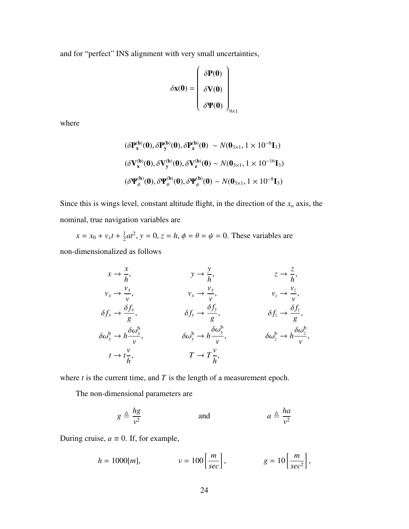and for "perfect" INS alignment with very small uncertainties,

$$
\delta \mathbf{x}(0) = \begin{pmatrix} \delta \mathbf{P}(0) \\ \delta \mathbf{V}(0) \\ \delta \mathbf{\Psi}(0) \end{pmatrix}_{9 \times 1}
$$

where

$$
(\delta \mathbf{P}_{\mathbf{x}}^{(\mathbf{b})}(\mathbf{0}), \delta \mathbf{P}_{\mathbf{y}}^{(\mathbf{b})}(\mathbf{0}), \delta \mathbf{P}_{\mathbf{z}}^{(\mathbf{b})}(\mathbf{0}) \sim N(\mathbf{0}_{3\times 1}, 1 \times 10^{-6} \mathbf{I}_{3})
$$
  

$$
(\delta \mathbf{V}_{\mathbf{x}}^{(\mathbf{b})}(\mathbf{0}), \delta \mathbf{V}_{\mathbf{y}}^{(\mathbf{b})}(\mathbf{0}), \delta \mathbf{V}_{\mathbf{z}}^{(\mathbf{b})}(\mathbf{0}) \sim N(\mathbf{0}_{3\times 1}, 1 \times 10^{-16} \mathbf{I}_{3})
$$
  

$$
(\delta \mathbf{Y}_{\phi}^{(\mathbf{b})}(\mathbf{0}), \delta \mathbf{Y}_{\theta}^{(\mathbf{b})}(\mathbf{0}), \delta \mathbf{Y}_{\psi}^{(\mathbf{b})}(\mathbf{0}) \sim N(\mathbf{0}_{3\times 1}, 1 \times 10^{-8} \mathbf{I}_{3})
$$

Since this is wings level, constant altitude flight, in the direction of the *x<sup>n</sup>* axis, the nominal, true navigation variables are

 $x = x_0 + v_x t + \frac{1}{2}$  $\frac{1}{2}at^2$ ,  $y = 0$ ,  $z = h$ ,  $\phi = \theta = \psi = 0$ . These variables are non-dimensionalized as follows

$$
x \to \frac{x}{h}, \qquad y \to \frac{y}{h}, \qquad z \to \frac{z}{h},
$$
  
\n
$$
v_x \to \frac{v_x}{v}, \qquad v_x \to \frac{v_x}{v}, \qquad v_z \to \frac{v_z}{v},
$$
  
\n
$$
\delta f_x \to \frac{\delta f_x}{g}, \qquad \delta f_y \to \frac{\delta f_y}{g}, \qquad \delta f_z \to \frac{\delta f_z}{g},
$$
  
\n
$$
\delta \omega_x^b \to h \frac{\delta \omega_x^b}{v}, \qquad \delta \omega_y^b \to h \frac{\delta \omega_y^b}{v}, \qquad \delta \omega_z^b \to h \frac{\delta \omega_z^b}{v},
$$
  
\n
$$
t \to t \frac{v}{h}, \qquad T \to T \frac{v}{h},
$$

where  $t$  is the current time, and  $T$  is the length of a measurement epoch.

The non-dimensional parameters are

$$
g \triangleq \frac{hg}{v^2} \qquad \text{and} \qquad a \triangleq \frac{ha}{v^2}
$$

During cruise,  $a \equiv 0$ . If, for example,

$$
h = 1000[m], \qquad \qquad v = 100 \left[ \frac{m}{sec} \right], \qquad \qquad g = 10 \left[ \frac{m}{sec^2} \right],
$$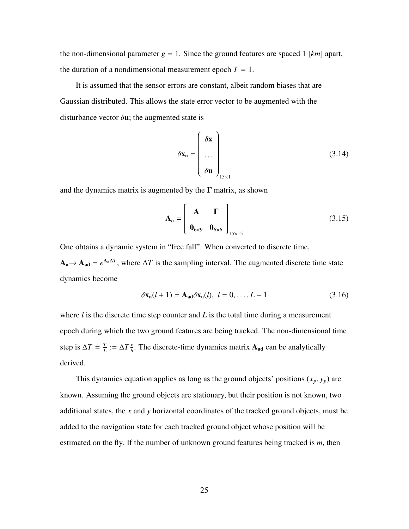the non-dimensional parameter  $g = 1$ . Since the ground features are spaced 1 [ $km$ ] apart, the duration of a nondimensional measurement epoch  $T = 1$ .

It is assumed that the sensor errors are constant, albeit random biases that are Gaussian distributed. This allows the state error vector to be augmented with the disturbance vector  $\delta$ **u**; the augmented state is

$$
\delta \mathbf{x_a} = \begin{pmatrix} \delta \mathbf{x} \\ \cdots \\ \delta \mathbf{u} \end{pmatrix}_{15 \times 1}
$$
 (3.14)

and the dynamics matrix is augmented by the  $\Gamma$  matrix, as shown

$$
\mathbf{A}_{\mathbf{a}} = \begin{bmatrix} \mathbf{A} & \mathbf{\Gamma} \\ \mathbf{0}_{6 \times 9} & \mathbf{0}_{6 \times 6} \end{bmatrix}_{15 \times 15}
$$
 (3.15)

One obtains a dynamic system in "free fall". When converted to discrete time,  $A_a \rightarrow A_{ad} = e^{A_a \Delta T}$ , where  $\Delta T$  is the sampling interval. The augmented discrete time state dynamics become

$$
\delta \mathbf{x_a}(l+1) = \mathbf{A_{ad}} \delta \mathbf{x_a}(l), \ l = 0, \dots, L-1
$$
 (3.16)

where  $l$  is the discrete time step counter and  $L$  is the total time during a measurement epoch during which the two ground features are being tracked. The non-dimensional time step is  $\Delta T = \frac{T}{l}$  $\frac{T}{L} := \Delta T \frac{v}{h}$  $\frac{v}{h}$ . The discrete-time dynamics matrix  $A_{ad}$  can be analytically derived.

This dynamics equation applies as long as the ground objects' positions  $(x_p, y_p)$  are known. Assuming the ground objects are stationary, but their position is not known, two additional states, the *x* and *y* horizontal coordinates of the tracked ground objects, must be added to the navigation state for each tracked ground object whose position will be estimated on the fly. If the number of unknown ground features being tracked is *m*, then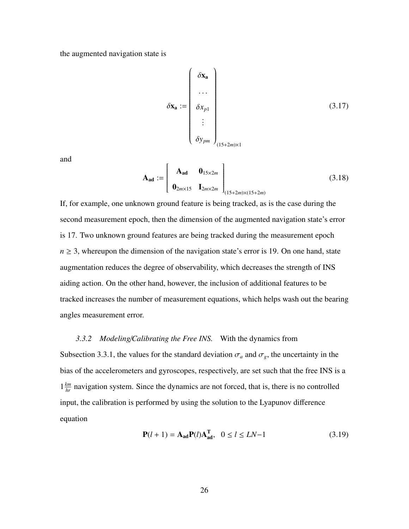the augmented navigation state is

$$
\delta \mathbf{x}_{\mathbf{a}} := \begin{pmatrix} \delta \mathbf{x}_{\mathbf{a}} \\ \cdots \\ \delta x_{p1} \\ \vdots \\ \delta y_{pm} \end{pmatrix}
$$
 (3.17)

and

$$
\mathbf{A}_{\mathbf{ad}} := \begin{bmatrix} \mathbf{A}_{\mathbf{ad}} & \mathbf{0}_{15 \times 2m} \\ \mathbf{0}_{2m \times 15} & \mathbf{I}_{2m \times 2m} \end{bmatrix}_{(15+2m) \times (15+2m)} (3.18)
$$

If, for example, one unknown ground feature is being tracked, as is the case during the second measurement epoch, then the dimension of the augmented navigation state's error is 17. Two unknown ground features are being tracked during the measurement epoch  $n \geq 3$ , whereupon the dimension of the navigation state's error is 19. On one hand, state augmentation reduces the degree of observability, which decreases the strength of INS aiding action. On the other hand, however, the inclusion of additional features to be tracked increases the number of measurement equations, which helps wash out the bearing angles measurement error.

## *3.3.2 Modeling*/*Calibrating the Free INS.* With the dynamics from

Subsection 3.3.1, the values for the standard deviation  $\sigma_a$  and  $\sigma_g$ , the uncertainty in the bias of the accelerometers and gyroscopes, respectively, are set such that the free INS is a  $1 \frac{km}{hr}$  navigation system. Since the dynamics are not forced, that is, there is no controlled input, the calibration is performed by using the solution to the Lyapunov difference equation

$$
P(l+1) = A_{ad}P(l)A_{ad}^{T}, \quad 0 \le l \le LN-1
$$
 (3.19)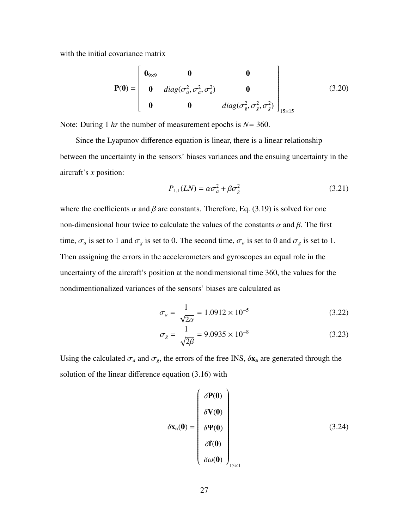with the initial covariance matrix

$$
\mathbf{P(0)} = \begin{bmatrix} \mathbf{0}_{9\times9} & \mathbf{0} & \mathbf{0} \\ \mathbf{0} & diag(\sigma_a^2, \sigma_a^2, \sigma_a^2) & \mathbf{0} \\ \mathbf{0} & \mathbf{0} & diag(\sigma_g^2, \sigma_g^2, \sigma_g^2) \end{bmatrix}_{15\times15}
$$
(3.20)

Note: During 1 *hr* the number of measurement epochs is *N*= 360.

Since the Lyapunov difference equation is linear, there is a linear relationship between the uncertainty in the sensors' biases variances and the ensuing uncertainty in the aircraft's *x* position:

$$
P_{1,1}(LN) = \alpha \sigma_a^2 + \beta \sigma_g^2 \tag{3.21}
$$

where the coefficients  $\alpha$  and  $\beta$  are constants. Therefore, Eq. (3.19) is solved for one non-dimensional hour twice to calculate the values of the constants  $\alpha$  and  $\beta$ . The first time,  $\sigma_a$  is set to 1 and  $\sigma_g$  is set to 0. The second time,  $\sigma_a$  is set to 0 and  $\sigma_g$  is set to 1. Then assigning the errors in the accelerometers and gyroscopes an equal role in the uncertainty of the aircraft's position at the nondimensional time 360, the values for the nondimentionalized variances of the sensors' biases are calculated as

$$
\sigma_a = \frac{1}{\sqrt{2\alpha}} = 1.0912 \times 10^{-5}
$$
\n(3.22)

$$
\sigma_g = \frac{1}{\sqrt{2\beta}} = 9.0935 \times 10^{-8} \tag{3.23}
$$

Using the calculated  $\sigma_a$  and  $\sigma_g$ , the errors of the free INS,  $\delta x_a$  are generated through the solution of the linear difference equation (3.16) with

$$
\delta \mathbf{x}_{a}(\mathbf{0}) = \begin{pmatrix} \delta \mathbf{P}(\mathbf{0}) \\ \delta \mathbf{V}(\mathbf{0}) \\ \delta \mathbf{\Psi}(\mathbf{0}) \\ \delta \mathbf{f}(\mathbf{0}) \\ \delta \omega(\mathbf{0}) \end{pmatrix}_{15 \times 1}
$$
(3.24)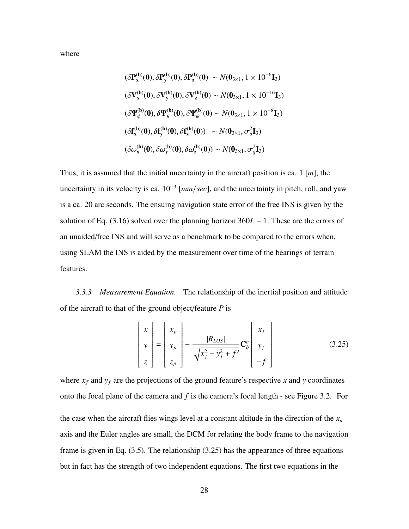where

$$
(\delta P_x^{(b)}(0), \delta P_y^{(b)}(0), \delta P_z^{(b)}(0) \sim N(0_{3 \times 1}, 1 \times 10^{-6} I_3)
$$
  

$$
(\delta V_x^{(b)}(0), \delta V_y^{(b)}(0), \delta V_z^{(b)}(0) \sim N(0_{3 \times 1}, 1 \times 10^{-16} I_3)
$$
  

$$
(\delta \Psi_{\phi}^{(b)}(0), \delta \Psi_{\theta}^{(b)}(0), \delta \Psi_{\psi}^{(b)}(0) \sim N(0_{3 \times 1}, 1 \times 10^{-8} I_3)
$$
  

$$
(\delta f_x^{(b)}(0), \delta f_y^{(b)}(0), \delta f_z^{(b)}(0)) \sim N(0_{3 \times 1}, \sigma_a^2 I_3)
$$
  

$$
(\delta \omega_x^{(b)}(0), \delta \omega_y^{(b)}(0), \delta \omega_z^{(b)}(0)) \sim N(0_{3 \times 1}, \sigma_g^2 I_3)
$$

Thus, it is assumed that the initial uncertainty in the aircraft position is ca. 1 [*m*], the uncertainty in its velocity is ca. 10<sup>−</sup><sup>3</sup> [*mm*/*sec*], and the uncertainty in pitch, roll, and yaw is a ca. 20 arc seconds. The ensuing navigation state error of the free INS is given by the solution of Eq. (3.16) solved over the planning horizon 360*L* − 1. These are the errors of an unaided/free INS and will serve as a benchmark to be compared to the errors when, using SLAM the INS is aided by the measurement over time of the bearings of terrain features.

*3.3.3 Measurement Equation.* The relationship of the inertial position and attitude of the aircraft to that of the ground object/feature *P* is

$$
\begin{bmatrix} x \\ y \\ z \end{bmatrix} = \begin{bmatrix} x_p \\ y_p \\ z_p \end{bmatrix} - \frac{|R_{LOS}|}{\sqrt{x_f^2 + y_f^2 + f^2}} \mathbf{C}_b^n \begin{bmatrix} x_f \\ y_f \\ -f \end{bmatrix}
$$
(3.25)

 $\mathbf{r}$ 

where  $x_f$  and  $y_f$  are the projections of the ground feature's respective x and y coordinates onto the focal plane of the camera and *f* is the camera's focal length - see Figure 3.2. For the case when the aircraft flies wings level at a constant altitude in the direction of the  $x<sub>n</sub>$ axis and the Euler angles are small, the DCM for relating the body frame to the navigation frame is given in Eq. (3.5). The relationship (3.25) has the appearance of three equations but in fact has the strength of two independent equations. The first two equations in the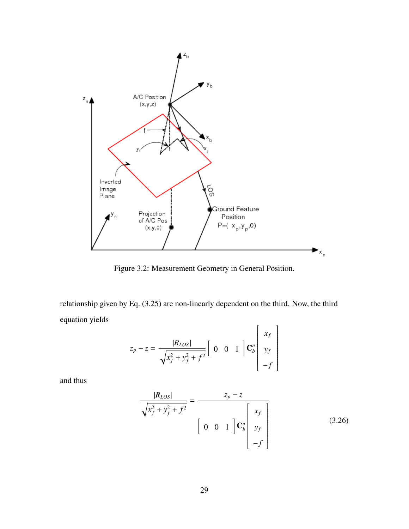

Figure 3.2: Measurement Geometry in General Position.

relationship given by Eq. (3.25) are non-linearly dependent on the third. Now, the third equation yields

$$
z_p - z = \frac{|R_{LOS}|}{\sqrt{x_f^2 + y_f^2 + f^2}} \begin{bmatrix} 0 & 0 & 1 \end{bmatrix} \begin{bmatrix} x_f \\ y_f \\ -f \end{bmatrix}
$$

and thus

$$
\frac{|R_{LOS}|}{\sqrt{x_f^2 + y_f^2 + f^2}} = \frac{z_p - z}{\begin{bmatrix} 0 & 0 & 1 \end{bmatrix} \mathbf{C}_b^n \begin{bmatrix} x_f \\ y_f \\ -f \end{bmatrix}}
$$
(3.26)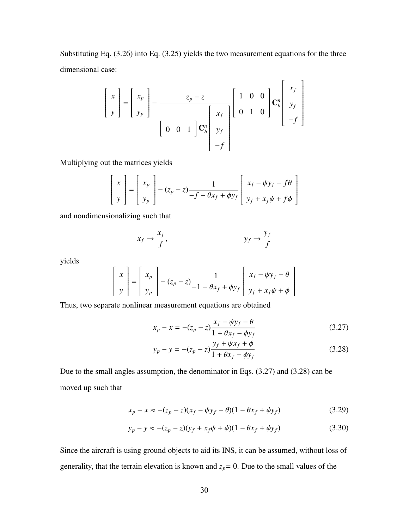Substituting Eq. (3.26) into Eq. (3.25) yields the two measurement equations for the three dimensional case:

$$
\begin{bmatrix} x \\ y \end{bmatrix} = \begin{bmatrix} x_p \\ y_p \end{bmatrix} - \frac{z_p - z}{\begin{bmatrix} 0 & 0 & 1 \end{bmatrix} \mathbf{C}_b^n \begin{bmatrix} x_f \\ x_f \\ y_f \\ -f \end{bmatrix}} \begin{bmatrix} 1 & 0 & 0 \\ 0 & 1 & 0 \end{bmatrix} \mathbf{C}_b^n \begin{bmatrix} x_f \\ y_f \\ -f \end{bmatrix}
$$

Multiplying out the matrices yields

$$
\begin{bmatrix} x \\ y \end{bmatrix} = \begin{bmatrix} x_p \\ y_p \end{bmatrix} - (z_p - z) \frac{1}{-f - \theta x_f + \phi y_f} \begin{bmatrix} x_f - \psi y_f - f\theta \\ y_f + x_f \psi + f\phi \end{bmatrix}
$$

and nondimensionalizing such that

$$
x_f \to \frac{x_f}{f}, \qquad y_f \to \frac{y_f}{f}
$$

yields

$$
\begin{bmatrix} x \\ y \end{bmatrix} = \begin{bmatrix} x_p \\ y_p \end{bmatrix} - (z_p - z) \frac{1}{-1 - \theta x_f + \phi y_f} \begin{bmatrix} x_f - \psi y_f - \theta \\ y_f + x_f \psi + \phi \end{bmatrix}
$$

Thus, two separate nonlinear measurement equations are obtained

$$
x_p - x = -(z_p - z) \frac{x_f - \psi y_f - \theta}{1 + \theta x_f - \phi y_f}
$$
(3.27)

$$
y_p - y = -(z_p - z) \frac{y_f + \psi x_f + \phi}{1 + \theta x_f - \phi y_f}
$$
 (3.28)

Due to the small angles assumption, the denominator in Eqs. (3.27) and (3.28) can be moved up such that

$$
x_p - x \approx -(z_p - z)(x_f - \psi y_f - \theta)(1 - \theta x_f + \phi y_f)
$$
 (3.29)

$$
y_p - y \approx -(z_p - z)(y_f + x_f \psi + \phi)(1 - \theta x_f + \phi y_f)
$$
 (3.30)

Since the aircraft is using ground objects to aid its INS, it can be assumed, without loss of generality, that the terrain elevation is known and  $z_p = 0$ . Due to the small values of the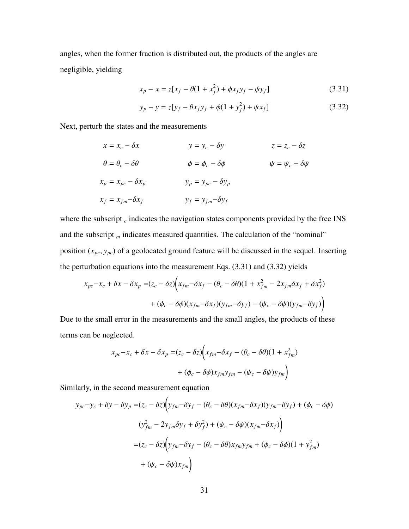angles, when the former fraction is distributed out, the products of the angles are negligible, yielding

$$
x_p - x = z[x_f - \theta(1 + x_f^2) + \phi x_f y_f - \psi y_f]
$$
 (3.31)

$$
y_p - y = z[y_f - \theta x_f y_f + \phi (1 + y_f^2) + \psi x_f]
$$
 (3.32)

Next, perturb the states and the measurements

$$
x = x_c - \delta x \qquad y = y_c - \delta y \qquad z = z_c - \delta z
$$
  
\n
$$
\theta = \theta_c - \delta \theta \qquad \phi = \phi_c - \delta \phi \qquad \psi = \psi_c - \delta \psi
$$
  
\n
$$
x_p = x_{pc} - \delta x_p \qquad y_p = y_{pc} - \delta y_p
$$
  
\n
$$
x_f = x_{fm} - \delta x_f \qquad y_f = y_{fm} - \delta y_f
$$

where the subscript  $_c$  indicates the navigation states components provided by the free INS and the subscript *m* indicates measured quantities. The calculation of the "nominal" position (*xpc*, *<sup>y</sup>pc*) of a geolocated ground feature will be discussed in the sequel. Inserting the perturbation equations into the measurement Eqs. (3.31) and (3.32) yields

$$
x_{pc} - x_c + \delta x - \delta x_p = (z_c - \delta z) \Big( x_{fm} - \delta x_f - (\theta_c - \delta \theta) (1 + x_{fm}^2 - 2x_{fm} \delta x_f + \delta x_f^2) + (\phi_c - \delta \phi) (x_{fm} - \delta x_f) (y_{fm} - \delta y_f) - (\psi_c - \delta \psi) (y_{fm} - \delta y_f) \Big)
$$

Due to the small error in the measurements and the small angles, the products of these terms can be neglected.

$$
x_{pc} - x_c + \delta x - \delta x_p = (z_c - \delta z) \Big( x_{fm} - \delta x_f - (\theta_c - \delta \theta) (1 + x_{fm}^2) + (\phi_c - \delta \phi) x_{fm} y_{fm} - (\psi_c - \delta \psi) y_{fm} \Big)
$$

Similarly, in the second measurement equation

$$
y_{pc} - y_c + \delta y - \delta y_p = (z_c - \delta z) \Big( y_{fm} - \delta y_f - (\theta_c - \delta \theta) (x_{fm} - \delta x_f) (y_{fm} - \delta y_f) + (\phi_c - \delta \phi) (y_{fm}^2 - 2y_{fm} \delta y_f + \delta y_f^2) + (\psi_c - \delta \psi) (x_{fm} - \delta x_f) \Big) = (z_c - \delta z) \Big( y_{fm} - \delta y_f - (\theta_c - \delta \theta) x_{fm} y_{fm} + (\phi_c - \delta \phi) (1 + y_{fm}^2) + (\psi_c - \delta \psi) x_{fm} \Big)
$$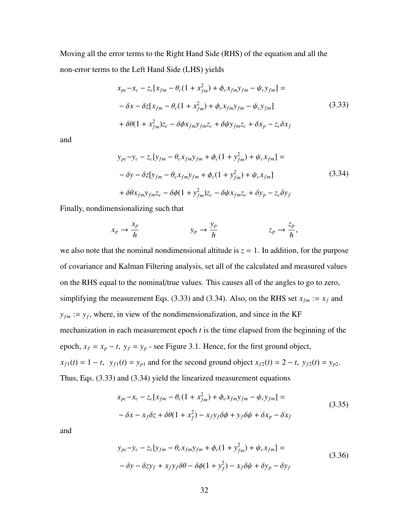Moving all the error terms to the Right Hand Side (RHS) of the equation and all the non-error terms to the Left Hand Side (LHS) yields

$$
x_{pc} - x_c - z_c[x_{fm} - \theta_c(1 + x_{fm}^2) + \phi_c x_{fm}y_{fm} - \psi_c y_{fm}] =
$$
  

$$
- \delta x - \delta z[x_{fm} - \theta_c(1 + x_{fm}^2) + \phi_c x_{fm}y_{fm} - \psi_c y_{fm}]
$$
  

$$
+ \delta \theta (1 + x_{fm}^2)z_c - \delta \phi x_{fm}y_{fm}z_c + \delta \psi y_{fm}z_c + \delta x_p - z_c \delta x_f
$$
  
(3.33)

and

$$
y_{pc} - y_c - z_c[y_{fm} - \theta_c x_{fm}y_{fm} + \phi_c(1 + y_{fm}^2) + \psi_c x_{fm}] =
$$
  

$$
- \delta y - \delta z[y_{fm} - \theta_c x_{fm}y_{fm} + \phi_c(1 + y_{fm}^2) + \psi_c x_{fm}]
$$
  

$$
+ \delta \theta x_{fm}y_{fm}z_c - \delta \phi(1 + y_{fm}^2)z_c - \delta \psi x_{fm}z_c + \delta y_p - z_c \delta y_f
$$
  
(3.34)

Finally, nondimensionalizing such that

$$
x_p \to \frac{x_p}{h} \qquad \qquad y_p \to \frac{y_p}{h} \qquad \qquad z_p \to \frac{z_p}{h},
$$

we also note that the nominal nondimensional altitude is  $z = 1$ . In addition, for the purpose of covariance and Kalman Filtering analysis, set all of the calculated and measured values on the RHS equal to the nominal/true values. This causes all of the angles to go to zero, simplifying the measurement Eqs. (3.33) and (3.34). Also, on the RHS set  $x_{fm} := x_f$  and  $y_{fm}$  :=  $y_f$ , where, in view of the nondimensionalization, and since in the KF mechanization in each measurement epoch *t* is the time elapsed from the beginning of the epoch,  $x_f = x_p - t$ ,  $y_f = y_p$  - see Figure 3.1. Hence, for the first ground object,  $x_{f1}(t) = 1 - t$ ,  $y_{f1}(t) = y_{p1}$  and for the second ground object  $x_{f2}(t) = 2 - t$ ,  $y_{f2}(t) = y_{p2}$ . Thus, Eqs. (3.33) and (3.34) yield the linearized measurement equations

$$
x_{pc} - x_c - z_c[x_{fm} - \theta_c(1 + x_{fm}^2) + \phi_c x_{fm} y_{fm} - \psi_c y_{fm}] =
$$
  

$$
- \delta x - x_f \delta z + \delta \theta (1 + x_f^2) - x_f y_f \delta \phi + y_f \delta \psi + \delta x_p - \delta x_f
$$
(3.35)

and

$$
y_{pc} - y_c - z_c[y_{fm} - \theta_c x_{fm}y_{fm} + \phi_c(1 + y_{fm}^2) + \psi_c x_{fm}] =
$$
  

$$
- \delta y - \delta z y_f + x_f y_f \delta \theta - \delta \phi (1 + y_f^2) - x_f \delta \psi + \delta y_p - \delta y_f
$$
(3.36)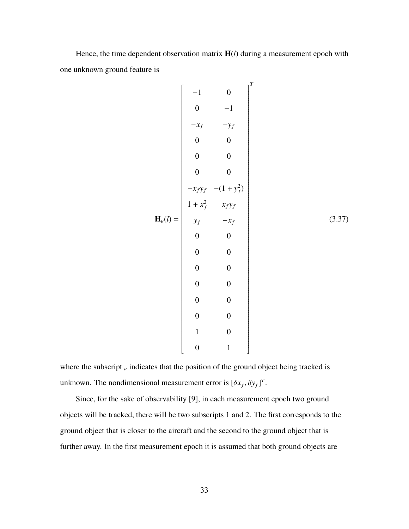Hence, the time dependent observation matrix H(*l*) during a measurement epoch with one unknown ground feature is

$$
\mathbf{H}_{u}(l) = \begin{bmatrix}\n-1 & 0 & 0 & 0 & 0 \\
0 & -1 & -x_{f} & -y_{f} & 0 & 0 \\
0 & 0 & 0 & 0 & 0 \\
0 & 0 & 0 & 0 & -x_{f}y_{f} & -(1+y_{f}^{2}) \\
1+x_{f}^{2} & x_{f}y_{f} & 0 & 0 & 0 \\
0 & 0 & 0 & 0 & 0 \\
0 & 0 & 0 & 0 & 0 \\
0 & 0 & 0 & 0 & 0 \\
0 & 0 & 0 & 0 & 0 \\
0 & 0 & 0 & 0 & 0 \\
0 & 0 & 0 & 0 & 0 \\
0 & 0 & 1 & 0 & 0\n\end{bmatrix}
$$
\n(3.37)

where the subscript *u* indicates that the position of the ground object being tracked is unknown. The nondimensional measurement error is  $[\delta x_f, \delta y_f]^T$ .

Since, for the sake of observability [9], in each measurement epoch two ground objects will be tracked, there will be two subscripts 1 and 2. The first corresponds to the ground object that is closer to the aircraft and the second to the ground object that is further away. In the first measurement epoch it is assumed that both ground objects are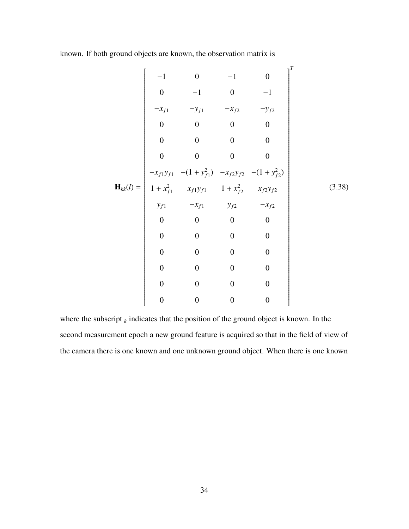known. If both ground objects are known, the observation matrix is

$$
\mathbf{H}_{kk}(l) = \begin{bmatrix}\n-1 & 0 & -1 & 0 \\
0 & -1 & 0 & -1 \\
-x_{f1} & -y_{f1} & -x_{f2} & -y_{f2} \\
0 & 0 & 0 & 0 & 0 \\
0 & 0 & 0 & 0 & 0 \\
0 & 0 & 0 & 0 & 0 \\
-x_{f1}y_{f1} & -(1+y_{f1}^2) & -x_{f2}y_{f2} & -(1+y_{f2}^2) \\
1+x_{f1}^2 & x_{f1}y_{f1} & 1+x_{f2}^2 & x_{f2}y_{f2} & (3.38) \\
y_{f1} & -x_{f1} & y_{f2} & -x_{f2} \\
0 & 0 & 0 & 0 & 0 \\
0 & 0 & 0 & 0 & 0 \\
0 & 0 & 0 & 0 & 0 \\
0 & 0 & 0 & 0 & 0 \\
0 & 0 & 0 & 0 & 0 \\
0 & 0 & 0 & 0 & 0 \\
0 & 0 & 0 & 0 & 0\n\end{bmatrix}
$$

where the subscript  $_k$  indicates that the position of the ground object is known. In the second measurement epoch a new ground feature is acquired so that in the field of view of the camera there is one known and one unknown ground object. When there is one known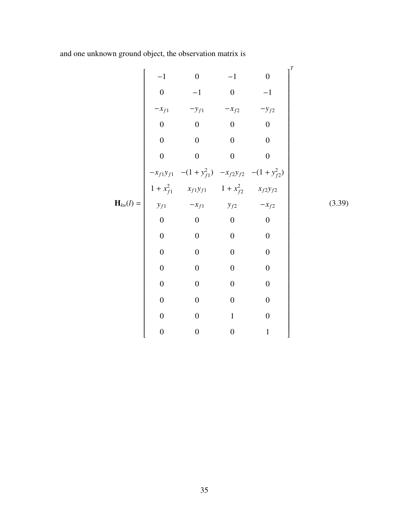and one unknown ground object, the observation matrix is

$$
\mathbf{H}_{ku}(l) = \begin{bmatrix}\n-1 & 0 & -1 & 0 \\
0 & -1 & 0 & -1 \\
-x_{f1} & -y_{f1} & -x_{f2} & -y_{f2} \\
0 & 0 & 0 & 0 & 0 \\
0 & 0 & 0 & 0 & 0 \\
0 & 0 & 0 & 0 & 0 \\
-x_{f1}y_{f1} & -(1+y_{f1}^2) & -x_{f2}y_{f2} & -(1+y_{f2}^2) \\
1+x_{f1}^2 & x_{f1}y_{f1} & 1+x_{f2}^2 & x_{f2}y_{f2} \\
y_{f1} & -x_{f1} & y_{f2} & -x_{f2} \\
0 & 0 & 0 & 0 & 0 \\
0 & 0 & 0 & 0 & 0 \\
0 & 0 & 0 & 0 & 0 \\
0 & 0 & 0 & 0 & 0 \\
0 & 0 & 0 & 0 & 0 \\
0 & 0 & 0 & 0 & 0 \\
0 & 0 & 0 & 0 & 0 \\
0 & 0 & 0 & 0 & 0 \\
0 & 0 & 0 & 0 & 0\n\end{bmatrix}
$$
\n(3.39)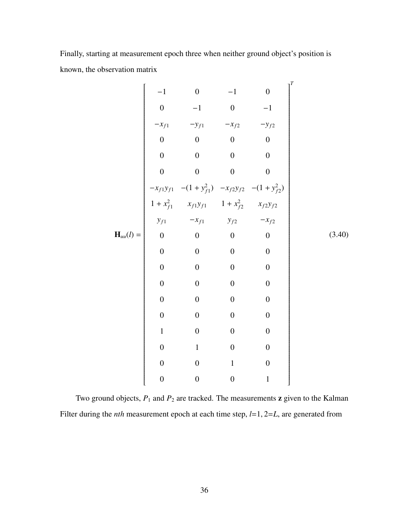Finally, starting at measurement epoch three when neither ground object's position is known, the observation matrix

$$
\mathbf{H}_{uu}(l) = \begin{bmatrix}\n-1 & 0 & -1 & 0 \\
0 & -1 & 0 & -1 \\
-x_{f1} & -y_{f1} & -x_{f2} & -y_{f2} \\
0 & 0 & 0 & 0 & 0 \\
0 & 0 & 0 & 0 & 0 \\
0 & 0 & 0 & 0 & 0 \\
0 & 0 & 0 & 0 & 0 \\
0 & 0 & 0 & 0 & 0 \\
0 & 0 & 0 & 0 & 0 \\
0 & 0 & 0 & 0 & 0 \\
0 & 0 & 0 & 0 & 0 \\
0 & 0 & 0 & 0 & 0 \\
0 & 0 & 0 & 0 & 0 \\
0 & 0 & 0 & 0 & 0 \\
0 & 0 & 0 & 0 & 0 \\
0 & 0 & 0 & 0 & 0 \\
0 & 0 & 0 & 0 & 0 \\
0 & 0 & 0 & 0 & 0 \\
0 & 0 & 0 & 0 & 0 \\
0 & 0 & 0 & 0 & 0 \\
0 & 0 & 0 & 0 & 0 \\
0 & 0 & 0 & 0 & 0 \\
0 & 0 & 0 & 0 & 0 \\
0 & 0 & 0 & 0 & 0 \\
0 & 0 & 0 & 0 & 0 \\
0 & 0 & 0 & 0 & 1\n\end{bmatrix}
$$
\n(3.40)

Two ground objects,  $P_1$  and  $P_2$  are tracked. The measurements **z** given to the Kalman Filter during the *nth* measurement epoch at each time step, *<sup>l</sup>*=1, <sup>2</sup>=*L*, are generated from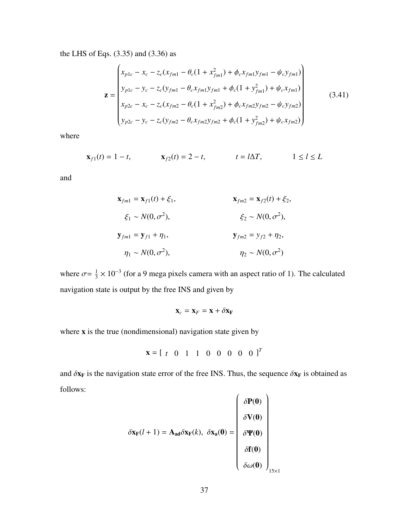the LHS of Eqs. (3.35) and (3.36) as  $\overline{ }$ 

$$
\mathbf{z} = \begin{pmatrix} x_{p1c} - x_c - z_c(x_{fm1} - \theta_c(1 + x_{fm1}^2) + \phi_c x_{fm1}y_{fm1} - \psi_c y_{fm1}) \\ y_{p1c} - y_c - z_c(y_{fm1} - \theta_c x_{fm1}y_{fm1} + \phi_c(1 + y_{fm1}^2) + \psi_c x_{fm1}) \\ x_{p2c} - x_c - z_c(x_{fm2} - \theta_c(1 + x_{fm2}^2) + \phi_c x_{fm2}y_{fm2} - \psi_c y_{fm2}) \\ y_{p2c} - y_c - z_c(y_{fm2} - \theta_c x_{fm2}y_{fm2} + \phi_c(1 + y_{fm2}^2) + \psi_c x_{fm2}) \end{pmatrix}
$$
(3.41)

where

$$
\mathbf{x}_{f1}(t) = 1 - t,
$$
  $\mathbf{x}_{f2}(t) = 2 - t,$   $t = l\Delta T,$   $1 \le l \le L$ 

and

$$
\mathbf{x}_{fm1} = \mathbf{x}_{f1}(t) + \xi_1, \qquad \mathbf{x}_{fm2} = \mathbf{x}_{f2}(t) + \xi_2, \n\xi_1 \sim N(0, \sigma^2), \qquad \xi_2 \sim N(0, \sigma^2), \n\mathbf{y}_{fm1} = \mathbf{y}_{f1} + \eta_1, \qquad \mathbf{y}_{fm2} = y_{f2} + \eta_2, \n\eta_1 \sim N(0, \sigma^2), \qquad \eta_2 \sim N(0, \sigma^2)
$$

where  $\sigma = \frac{1}{3}$  $\frac{1}{3} \times 10^{-3}$  (for a 9 mega pixels camera with an aspect ratio of 1). The calculated navigation state is output by the free INS and given by

$$
\mathbf{x}_c = \mathbf{x}_F = \mathbf{x} + \delta \mathbf{x}_F
$$

where x is the true (nondimensional) navigation state given by

$$
\mathbf{x} = \left[ \begin{array}{cccccc} t & 0 & 1 & 1 & 0 & 0 & 0 & 0 & 0 \end{array} \right]^T
$$

and  $\delta x_F$  is the navigation state error of the free INS. Thus, the sequence  $\delta x_F$  is obtained as follows:

$$
\delta \mathbf{x}_{\mathbf{F}}(l+1) = \mathbf{A}_{ad}\delta \mathbf{x}_{\mathbf{F}}(k), \ \delta \mathbf{x}_{a}(0) = \begin{pmatrix} \delta \mathbf{P}(0) \\ \delta \mathbf{V}(0) \\ \delta \mathbf{P}(0) \\ \delta \mathbf{f}(0) \\ \delta \omega(0) \end{pmatrix}_{15 \times 1}
$$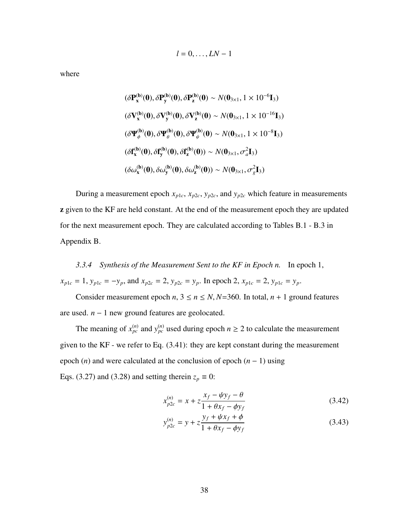$$
l=0,\ldots, LN-1
$$

where

$$
(\delta \mathbf{P}_{\mathbf{x}}^{(\mathbf{b})}(\mathbf{0}), \delta \mathbf{P}_{\mathbf{y}}^{(\mathbf{b})}(\mathbf{0}), \delta \mathbf{P}_{\mathbf{z}}^{(\mathbf{b})}(\mathbf{0}) \sim N(\mathbf{0}_{3\times 1}, 1 \times 10^{-6} \mathbf{I}_{3})
$$
  
\n
$$
(\delta \mathbf{V}_{\mathbf{x}}^{(\mathbf{b})}(\mathbf{0}), \delta \mathbf{V}_{\mathbf{y}}^{(\mathbf{b})}(\mathbf{0}), \delta \mathbf{V}_{\mathbf{z}}^{(\mathbf{b})}(\mathbf{0}) \sim N(\mathbf{0}_{3\times 1}, 1 \times 10^{-16} \mathbf{I}_{3})
$$
  
\n
$$
(\delta \mathbf{Y}_{\phi}^{(\mathbf{b})}(\mathbf{0}), \delta \mathbf{Y}_{\theta}^{(\mathbf{b})}(\mathbf{0}), \delta \mathbf{Y}_{\psi}^{(\mathbf{b})}(\mathbf{0}) \sim N(\mathbf{0}_{3\times 1}, 1 \times 10^{-8} \mathbf{I}_{3})
$$
  
\n
$$
(\delta \mathbf{f}_{\mathbf{x}}^{(\mathbf{b})}(\mathbf{0}), \delta \mathbf{f}_{\mathbf{y}}^{(\mathbf{b})}(\mathbf{0}), \delta \mathbf{f}_{\mathbf{z}}^{(\mathbf{b})}(\mathbf{0})) \sim N(\mathbf{0}_{3\times 1}, \sigma_{\mathbf{z}}^{2} \mathbf{I}_{3})
$$
  
\n
$$
(\delta \omega_{\mathbf{x}}^{(\mathbf{b})}(\mathbf{0}), \delta \omega_{\mathbf{y}}^{(\mathbf{b})}(\mathbf{0}), \delta \omega_{\mathbf{z}}^{(\mathbf{b})}(\mathbf{0})) \sim N(\mathbf{0}_{3\times 1}, \sigma_{\mathbf{z}}^{2} \mathbf{I}_{3})
$$

During a measurement epoch  $x_{p1c}$ ,  $x_{p2c}$ ,  $y_{p2c}$ , and  $y_{p2c}$  which feature in measurements z given to the KF are held constant. At the end of the measurement epoch they are updated for the next measurement epoch. They are calculated according to Tables B.1 - B.3 in Appendix B.

## *3.3.4 Synthesis of the Measurement Sent to the KF in Epoch n.* In epoch 1,  $x_{p1c} = 1$ ,  $y_{p1c} = -y_p$ , and  $x_{p2c} = 2$ ,  $y_{p2c} = y_p$ . In epoch 2,  $x_{p1c} = 2$ ,  $y_{p1c} = y_p$ .

Consider measurement epoch  $n, 3 \le n \le N, N=360$ . In total,  $n + 1$  ground features are used. *n* − 1 new ground features are geolocated.

The meaning of  $x_{pc}^{(n)}$  and  $y_{pc}^{(n)}$  used during epoch  $n \geq 2$  to calculate the measurement given to the KF - we refer to Eq. (3.41): they are kept constant during the measurement epoch (*n*) and were calculated at the conclusion of epoch (*n* − 1) using Eqs. (3.27) and (3.28) and setting therein  $z_p \equiv 0$ :

$$
x_{p2c}^{(n)} = x + z \frac{x_f - \psi y_f - \theta}{1 + \theta x_f - \phi y_f}
$$
 (3.42)

$$
y_{p2c}^{(n)} = y + z \frac{y_f + \psi x_f + \phi}{1 + \theta x_f - \phi y_f}
$$
 (3.43)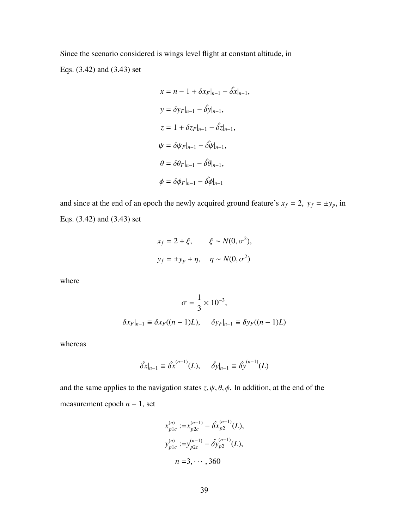Since the scenario considered is wings level flight at constant altitude, in Eqs. (3.42) and (3.43) set

$$
x = n - 1 + \delta x_F|_{n-1} - \hat{\delta x}|_{n-1},
$$
  
\n
$$
y = \delta y_F|_{n-1} - \hat{\delta y}|_{n-1},
$$
  
\n
$$
z = 1 + \delta z_F|_{n-1} - \hat{\delta z}|_{n-1},
$$
  
\n
$$
\psi = \delta \psi_F|_{n-1} - \hat{\delta \psi}|_{n-1},
$$
  
\n
$$
\theta = \delta \theta_F|_{n-1} - \hat{\delta \phi}|_{n-1},
$$
  
\n
$$
\phi = \delta \phi_F|_{n-1} - \hat{\delta \phi}|_{n-1}
$$

and since at the end of an epoch the newly acquired ground feature's  $x_f = 2$ ,  $y_f = \pm y_p$ , in Eqs. (3.42) and (3.43) set

$$
x_f = 2 + \xi, \qquad \xi \sim N(0, \sigma^2),
$$
  

$$
y_f = \pm y_p + \eta, \quad \eta \sim N(0, \sigma^2)
$$

where

$$
\sigma = \frac{1}{3} \times 10^{-3},
$$
  

$$
\delta x_F|_{n-1} \equiv \delta x_F((n-1)L), \quad \delta y_F|_{n-1} \equiv \delta y_F((n-1)L)
$$

whereas

$$
\hat{\delta x}|_{n-1} \equiv \hat{\delta x}^{(n-1)}(L), \quad \hat{\delta y}|_{n-1} \equiv \hat{\delta y}^{(n-1)}(L)
$$

and the same applies to the navigation states  $z, \psi, \theta, \phi$ . In addition, at the end of the measurement epoch *n* − 1, set

$$
x_{p1c}^{(n)} := x_{p2c}^{(n-1)} - \hat{\delta x}_{p2}^{(n-1)}(L),
$$
  
\n
$$
y_{p1c}^{(n)} := y_{p2c}^{(n-1)} - \hat{\delta y}_{p2}^{(n-1)}(L),
$$
  
\n
$$
n = 3, \cdots, 360
$$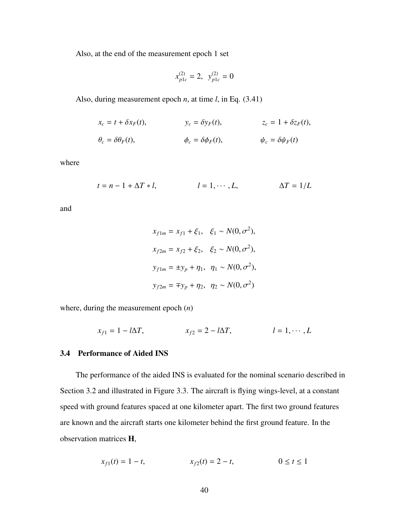Also, at the end of the measurement epoch 1 set

$$
x_{p1c}^{(2)} = 2, \ \ y_{p1c}^{(2)} = 0
$$

Also, during measurement epoch *n*, at time *l*, in Eq. (3.41)

$$
x_c = t + \delta x_F(t), \qquad y_c = \delta y_F(t), \qquad z_c = 1 + \delta z_F(t),
$$
  

$$
\theta_c = \delta \theta_F(t), \qquad \phi_c = \delta \phi_F(t), \qquad \psi_c = \delta \psi_F(t)
$$

where

$$
t = n - 1 + \Delta T * l, \qquad l = 1, \cdots, L, \qquad \Delta T = 1/L
$$

and

$$
x_{f1m} = x_{f1} + \xi_1, \quad \xi_1 \sim N(0, \sigma^2),
$$
  
\n
$$
x_{f2m} = x_{f2} + \xi_2, \quad \xi_2 \sim N(0, \sigma^2),
$$
  
\n
$$
y_{f1m} = \pm y_p + \eta_1, \quad \eta_1 \sim N(0, \sigma^2),
$$
  
\n
$$
y_{f2m} = \mp y_p + \eta_2, \quad \eta_2 \sim N(0, \sigma^2)
$$

where, during the measurement epoch (*n*)

$$
x_{f1} = 1 - l\Delta T, \qquad x_{f2} = 2 - l\Delta T, \qquad l = 1, \cdots, L
$$

## 3.4 Performance of Aided INS

The performance of the aided INS is evaluated for the nominal scenario described in Section 3.2 and illustrated in Figure 3.3. The aircraft is flying wings-level, at a constant speed with ground features spaced at one kilometer apart. The first two ground features are known and the aircraft starts one kilometer behind the first ground feature. In the observation matrices H,

$$
x_{f1}(t) = 1 - t, \qquad x_{f2}(t) = 2 - t, \qquad 0 \le t \le 1
$$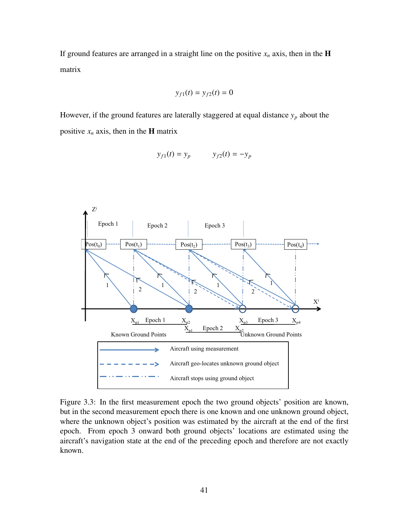If ground features are arranged in a straight line on the positive  $x_n$  axis, then in the **H** matrix

$$
y_{f1}(t)=y_{f2}(t)=0
$$

However, if the ground features are laterally staggered at equal distance  $y_p$  about the positive  $x_n$  axis, then in the **H** matrix

$$
y_{f1}(t) = y_p \qquad y_{f2}(t) = -y_p
$$



Figure 3.3: In the first measurement epoch the two ground objects' position are known, but in the second measurement epoch there is one known and one unknown ground object, where the unknown object's position was estimated by the aircraft at the end of the first epoch. From epoch 3 onward both ground objects' locations are estimated using the aircraft's navigation state at the end of the preceding epoch and therefore are not exactly known.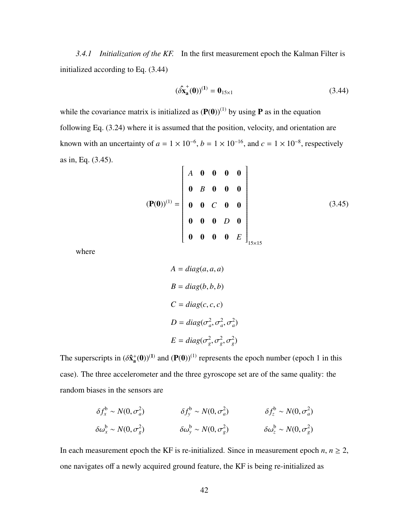*3.4.1 Initialization of the KF.* In the first measurement epoch the Kalman Filter is initialized according to Eq. (3.44)

$$
(\hat{\delta x}_a^+(0))^{(1)} = 0_{15 \times 1}
$$
 (3.44)

while the covariance matrix is initialized as  $(P(0))^{(1)}$  by using **P** as in the equation following Eq. (3.24) where it is assumed that the position, velocity, and orientation are known with an uncertainty of  $a = 1 \times 10^{-6}$ ,  $b = 1 \times 10^{-16}$ , and  $c = 1 \times 10^{-8}$ , respectively as in, Eq. (3.45).  $\mathbf{r}$  $\mathbf{I}$ 

$$
(\mathbf{P}(\mathbf{0}))^{(1)} = \begin{bmatrix} A & \mathbf{0} & \mathbf{0} & \mathbf{0} & \mathbf{0} \\ \mathbf{0} & B & \mathbf{0} & \mathbf{0} & \mathbf{0} \\ \mathbf{0} & \mathbf{0} & C & \mathbf{0} & \mathbf{0} \\ \mathbf{0} & \mathbf{0} & \mathbf{0} & D & \mathbf{0} \\ \mathbf{0} & \mathbf{0} & \mathbf{0} & \mathbf{0} & E \end{bmatrix}_{15 \times 15}
$$
 (3.45)

where

$$
A = diag(a, a, a)
$$
  
\n
$$
B = diag(b, b, b)
$$
  
\n
$$
C = diag(c, c, c)
$$
  
\n
$$
D = diag(\sigma_a^2, \sigma_a^2, \sigma_a^2)
$$
  
\n
$$
E = diag(\sigma_g^2, \sigma_g^2, \sigma_g^2)
$$

The superscripts in  $(\delta \hat{\mathbf{x}}_a^+(0))^{(1)}$  and  $(\mathbf{P}(0))^{(1)}$  represents the epoch number (epoch 1 in this case). The three accelerometer and the three gyroscope set are of the same quality: the random biases in the sensors are

$$
\delta f_x^{\text{b}} \sim N(0, \sigma_a^2) \qquad \qquad \delta f_y^{\text{b}} \sim N(0, \sigma_a^2) \qquad \qquad \delta f_z^{\text{b}} \sim N(0, \sigma_a^2)
$$
  

$$
\delta \omega_x^{\text{b}} \sim N(0, \sigma_g^2) \qquad \qquad \delta \omega_y^{\text{b}} \sim N(0, \sigma_g^2) \qquad \qquad \delta \omega_z^{\text{b}} \sim N(0, \sigma_g^2)
$$

In each measurement epoch the KF is re-initialized. Since in measurement epoch  $n, n \geq 2$ , one navigates off a newly acquired ground feature, the KF is being re-initialized as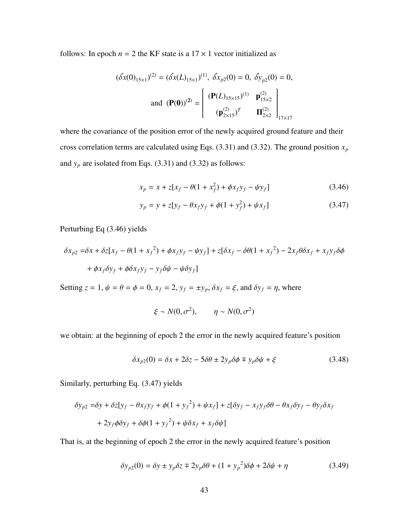follows: In epoch  $n = 2$  the KF state is a  $17 \times 1$  vector initialized as

$$
(\hat{\delta x}(0)_{15\times1})^{(2)} = (\hat{\delta x}(L)_{15\times1})^{(1)}, \ \hat{\delta x}_{p2}(0) = 0, \ \hat{\delta y}_{p2}(0) = 0,
$$
  
and 
$$
(\mathbf{P}(0))^{(2)} = \begin{bmatrix} (\mathbf{P}(L)_{15\times15})^{(1)} & \mathbf{p}_{15\times2}^{(2)} \\ (\mathbf{p}_{2\times15}^{(2)})^T & \mathbf{\Pi}_{2\times2}^{(2)} \end{bmatrix}_{17\times17}
$$

where the covariance of the position error of the newly acquired ground feature and their cross correlation terms are calculated using Eqs.  $(3.31)$  and  $(3.32)$ . The ground position  $x_p$ and  $y_p$  are isolated from Eqs. (3.31) and (3.32) as follows:

$$
x_p = x + z[x_f - \theta(1 + x_f^2) + \phi x_f y_f - \psi y_f]
$$
 (3.46)

$$
y_p = y + z[y_f - \theta x_f y_f + \phi (1 + y_f^2) + \psi x_f]
$$
 (3.47)

Perturbing Eq (3.46) yields

$$
\delta x_{p2} = \delta x + \delta z [x_f - \theta (1 + x_f^2) + \phi x_f y_f - \psi y_f] + z[\delta x_f - \delta \theta (1 + x_f^2) - 2x_f \theta \delta x_f + x_f y_f \delta \phi
$$
  
+ 
$$
\phi x_f \delta y_f + \phi \delta x_f y_f - y_f \delta \psi - \psi \delta y_f]
$$

Setting  $z = 1$ ,  $\psi = \theta = \phi = 0$ ,  $x_f = 2$ ,  $y_f = \pm y_p$ ,  $\delta x_f = \xi$ , and  $\delta y_f = \eta$ , where

$$
\xi \sim N(0, \sigma^2), \qquad \eta \sim N(0, \sigma^2)
$$

we obtain: at the beginning of epoch 2 the error in the newly acquired feature's position

$$
\delta x_{p2}(0) = \delta x + 2\delta z - 5\delta \theta \pm 2y_p \delta \phi \mp y_p \delta \psi + \xi \tag{3.48}
$$

Similarly, perturbing Eq. (3.47) yields

$$
\delta y_{p2} = \delta y + \delta z [y_f - \theta x_f y_f + \phi (1 + y_f^2) + \psi x_f] + z [\delta y_f - x_f y_f \delta \theta - \theta x_f \delta y_f - \theta y_f \delta x_f
$$
  
+  $2y_f \phi \delta y_f + \delta \phi (1 + y_f^2) + \psi \delta x_f + x_f \delta \psi]$ 

That is, at the beginning of epoch 2 the error in the newly acquired feature's position

$$
\delta y_{p2}(0) = \delta y \pm y_p \delta z \mp 2y_p \delta \theta + (1 + y_p^2) \delta \phi + 2\delta \psi + \eta
$$
\n(3.49)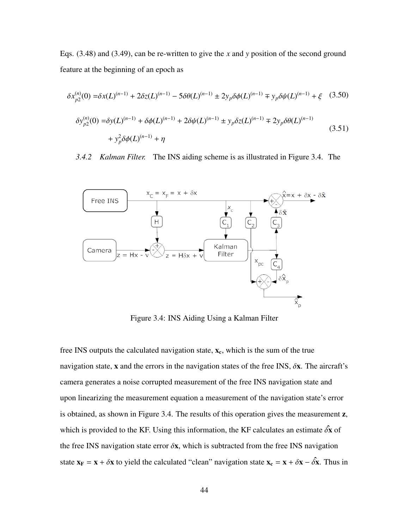Eqs. (3.48) and (3.49), can be re-written to give the *x* and *y* position of the second ground feature at the beginning of an epoch as

$$
\delta x_{p2}^{(n)}(0) = \delta x(L)^{(n-1)} + 2\delta z(L)^{(n-1)} - 5\delta\theta(L)^{(n-1)} \pm 2y_p \delta\phi(L)^{(n-1)} \mp y_p \delta\psi(L)^{(n-1)} + \xi \quad (3.50)
$$
  

$$
\delta y_{p2}^{(n)}(0) = \delta y(L)^{(n-1)} + \delta\phi(L)^{(n-1)} + 2\delta\psi(L)^{(n-1)} \pm y_p \delta z(L)^{(n-1)} \mp 2y_p \delta\theta(L)^{(n-1)} + y_p^2 \delta\phi(L)^{(n-1)} + \eta \quad (3.51)
$$

*3.4.2 Kalman Filter.* The INS aiding scheme is as illustrated in Figure 3.4. The



Figure 3.4: INS Aiding Using a Kalman Filter

free INS outputs the calculated navigation state,  $x_c$ , which is the sum of the true navigation state, x and the errors in the navigation states of the free INS,  $\delta x$ . The aircraft's camera generates a noise corrupted measurement of the free INS navigation state and upon linearizing the measurement equation a measurement of the navigation state's error is obtained, as shown in Figure 3.4. The results of this operation gives the measurement z, which is provided to the KF. Using this information, the KF calculates an estimate  $\delta \hat{\mathbf{x}}$  of the free INS navigation state error  $\delta x$ , which is subtracted from the free INS navigation state  $\mathbf{x_F} = \mathbf{x} + \delta \mathbf{x}$  to yield the calculated "clean" navigation state  $\mathbf{x_c} = \mathbf{x} + \delta \mathbf{x} - \delta \mathbf{\hat{x}}$ . Thus in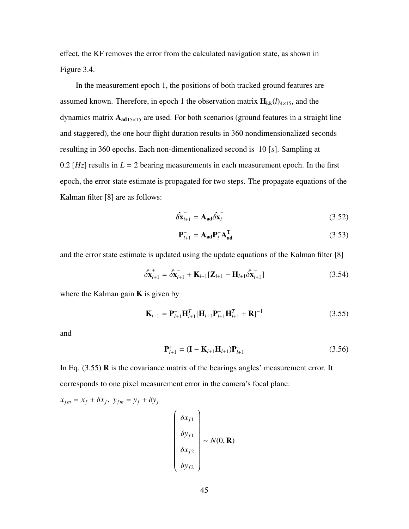effect, the KF removes the error from the calculated navigation state, as shown in Figure 3.4.

In the measurement epoch 1, the positions of both tracked ground features are assumed known. Therefore, in epoch 1 the observation matrix  $\mathbf{H}_{kk}(l)_{4\times15}$ , and the dynamics matrix  $A_{ad15\times15}$  are used. For both scenarios (ground features in a straight line and staggered), the one hour flight duration results in 360 nondimensionalized seconds resulting in 360 epochs. Each non-dimentionalized second is 10 [*s*]. Sampling at 0.2  $[Hz]$  results in  $L = 2$  bearing measurements in each measurement epoch. In the first epoch, the error state estimate is propagated for two steps. The propagate equations of the Kalman filter [8] are as follows:

$$
\hat{\delta \mathbf{x}}_{l+1} = \mathbf{A}_{ad} \hat{\delta \mathbf{x}}_l^{\dagger} \tag{3.52}
$$

$$
\mathbf{P}_{l+1}^{-} = \mathbf{A}_{ad} \mathbf{P}_{l}^{+} \mathbf{A}_{ad}^{\mathrm{T}}
$$
 (3.53)

and the error state estimate is updated using the update equations of the Kalman filter [8]

$$
\hat{\delta} \mathbf{x}_{l+1}^{\dagger} = \hat{\delta} \mathbf{x}_{l+1}^{\dagger} + \mathbf{K}_{l+1} [\mathbf{Z}_{l+1} - \mathbf{H}_{l+1} \hat{\delta} \mathbf{x}_{l+1}^{\dagger}]
$$
\n(3.54)

where the Kalman gain  $\bf{K}$  is given by

$$
\mathbf{K}_{l+1} = \mathbf{P}_{l+1}^{-} \mathbf{H}_{l+1}^{T} [\mathbf{H}_{l+1} \mathbf{P}_{l+1}^{-} \mathbf{H}_{l+1}^{T} + \mathbf{R}]^{-1}
$$
(3.55)

and

$$
\mathbf{P}_{l+1}^{+} = (\mathbf{I} - \mathbf{K}_{l+1} \mathbf{H}_{l+1}) \mathbf{P}_{l+1}^{-}
$$
 (3.56)

In Eq.  $(3.55)$  **R** is the covariance matrix of the bearings angles' measurement error. It corresponds to one pixel measurement error in the camera's focal plane:

$$
x_{fm} = x_f + \delta x_f, \ y_{fm} = y_f + \delta y_f
$$
\n
$$
\begin{pmatrix}\n\delta x_{f1} \\
\delta y_{f1} \\
\delta x_{f2} \\
\delta y_{f2}\n\end{pmatrix} \sim N(0, \mathbf{R})
$$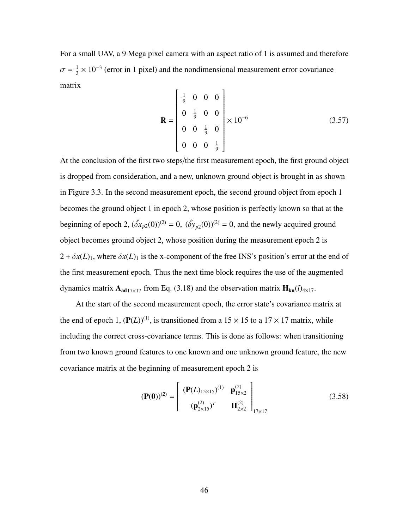For a small UAV, a 9 Mega pixel camera with an aspect ratio of 1 is assumed and therefore  $\sigma = \frac{1}{3}$  $\frac{1}{3} \times 10^{-3}$  (error in 1 pixel) and the nondimensional measurement error covariance matrix

$$
\mathbf{R} = \begin{bmatrix} \frac{1}{9} & 0 & 0 & 0 \\ 0 & \frac{1}{9} & 0 & 0 \\ 0 & 0 & \frac{1}{9} & 0 \\ 0 & 0 & 0 & \frac{1}{9} \end{bmatrix} \times 10^{-6}
$$
(3.57)

At the conclusion of the first two steps/the first measurement epoch, the first ground object is dropped from consideration, and a new, unknown ground object is brought in as shown in Figure 3.3. In the second measurement epoch, the second ground object from epoch 1 becomes the ground object 1 in epoch 2, whose position is perfectly known so that at the beginning of epoch 2,  $(\hat{\delta x}_{p2}(0))^{(2)} = 0$ ,  $(\hat{\delta y}_{p2}(0))^{(2)} = 0$ , and the newly acquired ground object becomes ground object 2, whose position during the measurement epoch 2 is  $2 + \delta x(L)_1$ , where  $\delta x(L)_1$  is the x-component of the free INS's position's error at the end of the first measurement epoch. Thus the next time block requires the use of the augmented dynamics matrix  $A_{ad17\times17}$  from Eq. (3.18) and the observation matrix  $H_{ku}(l)_{4\times17}$ .

At the start of the second measurement epoch, the error state's covariance matrix at the end of epoch 1,  $(\mathbf{P}(L))^{(1)}$ , is transitioned from a 15  $\times$  15 to a 17  $\times$  17 matrix, while including the correct cross-covariance terms. This is done as follows: when transitioning from two known ground features to one known and one unknown ground feature, the new covariance matrix at the beginning of measurement epoch 2 is

$$
(\mathbf{P}(\mathbf{0}))^{(2)} = \begin{bmatrix} (\mathbf{P}(L)_{15\times15})^{(1)} & \mathbf{p}_{15\times2}^{(2)} \\ (\mathbf{p}_{2\times15}^{(2)})^T & \mathbf{\Pi}_{2\times2}^{(2)} \end{bmatrix}_{17\times17}
$$
(3.58)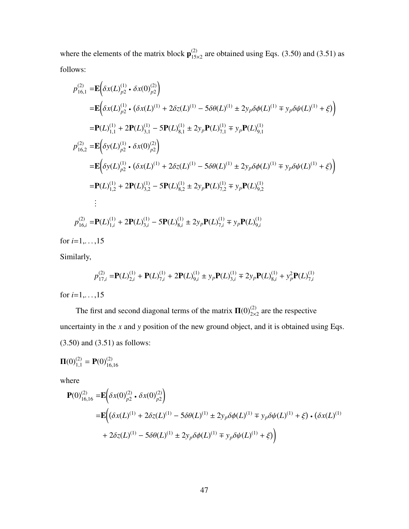where the elements of the matrix block  $\mathbf{p}_{15}^{(2)}$  $\frac{15}{15\times2}$  are obtained using Eqs. (3.50) and (3.51) as follows:

$$
p_{16,1}^{(2)} = \mathbf{E} \Big( \delta x(L)_{p2}^{(1)} \cdot \delta x(0)_{p2}^{(2)} \Big)
$$
  
\n
$$
= \mathbf{E} \Big( \delta x(L)_{p2}^{(1)} \cdot (\delta x(L)^{(1)} + 2\delta z(L)^{(1)} - 5\delta\theta(L)^{(1)} \pm 2y_p \delta\phi(L)^{(1)} \mp y_p \delta\psi(L)^{(1)} + \xi) \Big)
$$
  
\n
$$
= \mathbf{P}(L)_{1,1}^{(1)} + 2\mathbf{P}(L)_{3,1}^{(1)} - 5\mathbf{P}(L)_{8,1}^{(1)} \pm 2y_p \mathbf{P}(L)_{7,1}^{(1)} \mp y_p \mathbf{P}(L)_{9,1}^{(1)}
$$
  
\n
$$
p_{16,2}^{(2)} = \mathbf{E} \Big( \delta y(L)_{p2}^{(1)} \cdot \delta x(0)_{p2}^{(2)} \Big)
$$
  
\n
$$
= \mathbf{E} \Big( \delta y(L)_{p2}^{(1)} \cdot (\delta x(L)^{(1)} + 2\delta z(L)^{(1)} - 5\delta\theta(L)^{(1)} \pm 2y_p \delta\phi(L)^{(1)} \mp y_p \delta\psi(L)^{(1)} + \xi) \Big)
$$
  
\n
$$
= \mathbf{P}(L)_{1,2}^{(1)} + 2\mathbf{P}(L)_{3,2}^{(1)} - 5\mathbf{P}(L)_{8,2}^{(1)} \pm 2y_p \mathbf{P}(L)_{7,2}^{(1)} \mp y_p \mathbf{P}(L)_{9,2}^{(1)}
$$
  
\n
$$
\vdots
$$
  
\n
$$
p_{16,i}^{(2)} = \mathbf{P}(L)_{1,i}^{(1)} + 2\mathbf{P}(L)_{3,i}^{(1)} - 5\mathbf{P}(L)_{8,i}^{(1)} \pm 2y_p \mathbf{P}(L)_{7,i}^{(1)} \mp y_p \mathbf{P}(L)_{9,i}^{(1)}
$$

for  $i=1, \ldots, 15$ 

Similarly,

$$
p_{17,i}^{(2)} = P(L)_{2,i}^{(1)} + P(L)_{7,i}^{(1)} + 2P(L)_{9,i}^{(1)} \pm y_p P(L)_{3,i}^{(1)} \mp 2y_p P(L)_{8,i}^{(1)} + y_p^2 P(L)_{7,i}^{(1)}
$$

for  $i=1,...,15$ 

The first and second diagonal terms of the matrix  $\Pi(0)_{2\times 2}^{(2)}$  are the respective uncertainty in the *x* and *y* position of the new ground object, and it is obtained using Eqs. (3.50) and (3.51) as follows:

$$
\mathbf{\Pi}(0)_{1,1}^{(2)} = \mathbf{P}(0)_{16,16}^{(2)}
$$

where

$$
\begin{aligned} \mathbf{P}(0)_{16,16}^{(2)} &= \mathbf{E} \bigg( \delta x(0)_{p2}^{(2)} \cdot \delta x(0)_{p2}^{(2)} \bigg) \\ &= \mathbf{E} \bigg( \big( \delta x(L)^{(1)} + 2 \delta z(L)^{(1)} - 5 \delta \theta(L)^{(1)} \pm 2 y_p \delta \phi(L)^{(1)} \mp y_p \delta \psi(L)^{(1)} + \xi \big) \cdot \big( \delta x(L)^{(1)} \end{aligned}
$$
\n
$$
+ 2 \delta z(L)^{(1)} - 5 \delta \theta(L)^{(1)} \pm 2 y_p \delta \phi(L)^{(1)} \mp y_p \delta \psi(L)^{(1)} + \xi \bigg)
$$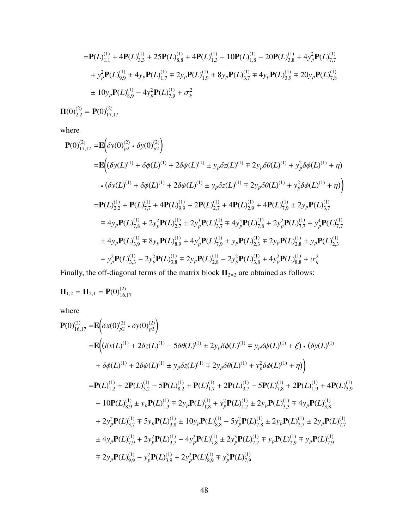$$
= \mathbf{P}(L)_{1,1}^{(1)} + 4\mathbf{P}(L)_{3,3}^{(1)} + 25\mathbf{P}(L)_{8,8}^{(1)} + 4\mathbf{P}(L)_{1,3}^{(1)} - 10\mathbf{P}(L)_{1,8}^{(1)} - 20\mathbf{P}(L)_{3,8}^{(1)} + 4y_p^2\mathbf{P}(L)_{7,7}^{(1)}
$$
  
+  $y_p^2\mathbf{P}(L)_{9,9}^{(1)} \pm 4y_p\mathbf{P}(L)_{1,7}^{(1)} \mp 2y_p\mathbf{P}(L)_{1,9}^{(1)} \pm 8y_p\mathbf{P}(L)_{3,7}^{(1)} \mp 4y_p\mathbf{P}(L)_{3,9}^{(1)} \mp 20y_p\mathbf{P}(L)_{7,8}^{(1)}$   

$$
\pm 10y_p\mathbf{P}(L)_{8,9}^{(1)} - 4y_p^2\mathbf{P}(L)_{7,9}^{(1)} + \sigma_{\xi}^2
$$
  

$$
\mathbf{\Pi}(0)_{2,2}^{(2)} = \mathbf{P}(0)_{17,17}^{(2)}
$$

where

$$
\mathbf{P}(0)_{17,17}^{(2)} = \mathbf{E} \Big( \delta y(0)_{p2}^{(2)} \cdot \delta y(0)_{p2}^{(2)} \Big)
$$
\n
$$
= \mathbf{E} \Big( (\delta y(L)^{(1)} + \delta \phi(L)^{(1)} + 2 \delta \psi(L)^{(1)} \pm y_p \delta z(L)^{(1)} \mp 2y_p \delta \theta(L)^{(1)} + y_p^2 \delta \phi(L)^{(1)} + \eta \Big)
$$
\n
$$
\cdot (\delta y(L)^{(1)} + \delta \phi(L)^{(1)} + 2 \delta \psi(L)^{(1)} \pm y_p \delta z(L)^{(1)} \mp 2y_p \delta \theta(L)^{(1)} + y_p^2 \delta \phi(L)^{(1)} + \eta \Big)
$$
\n
$$
= \mathbf{P}(L)_{2,2}^{(1)} + \mathbf{P}(L)_{7,7}^{(1)} + 4\mathbf{P}(L)_{9,9}^{(1)} + 2\mathbf{P}(L)_{2,7}^{(1)} + 4\mathbf{P}(L)_{2,9}^{(1)} + 4\mathbf{P}(L)_{7,9}^{(1)} \pm 2y_p \mathbf{P}(L)_{3,7}^{(1)}
$$
\n
$$
\pm 4y_p \mathbf{P}(L)_{7,8}^{(1)} + 2y_p^2 \mathbf{P}(L)_{2,7}^{(1)} \pm 2y_p^3 \mathbf{P}(L)_{3,7}^{(1)} \mp 4y_p^3 \mathbf{P}(L)_{7,8}^{(1)} \pm 2y_p^2 \mathbf{P}(L)_{7,7}^{(1)} + y_p^4 \mathbf{P}(L)_{7,7}^{(1)}
$$
\n
$$
\pm 4y_p \mathbf{P}(L)_{3,9}^{(1)} \mp 8y_p \mathbf{P}(L)_{8,9}^{(1)} + 4y_p^2 \mathbf{P}(L)_{7,9}^{(1)} \pm y_p \mathbf{P}(L)_{2,3}^{(1)} \mp 2y_p \mathbf{P}(L)_{2,8}^{(1)} \pm y_p \mathbf{P}(L)_{2,3}^{(1)}
$$
\n
$$
+ y_p^2 \mathbf{P}(L)_{3,3}^{(1)} - 2y_p^2 \mathbf{P}(L)_{3,8}^{(1)} \mp 2y_p \mathbf{P}(L)_{2,
$$

Finally, the off-diagonal terms of the matrix block  $\Pi_{2\times 2}$  are obtained as follows:

$$
\mathbf{\Pi}_{1,2} = \mathbf{\Pi}_{2,1} = \mathbf{P}(0)_{16,17}^{(2)}
$$

where

$$
\mathbf{P}(0)_{16,17}^{(2)} = \mathbf{E} \Big( \delta x(0)_{p2}^{(2)} \cdot \delta y(0)_{p2}^{(2)} \Big)
$$
\n
$$
= \mathbf{E} \Big( \Big( \delta x(L)^{(1)} + 2 \delta z(L)^{(1)} - 5 \delta \theta(L)^{(1)} \pm 2 y_p \delta \phi(L)^{(1)} \mp y_p \delta \psi(L)^{(1)} + \xi \Big) \cdot \Big( \delta y(L)^{(1)}
$$
\n
$$
+ \delta \phi(L)^{(1)} + 2 \delta \psi(L)^{(1)} \pm y_p \delta z(L)^{(1)} \mp 2 y_p \delta \theta(L)^{(1)} + y_p^2 \delta \phi(L)^{(1)} + \eta \Big) \Big)
$$
\n
$$
= \mathbf{P}(L)^{(1)}_{1,2} + 2 \mathbf{P}(L)^{(1)}_{3,2} - 5 \mathbf{P}(L)^{(1)}_{8,2} + \mathbf{P}(L)^{(1)}_{1,7} + 2 \mathbf{P}(L)^{(1)}_{3,7} - 5 \mathbf{P}(L)^{(1)}_{7,8} + 2 \mathbf{P}(L)^{(1)}_{1,9} + 4 \mathbf{P}(L)^{(1)}_{3,9}
$$
\n
$$
- 10 \mathbf{P}(L)^{(1)}_{8,9} \pm y_p \mathbf{P}(L)^{(1)}_{1,3} \mp 2 y_p \mathbf{P}(L)^{(1)}_{1,8} + y_p^2 \mathbf{P}(L)^{(1)}_{1,7} \pm 2 y_p \mathbf{P}(L)^{(1)}_{3,3} \mp 4 y_p \mathbf{P}(L)^{(1)}_{3,8}
$$
\n
$$
+ 2 y_p^2 \mathbf{P}(L)^{(1)}_{3,7} \mp 5 y_p \mathbf{P}(L)^{(1)}_{3,8} \pm 10 y_p \mathbf{P}(L)^{(1)}_{8,8} - 5 y_p^2 \mathbf{P}(L)^{(1)}_{7,8} \pm 2 y_p \mathbf{P}(L)^{(1)}_{2,7} \pm 2 y_p \mathbf{P}(L)^{(1)}_{7,7}
$$
\n
$$
\pm 4 y_p \mathbf{P}(L)^{(1)}_{7,9} + 2 y_p^2 \mathbf{P}(L)^{(1)}_{3,7} - 4 y_p^2 \mathbf{P}(L)^{(1)}_{7,8} \pm 2
$$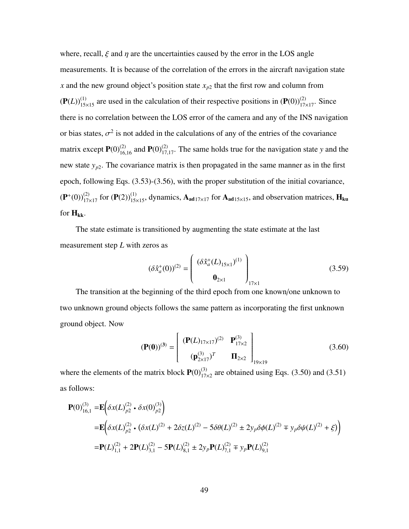where, recall,  $\xi$  and  $\eta$  are the uncertainties caused by the error in the LOS angle measurements. It is because of the correlation of the errors in the aircraft navigation state *x* and the new ground object's position state *x<sup>p</sup>*<sup>2</sup> that the first row and column from  $(P(L))_{15\times 15}^{(1)}$  are used in the calculation of their respective positions in  $(P(0))_{17\times 17}^{(2)}$ . Since there is no correlation between the LOS error of the camera and any of the INS navigation or bias states,  $\sigma^2$  is not added in the calculations of any of the entries of the covariance matrix except  $P(0)_{16,16}^{(2)}$  and  $P(0)_{17,17}^{(2)}$ . The same holds true for the navigation state *y* and the new state  $y_{p2}$ . The covariance matrix is then propagated in the same manner as in the first epoch, following Eqs. (3.53)-(3.56), with the proper substitution of the initial covariance,  $(P^+(0))_{17\times17}^{(2)}$  for  $(P(2))_{15\times15}^{(1)}$ , dynamics,  $A_{ad17\times17}$  for  $A_{ad15\times15}$ , and observation matrices,  $H_{ku}$ for  $H_{kk}$ .

The state estimate is transitioned by augmenting the state estimate at the last measurement step *L* with zeros as

$$
(\delta \hat{x}_a^+(0))^{(2)} = \begin{pmatrix} (\delta \hat{x}_a^+(L)_{15\times1})^{(1)} \\ 0_{2\times1} \end{pmatrix}_{17\times1} \tag{3.59}
$$

The transition at the beginning of the third epoch from one known/one unknown to two unknown ground objects follows the same pattern as incorporating the first unknown ground object. Now

$$
(\mathbf{P}(\mathbf{0}))^{(3)} = \begin{bmatrix} (\mathbf{P}(L)_{17\times17})^{(2)} & \mathbf{P}_{17\times2}^{(3)} \\ (\mathbf{p}_{2\times17})^T & \mathbf{\Pi}_{2\times2} \end{bmatrix}_{19\times19}
$$
(3.60)

where the elements of the matrix block  $P(0)^{(3)}_{17\times2}$  are obtained using Eqs. (3.50) and (3.51) as follows:

$$
\mathbf{P}(0)_{16,1}^{(3)} = \mathbf{E} \Big( \delta x(L)_{p2}^{(2)} \cdot \delta x(0)_{p2}^{(3)} \Big)
$$
  
= 
$$
\mathbf{E} \Big( \delta x(L)_{p2}^{(2)} \cdot (\delta x(L)^{(2)} + 2\delta z(L)^{(2)} - 5\delta \theta(L)^{(2)} \pm 2y_p \delta \phi(L)^{(2)} \mp y_p \delta \psi(L)^{(2)} + \xi) \Big)
$$
  
= 
$$
\mathbf{P}(L)_{1,1}^{(2)} + 2\mathbf{P}(L)_{3,1}^{(2)} - 5\mathbf{P}(L)_{8,1}^{(2)} \pm 2y_p \mathbf{P}(L)_{7,1}^{(2)} \mp y_p \mathbf{P}(L)_{9,1}^{(2)}
$$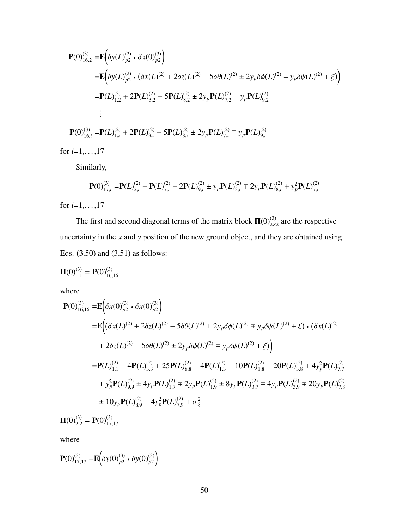$$
\begin{split} \mathbf{P}(0)_{16,2}^{(3)} &= \mathbf{E} \bigg( \delta y(L)_{p2}^{(2)} \cdot \delta x(0)_{p2}^{(3)} \bigg) \\ &= \mathbf{E} \bigg( \delta y(L)_{p2}^{(2)} \cdot (\delta x(L)^{(2)} + 2 \delta z(L)^{(2)} - 5 \delta \theta(L)^{(2)} \pm 2 y_p \delta \phi(L)^{(2)} \mp y_p \delta \psi(L)^{(2)} + \xi) \bigg) \\ &= \mathbf{P}(L)_{1,2}^{(2)} + 2 \mathbf{P}(L)_{3,2}^{(2)} - 5 \mathbf{P}(L)_{8,2}^{(2)} \pm 2 y_p \mathbf{P}(L)_{7,2}^{(2)} \mp y_p \mathbf{P}(L)_{9,2}^{(2)} \\ &\vdots \\ \mathbf{P}(0)_{16,i}^{(3)} &= \mathbf{P}(L)_{1,i}^{(2)} + 2 \mathbf{P}(L)_{3,i}^{(2)} - 5 \mathbf{P}(L)_{8,i}^{(2)} \pm 2 y_p \mathbf{P}(L)_{7,i}^{(2)} \mp y_p \mathbf{P}(L)_{9,i}^{(2)} \end{split}
$$

for *i*=1,. . . ,17

Similarly,

$$
\mathbf{P}(0)_{17,i}^{(3)} = \mathbf{P}(L)_{2,i}^{(2)} + \mathbf{P}(L)_{7,i}^{(2)} + 2\mathbf{P}(L)_{9,i}^{(2)} \pm y_p \mathbf{P}(L)_{3,i}^{(2)} \mp 2y_p \mathbf{P}(L)_{8,i}^{(2)} + y_p^2 \mathbf{P}(L)_{7,i}^{(2)}
$$

for *i*=1,. . . ,17

The first and second diagonal terms of the matrix block  $\Pi(0)_{2\times 2}^{(3)}$  are the respective uncertainty in the *x* and *y* position of the new ground object, and they are obtained using Eqs. (3.50) and (3.51) as follows:

$$
\mathbf{\Pi}(0)_{1,1}^{(3)} = \mathbf{P}(0)_{16,16}^{(3)}
$$

where

$$
\begin{split}\n\mathbf{P}(0)_{16,16}^{(3)} &= \mathbf{E} \bigg( \delta x(0)_{p2}^{(3)} \cdot \delta x(0)_{p2}^{(3)} \bigg) \\
&= \mathbf{E} \bigg( \big( \delta x(L)^{(2)} + 2 \delta z(L)^{(2)} - 5 \delta \theta(L)^{(2)} \pm 2 y_p \delta \phi(L)^{(2)} \mp y_p \delta \psi(L)^{(2)} + \xi \big) \cdot \big( \delta x(L)^{(2)} + 2 \delta z(L)^{(2)} - 5 \delta \theta(L)^{(2)} \pm 2 y_p \delta \phi(L)^{(2)} \mp y_p \delta \psi(L)^{(2)} + \xi \big) \bigg) \\
&= \mathbf{P}(L)_{1,1}^{(2)} + 4 \mathbf{P}(L)_{3,3}^{(2)} + 25 \mathbf{P}(L)_{8,8}^{(2)} + 4 \mathbf{P}(L)_{1,3}^{(2)} - 10 \mathbf{P}(L)_{1,8}^{(2)} - 20 \mathbf{P}(L)_{3,8}^{(2)} + 4 y_p^2 \mathbf{P}(L)_{7,7}^{(2)} \\
&+ y_p^2 \mathbf{P}(L)_{9,9}^{(2)} \pm 4 y_p \mathbf{P}(L)_{1,7}^{(2)} \mp 2 y_p \mathbf{P}(L)_{1,9}^{(2)} \pm 8 y_p \mathbf{P}(L)_{3,7}^{(2)} \mp 4 y_p \mathbf{P}(L)_{3,9}^{(2)} \mp 20 y_p \mathbf{P}(L)_{7,8}^{(2)} \\
& \pm 10 y_p \mathbf{P}(L)_{8,9}^{(2)} - 4 y_p^2 \mathbf{P}(L)_{7,9}^{(2)} + \sigma_{\xi}^2\n\end{split}
$$

 $\Pi(0)_{2,2}^{(3)} = \mathbf{P}(0)_{17,17}^{(3)}$ 

where

$$
\mathbf{P}(0)_{17,17}^{(3)} = \mathbf{E} \bigg( \delta y(0)_{p2}^{(3)} \cdot \delta y(0)_{p2}^{(3)} \bigg)
$$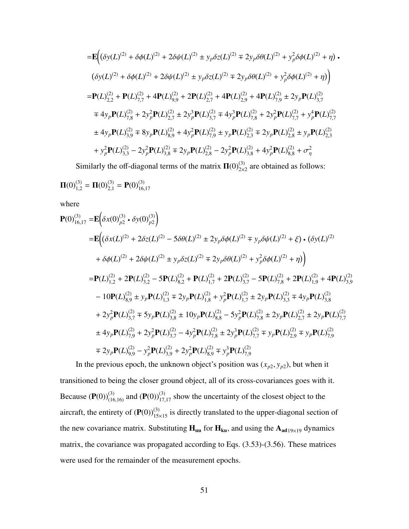$$
= \mathbf{E} \Big( (\delta y(L)^{(2)} + \delta \phi(L)^{(2)} + 2 \delta \psi(L)^{(2)} \pm y_p \delta z(L)^{(2)} \mp 2y_p \delta \theta(L)^{(2)} + y_p^2 \delta \phi(L)^{(2)} + \eta \Big) \cdot
$$
  
\n
$$
(\delta y(L)^{(2)} + \delta \phi(L)^{(2)} + 2 \delta \psi(L)^{(2)} \pm y_p \delta z(L)^{(2)} \mp 2y_p \delta \theta(L)^{(2)} + y_p^2 \delta \phi(L)^{(2)} + \eta \Big) \Big)
$$
  
\n
$$
= \mathbf{P}(L)^{(2)}_{2,2} + \mathbf{P}(L)^{(2)}_{7,7} + 4\mathbf{P}(L)^{(2)}_{9,9} + 2\mathbf{P}(L)^{(2)}_{2,7} + 4\mathbf{P}(L)^{(2)}_{2,9} + 4\mathbf{P}(L)^{(2)}_{7,9} \pm 2y_p \mathbf{P}(L)^{(2)}_{3,7}
$$
  
\n
$$
\mp 4y_p \mathbf{P}(L)^{(2)}_{7,8} + 2y_p^2 \mathbf{P}(L)^{(2)}_{2,7} \pm 2y_p^3 \mathbf{P}(L)^{(2)}_{3,7} \mp 4y_p^3 \mathbf{P}(L)^{(2)}_{7,8} + 2y_p^2 \mathbf{P}(L)^{(2)}_{7,7} + y_p^4 \mathbf{P}(L)^{(2)}_{7,7}
$$
  
\n
$$
\pm 4y_p \mathbf{P}(L)^{(2)}_{3,9} \mp 8y_p \mathbf{P}(L)^{(2)}_{8,9} + 4y_p^2 \mathbf{P}(L)^{(2)}_{7,9} \pm y_p \mathbf{P}(L)^{(2)}_{2,3} \mp 2y_p \mathbf{P}(L)^{(2)}_{2,8} \pm y_p \mathbf{P}(L)^{(2)}_{2,8}
$$
  
\n
$$
+ y_p^2 \mathbf{P}(L)^{(2)}_{3,3} - 2y_p^2 \mathbf{P}(L)^{(2)}_{3,8} \mp 2y_p \mathbf{P}(L)^{(2)}_{2,8} - 2y_p^2 \mathbf{P}(L)^{(2)}_{3,8} + 4y_p^2 \mathbf{P}(L)^{(2)}_{8,8} + \sigma_\eta^2
$$

Similarly the off-diagonal terms of the matrix  $\Pi(0)_{2\times 2}^{(3)}$  are obtained as follows:

$$
\mathbf{\Pi}(0)_{1,2}^{(3)} = \mathbf{\Pi}(0)_{2,1}^{(3)} = \mathbf{P}(0)_{16,17}^{(3)}
$$

where

$$
\begin{split}\n\mathbf{P}(0)_{16,17}^{(3)} &= \mathbf{E} \bigg( \delta x(0)_{p2}^{(3)} \cdot \delta y(0)_{p2}^{(3)} \bigg) \\
&= \mathbf{E} \bigg( \big( \delta x(L)^{(2)} + 2 \delta z(L)^{(2)} - 5 \delta \theta(L)^{(2)} \pm 2 y_p \delta \phi(L)^{(2)} \mp y_p \delta \psi(L)^{(2)} + \xi \big) \cdot \big( \delta y(L)^{(2)} \\
&+ \delta \phi(L)^{(2)} + 2 \delta \psi(L)^{(2)} \pm y_p \delta z(L)^{(2)} \mp 2 y_p \delta \theta(L)^{(2)} + y_p^2 \delta \phi(L)^{(2)} + \eta \big) \bigg) \\
&= \mathbf{P}(L)_{1,2}^{(2)} + 2 \mathbf{P}(L)_{3,2}^{(2)} - 5 \mathbf{P}(L)_{8,2}^{(2)} + \mathbf{P}(L)_{1,7}^{(2)} + 2 \mathbf{P}(L)_{3,7}^{(2)} - 5 \mathbf{P}(L)_{7,8}^{(2)} + 2 \mathbf{P}(L)_{1,9}^{(2)} + 4 \mathbf{P}(L)_{3,9}^{(2)} \\
&- 10 \mathbf{P}(L)_{8,9}^{(2)} \pm y_p \mathbf{P}(L)_{1,3}^{(2)} \mp 2 y_p \mathbf{P}(L)_{1,8}^{(2)} + y_p^2 \mathbf{P}(L)_{1,7}^{(2)} \pm 2 y_p \mathbf{P}(L)_{3,8}^{(2)} \mp 4 y_p \mathbf{P}(L)_{3,8}^{(2)} \\
&+ 2 y_p^2 \mathbf{P}(L)_{3,7}^{(2)} \mp 5 y_p \mathbf{P}(L)_{3,8}^{(2)} \pm 10 y_p \mathbf{P}(L)_{8,8}^{(2)} - 5 y_p^2 \mathbf{P}(L)_{7,8}^{(2)} \pm 2 y_p \mathbf{P}(L)_{2,7}^{(2)} \pm 2 y_p \mathbf{P}(L)_{7,7}^{(2)} \\
& \pm 4 y_p \mathbf{P}(L)_{7,9}^{(2)} + 2 y_p^2 \mathbf{P}(L)_{3,7}^{(2)} - 4 y_p^2 \mathbf{P}(L)_{7,8}^{(2)} \pm 2
$$

In the previous epoch, the unknown object's position was  $(x_{p2}, y_{p2})$ , but when it transitioned to being the closer ground object, all of its cross-covariances goes with it. Because  $(\mathbf{P}(0))_{(16,16)}^{(3)}$  and  $(\mathbf{P}(0))_{17,17}^{(3)}$  show the uncertainty of the closest object to the aircraft, the entirety of  $(P(0))_{15\times 15}^{(3)}$  is directly translated to the upper-diagonal section of the new covariance matrix. Substituting  $H_{uu}$  for  $H_{ku}$ , and using the  $A_{ad19\times19}$  dynamics matrix, the covariance was propagated according to Eqs. (3.53)-(3.56). These matrices were used for the remainder of the measurement epochs.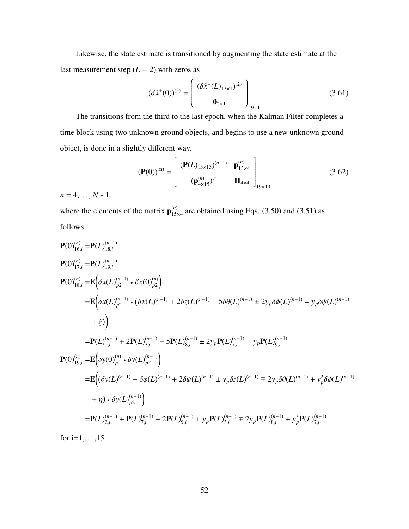Likewise, the state estimate is transitioned by augmenting the state estimate at the last measurement step  $(L = 2)$  with zeros as

$$
(\delta \hat{x}^{+}(0))^{(3)} = \begin{pmatrix} (\delta \hat{x}^{+}(L)_{17\times1})^{(2)} \\ 0_{2\times1} \end{pmatrix}_{19\times1} \tag{3.61}
$$

The transitions from the third to the last epoch, when the Kalman Filter completes a time block using two unknown ground objects, and begins to use a new unknown ground object, is done in a slightly different way.

$$
(\mathbf{P}(\mathbf{0}))^{(n)} = \begin{bmatrix} (\mathbf{P}(L)_{15\times15})^{(n-1)} & \mathbf{p}_{15\times4}^{(n)} \\ (\mathbf{p}_{4\times15}^{(n)})^T & \mathbf{\Pi}_{4\times4} \end{bmatrix}_{19\times19}
$$
(3.62)

 $n = 4, \ldots, N - 1$ 

where the elements of the matrix  $\mathbf{p}_{15}^{(n)}$  $\frac{(n)}{15\times4}$  are obtained using Eqs. (3.50) and (3.51) as follows:

$$
P(0)_{16,i}^{(n)} = P(L)_{18,i}^{(n-1)}
$$
  
\n
$$
P(0)_{17,i}^{(n)} = P(L)_{19,i}^{(n-1)}
$$
  
\n
$$
P(0)_{18,i}^{(n)} = E(\delta x(L)_{p2}^{(n-1)} \cdot \delta x(0)_{p2}^{(n)})
$$
  
\n
$$
= E(\delta x(L)_{p2}^{(n-1)} \cdot (\delta x(L)^{(n-1)} + 2\delta z(L)^{(n-1)} - 5\delta\theta(L)^{(n-1)} \pm 2y_p\delta\phi(L)^{(n-1)} \mp y_p\delta\psi(L)^{(n-1)}
$$
  
\n
$$
+ \xi)
$$
  
\n
$$
= P(L)_{1,i}^{(n-1)} + 2P(L)_{3,i}^{(n-1)} - 5P(L)_{8,i}^{(n-1)} \pm 2y_pP(L)_{7,i}^{(n-1)} \mp y_pP(L)_{9,i}^{(n-1)}
$$
  
\n
$$
P(0)_{19,i}^{(n)} = E(\delta y(0)_{p2}^{(n)} \cdot \delta y(L)_{p2}^{(n-1)})
$$
  
\n
$$
= E((\delta y(L)^{(n-1)} + \delta\phi(L)^{(n-1)} + 2\delta\psi(L)^{(n-1)} \pm y_p\delta z(L)^{(n-1)} \mp 2y_p\delta\theta(L)^{(n-1)} + y_p^2\delta\phi(L)^{(n-1)}
$$
  
\n
$$
+ \eta) \cdot \delta y(L)_{p2}^{(n-1)})
$$
  
\n
$$
= P(L)_{2,i}^{(n-1)} + P(L)_{7,i}^{(n-1)} + 2P(L)_{9,i}^{(n-1)} \pm y_pP(L)_{3,i}^{(n-1)} \mp 2y_pP(L)_{8,i}^{(n-1)} + y_p^2P(L)_{7,i}^{(n-1)}
$$

for  $i=1,...,15$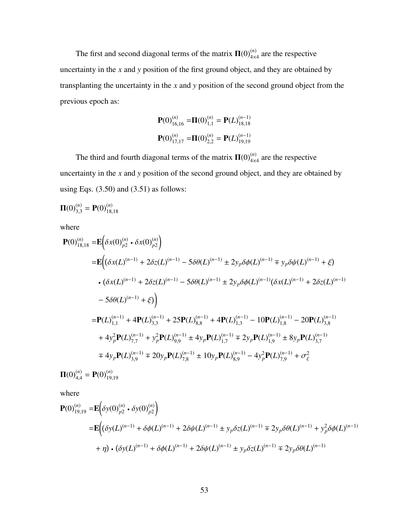The first and second diagonal terms of the matrix  $\Pi(0)_{4\times4}^{(n)}$  are the respective uncertainty in the *x* and *y* position of the first ground object, and they are obtained by transplanting the uncertainty in the *x* and *y* position of the second ground object from the previous epoch as:

$$
\mathbf{P}(0)_{16,16}^{(n)} = \mathbf{\Pi}(0)_{1,1}^{(n)} = \mathbf{P}(L)_{18,18}^{(n-1)}
$$

$$
\mathbf{P}(0)_{17,17}^{(n)} = \mathbf{\Pi}(0)_{2,2}^{(n)} = \mathbf{P}(L)_{19,19}^{(n-1)}
$$

The third and fourth diagonal terms of the matrix  $\Pi(0)^{(n)}_{4\times4}$  are the respective uncertainty in the *x* and *y* position of the second ground object, and they are obtained by using Eqs. (3.50) and (3.51) as follows:

$$
\mathbf{\Pi}(0)_{3,3}^{(n)} = \mathbf{P}(0)_{18,18}^{(n)}
$$

where

$$
\begin{split} \mathbf{P}(0)_{18,18}^{(n)} &= \mathbf{E} \bigg( \delta x(0)_{p2}^{(n)} \cdot \delta x(0)_{p2}^{(n)} \bigg) \\ &= \mathbf{E} \bigg( \big( \delta x(L)^{(n-1)} + 2 \delta z(L)^{(n-1)} - 5 \delta \theta(L)^{(n-1)} \pm 2 y_p \delta \phi(L)^{(n-1)} \mp y_p \delta \psi(L)^{(n-1)} + \xi \big) \\ &\cdot \big( \delta x(L)^{(n-1)} + 2 \delta z(L)^{(n-1)} - 5 \delta \theta(L)^{(n-1)} \pm 2 y_p \delta \phi(L)^{(n-1)} (\delta x(L)^{(n-1)} + 2 \delta z(L)^{(n-1)} - 5 \delta \theta(L)^{(n-1)} + \xi \big) \bigg) \\ &= \mathbf{P}(L)_{1,1}^{(n-1)} + 4 \mathbf{P}(L)_{3,3}^{(n-1)} + 25 \mathbf{P}(L)_{8,8}^{(n-1)} + 4 \mathbf{P}(L)_{1,3}^{(n-1)} - 10 \mathbf{P}(L)_{1,8}^{(n-1)} - 20 \mathbf{P}(L)_{3,8}^{(n-1)} + 4 y_p^2 \mathbf{P}(L)_{7,7}^{(n-1)} + y_p^2 \mathbf{P}(L)_{9,9}^{(n-1)} \pm 4 y_p \mathbf{P}(L)_{1,7}^{(n-1)} \mp 2 y_p \mathbf{P}(L)_{1,9}^{(n-1)} \pm 8 y_p \mathbf{P}(L)_{3,7}^{(n-1)} \\ &\neq 4 y_p \mathbf{P}(L)_{3,9}^{(n-1)} \mp 20 y_p \mathbf{P}(L)_{7,8}^{(n-1)} \pm 10 y_p \mathbf{P}(L)_{8,9}^{(n-1)} - 4 y_p^2 \mathbf{P}(L)_{7,9}^{(n-1)} + \sigma_{\xi}^2 \end{split}
$$

 $\Pi(0)_{4,4}^{(n)} = \mathbf{P}(0)_{19,19}^{(n)}$ 

where

$$
\begin{split} \mathbf{P}(0)_{19,19}^{(n)} &= \mathbf{E} \bigg( \delta y(0)_{p2}^{(n)} \cdot \delta y(0)_{p2}^{(n)} \bigg) \\ &= \mathbf{E} \bigg( \delta y(L)^{(n-1)} + \delta \phi(L)^{(n-1)} + 2 \delta \psi(L)^{(n-1)} \pm y_p \delta z(L)^{(n-1)} \mp 2y_p \delta \theta(L)^{(n-1)} + y_p^2 \delta \phi(L)^{(n-1)} \\ &+ \eta \bigg) \cdot (\delta y(L)^{(n-1)} + \delta \phi(L)^{(n-1)} + 2 \delta \psi(L)^{(n-1)} \pm y_p \delta z(L)^{(n-1)} \mp 2y_p \delta \theta(L)^{(n-1)} \end{split}
$$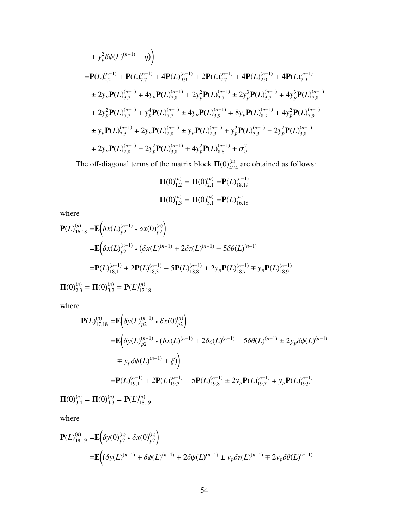+ 
$$
y_p^2 \delta \phi(L)^{(n-1)} + \eta
$$
)  
\n=  $\mathbf{P}(L)^{(n-1)}_{2,2} + \mathbf{P}(L)^{(n-1)}_{7,7} + 4\mathbf{P}(L)^{(n-1)}_{9,9} + 2\mathbf{P}(L)^{(n-1)}_{2,7} + 4\mathbf{P}(L)^{(n-1)}_{2,9} + 4\mathbf{P}(L)^{(n-1)}_{7,9}$   
\n+  $2y_p \mathbf{P}(L)^{(n-1)}_{3,7} + 4y_p \mathbf{P}(L)^{(n-1)}_{7,8} + 2y_p^2 \mathbf{P}(L)^{(n-1)}_{2,7} + 2y_p^3 \mathbf{P}(L)^{(n-1)}_{3,7} + 4y_p^3 \mathbf{P}(L)^{(n-1)}_{7,8}$   
\n+  $2y_p^2 \mathbf{P}(L)^{(n-1)}_{7,7} + y_p^4 \mathbf{P}(L)^{(n-1)}_{7,7} + 4y_p \mathbf{P}(L)^{(n-1)}_{3,9} + 8y_p \mathbf{P}(L)^{(n-1)}_{8,9} + 4y_p^2 \mathbf{P}(L)^{(n-1)}_{7,9}$   
\n+  $y_p \mathbf{P}(L)^{(n-1)}_{2,3} + 2y_p \mathbf{P}(L)^{(n-1)}_{2,8} + y_p \mathbf{P}(L)^{(n-1)}_{2,3} + y_p^2 \mathbf{P}(L)^{(n-1)}_{3,3} - 2y_p^2 \mathbf{P}(L)^{(n-1)}_{3,8}$   
\n+  $2y_p \mathbf{P}(L)^{(n-1)}_{2,8} - 2y_p^2 \mathbf{P}(L)^{(n-1)}_{3,8} + 4y_p^2 \mathbf{P}(L)^{(n-1)}_{8,8} + \sigma_\eta^2$ 

The off-diagonal terms of the matrix block  $\Pi(0)_{4\times4}^{(n)}$  are obtained as follows:

$$
\Pi(0)_{1,2}^{(n)} = \Pi(0)_{2,1}^{(n)} = P(L)_{18,19}^{(n-1)}
$$

$$
\Pi(0)_{1,3}^{(n)} = \Pi(0)_{3,1}^{(n)} = P(L)_{16,18}^{(n)}
$$

where

$$
\mathbf{P}(L)_{16,18}^{(n)} = \mathbf{E} \Big( \delta x(L)_{p2}^{(n-1)} \cdot \delta x(0)_{p2}^{(n)} \Big)
$$
  
\n
$$
= \mathbf{E} \Big( \delta x(L)_{p2}^{(n-1)} \cdot (\delta x(L)^{(n-1)} + 2\delta z(L)^{(n-1)} - 5\delta \theta(L)^{(n-1)} - 5\delta \theta(L)^{(n-1)} - 5\theta(L)^{(n-1)}_{18,1} + 2\mathbf{P}(L)^{(n-1)}_{18,3} - 5\mathbf{P}(L)^{(n-1)}_{18,8} \pm 2y_p \mathbf{P}(L)^{(n-1)}_{18,7} + y_p \mathbf{P}(L)^{(n-1)}_{18,9}
$$
  
\n
$$
\mathbf{\Pi}(0)_{2,3}^{(n)} = \mathbf{\Pi}(0)_{3,2}^{(n)} = \mathbf{P}(L)_{17,18}^{(n)}
$$

<sup>17</sup>,<sup>18</sup>

where

$$
\begin{split} \mathbf{P}(L)_{17,18}^{(n)} = & \mathbf{E} \bigg( \delta y(L)_{p2}^{(n-1)} \cdot \delta x(0)_{p2}^{(n)} \bigg) \\ & = \mathbf{E} \bigg( \delta y(L)_{p2}^{(n-1)} \cdot (\delta x(L)^{(n-1)} + 2\delta z(L)^{(n-1)} - 5\delta \theta(L)^{(n-1)} \pm 2y_p \delta \phi(L)^{(n-1)} \\ & \mp y_p \delta \psi(L)^{(n-1)} + \xi \bigg) \bigg) \\ & = \mathbf{P}(L)_{19,1}^{(n-1)} + 2\mathbf{P}(L)_{19,3}^{(n-1)} - 5\mathbf{P}(L)_{19,8}^{(n-1)} \pm 2y_p \mathbf{P}(L)_{19,7}^{(n-1)} \mp y_p \mathbf{P}(L)_{19,9}^{(n-1)} \bigg) \\ & = \mathbf{P}(L)_{19,1}^{(n)} + 2\mathbf{P}(L)_{19,3}^{(n-1)} - 5\mathbf{P}(L)_{19,8}^{(n-1)} \pm 2y_p \mathbf{P}(L)_{19,7}^{(n-1)} \mp y_p \mathbf{P}(L)_{19,9}^{(n-1)} \bigg) \end{split}
$$

 $\Pi(0)_{3,4}^{(n)} = \Pi(0)_{4,3}^{(n)} = P(L)_{18,4}^{(n)}$ <sup>18</sup>,<sup>19</sup>

where

$$
\mathbf{P}(L)_{18,19}^{(n)} = \mathbf{E} \Big( \delta y(0)_{p2}^{(n)} \cdot \delta x(0)_{p2}^{(n)} \Big)
$$
  
= 
$$
\mathbf{E} \Big( \big( \delta y(L)^{(n-1)} + \delta \phi(L)^{(n-1)} + 2 \delta \psi(L)^{(n-1)} \pm y_p \delta z(L)^{(n-1)} \mp 2y_p \delta \theta(L)^{(n-1)}
$$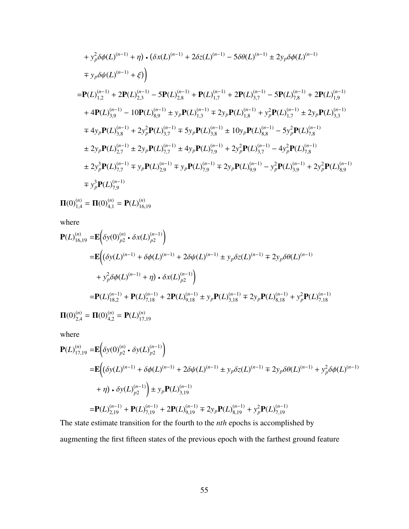+ 
$$
y_p^2 \delta \phi(L)^{(n-1)} + \eta) \cdot (\delta x(L)^{(n-1)} + 2 \delta z(L)^{(n-1)} - 5 \delta \theta(L)^{(n-1)} \pm 2y_p \delta \phi(L)^{(n-1)}
$$
  
\n=  $\mathbf{P}(L)^{(n-1)}_{1,2} + 2\mathbf{P}(L)^{(n-1)}_{2,3} - 5\mathbf{P}(L)^{(n-1)}_{2,8} + \mathbf{P}(L)^{(n-1)}_{1,7} + 2\mathbf{P}(L)^{(n-1)}_{3,7} - 5\mathbf{P}(L)^{(n-1)}_{7,8} + 2\mathbf{P}(L)^{(n-1)}_{1,9}$   
\n+  $4\mathbf{P}(L)^{(n-1)}_{3,9} - 10\mathbf{P}(L)^{(n-1)}_{8,9} \pm y_p\mathbf{P}(L)^{(n-1)}_{1,3} \mp 2y_p\mathbf{P}(L)^{(n-1)}_{1,8} + y_p^2\mathbf{P}(L)^{(n-1)}_{1,7} \pm 2y_p\mathbf{P}(L)^{(n-1)}_{3,3}$   
\n=  $4y_p\mathbf{P}(L)^{(n-1)}_{3,8} + 2y_p^2\mathbf{P}(L)^{(n-1)}_{3,7} \mp 5y_p\mathbf{P}(L)^{(n-1)}_{3,8} \pm 10y_p\mathbf{P}(L)^{(n-1)}_{8,8} - 5y_p^2\mathbf{P}(L)^{(n-1)}_{7,8}$   
\n $\pm 2y_p\mathbf{P}(L)^{(n-1)}_{2,7} \pm 2y_p\mathbf{P}(L)^{(n-1)}_{7,7} \pm 4y_p\mathbf{P}(L)^{(n-1)}_{7,9} + 2y_p^2\mathbf{P}(L)^{(n-1)}_{3,7} - 4y_p^2\mathbf{P}(L)^{(n-1)}_{7,8}$   
\n $\pm 2y_p^3\mathbf{P}(L)^{(n-1)}_{7,7} \mp y_p\mathbf{P}(L)^{(n-1)}_{2,9} \mp y_p\mathbf{P}(L)^{(n-1)}_{7,9} \mp 2y_p\mathbf{P}(L)^{(n-1)}_{9,9} - y_p^2\mathbf{P}(L)^{(n-1)}_{3,9} + 2y_p^2\mathbf{P$ 

 $\Pi(0)_{1,4}^{(n)} = \Pi(0)_{4,1}^{(n)} = P(L)_{16,4}^{(n)}$ <sup>16</sup>,<sup>19</sup>

where

$$
\mathbf{P}(L)_{16,19}^{(n)} = \mathbf{E} \Big( \delta y(0)_{p2}^{(n)} \cdot \delta x(L)_{p2}^{(n-1)} \Big)
$$
  
\n
$$
= \mathbf{E} \Big( (\delta y(L)^{(n-1)} + \delta \phi(L)^{(n-1)} + 2 \delta \psi(L)^{(n-1)} \pm y_p \delta z(L)^{(n-1)} \mp 2y_p \delta \theta(L)^{(n-1)}
$$
  
\n
$$
+ y_p^2 \delta \phi(L)^{(n-1)} + \eta \Big) \cdot \delta x(L)_{p2}^{(n-1)} \Big)
$$
  
\n
$$
= \mathbf{P}(L)_{18,2}^{(n-1)} + \mathbf{P}(L)_{7,18}^{(n-1)} + 2\mathbf{P}(L)_{9,18}^{(n-1)} \pm y_p \mathbf{P}(L)_{3,18}^{(n-1)} \mp 2y_p \mathbf{P}(L)_{8,18}^{(n-1)} + y_p^2 \mathbf{P}(L)_{7,18}^{(n-1)}
$$
  
\n
$$
\mathbf{\Pi}(0)_{2,4}^{(n)} = \mathbf{\Pi}(0)_{4,2}^{(n)} = \mathbf{P}(L)_{17,19}^{(n)}
$$

where

$$
\mathbf{P}(L)_{17,19}^{(n)} = \mathbf{E} \Big( \delta y(0)_{p2}^{(n)} \cdot \delta y(L)_{p2}^{(n-1)} \Big)
$$
  
\n
$$
= \mathbf{E} \Big( \delta y(L)^{(n-1)} + \delta \phi(L)^{(n-1)} + 2 \delta \psi(L)^{(n-1)} \pm y_p \delta z(L)^{(n-1)} \mp 2 y_p \delta \theta(L)^{(n-1)} + y_p^2 \delta \phi(L)^{(n-1)}
$$
  
\n
$$
+ \eta \Big) \cdot \delta y(L)_{p2}^{(n-1)} \Big) \pm y_p \mathbf{P}(L)_{3,19}^{(n-1)}
$$
  
\n
$$
= \mathbf{P}(L)_{2,19}^{(n-1)} + \mathbf{P}(L)_{7,19}^{(n-1)} + 2 \mathbf{P}(L)_{9,19}^{(n-1)} \mp 2 y_p \mathbf{P}(L)_{8,19}^{(n-1)} + y_p^2 \mathbf{P}(L)_{7,19}^{(n-1)}
$$

The state estimate transition for the fourth to the *nth* epochs is accomplished by augmenting the first fifteen states of the previous epoch with the farthest ground feature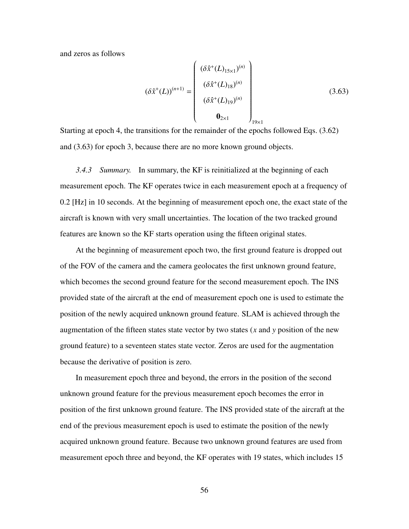and zeros as follows

$$
(\delta \hat{x}^{+}(L))^{(n+1)} = \begin{pmatrix} (\delta \hat{x}^{+}(L)_{15\times1})^{(n)} \\ (\delta \hat{x}^{+}(L)_{18})^{(n)} \\ (\delta \hat{x}^{+}(L)_{19})^{(n)} \\ \mathbf{0}_{2\times1} \end{pmatrix}_{19\times1}
$$
 (3.63)

Starting at epoch 4, the transitions for the remainder of the epochs followed Eqs. (3.62) and (3.63) for epoch 3, because there are no more known ground objects.

*3.4.3 Summary.* In summary, the KF is reinitialized at the beginning of each measurement epoch. The KF operates twice in each measurement epoch at a frequency of 0.2 [Hz] in 10 seconds. At the beginning of measurement epoch one, the exact state of the aircraft is known with very small uncertainties. The location of the two tracked ground features are known so the KF starts operation using the fifteen original states.

At the beginning of measurement epoch two, the first ground feature is dropped out of the FOV of the camera and the camera geolocates the first unknown ground feature, which becomes the second ground feature for the second measurement epoch. The INS provided state of the aircraft at the end of measurement epoch one is used to estimate the position of the newly acquired unknown ground feature. SLAM is achieved through the augmentation of the fifteen states state vector by two states (*x* and *y* position of the new ground feature) to a seventeen states state vector. Zeros are used for the augmentation because the derivative of position is zero.

In measurement epoch three and beyond, the errors in the position of the second unknown ground feature for the previous measurement epoch becomes the error in position of the first unknown ground feature. The INS provided state of the aircraft at the end of the previous measurement epoch is used to estimate the position of the newly acquired unknown ground feature. Because two unknown ground features are used from measurement epoch three and beyond, the KF operates with 19 states, which includes 15

56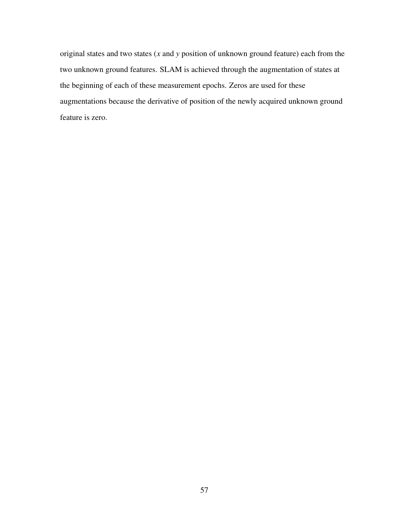original states and two states (*x* and *y* position of unknown ground feature) each from the two unknown ground features. SLAM is achieved through the augmentation of states at the beginning of each of these measurement epochs. Zeros are used for these augmentations because the derivative of position of the newly acquired unknown ground feature is zero.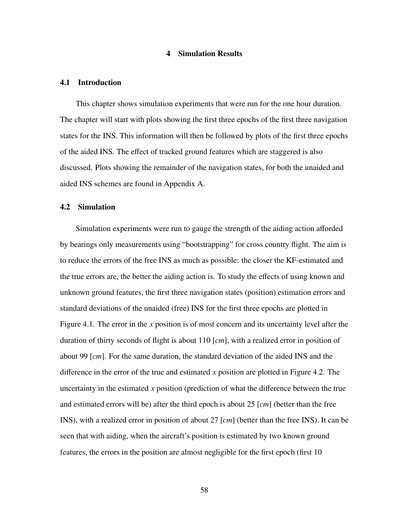## 4 Simulation Results

#### 4.1 Introduction

This chapter shows simulation experiments that were run for the one hour duration. The chapter will start with plots showing the first three epochs of the first three navigation states for the INS. This information will then be followed by plots of the first three epochs of the aided INS. The effect of tracked ground features which are staggered is also discussed. Plots showing the remainder of the navigation states, for both the unaided and aided INS schemes are found in Appendix A.

### 4.2 Simulation

Simulation experiments were run to gauge the strength of the aiding action afforded by bearings only measurements using "bootstrapping" for cross country flight. The aim is to reduce the errors of the free INS as much as possible: the closer the KF-estimated and the true errors are, the better the aiding action is. To study the effects of using known and unknown ground features, the first three navigation states (position) estimation errors and standard deviations of the unaided (free) INS for the first three epochs are plotted in Figure 4.1. The error in the *x* position is of most concern and its uncertainty level after the duration of thirty seconds of flight is about 110 [*cm*], with a realized error in position of about 99 [*cm*]. For the same duration, the standard deviation of the aided INS and the difference in the error of the true and estimated *x* position are plotted in Figure 4.2. The uncertainty in the estimated *x* position (prediction of what the difference between the true and estimated errors will be) after the third epoch is about 25 [*cm*] (better than the free INS), with a realized error in position of about 27 [*cm*] (better than the free INS). It can be seen that with aiding, when the aircraft's position is estimated by two known ground features, the errors in the position are almost negligible for the first epoch (first 10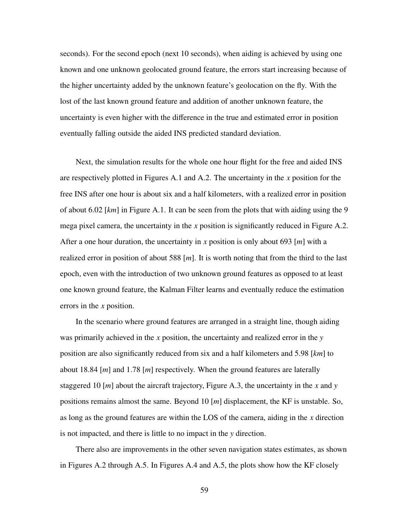seconds). For the second epoch (next 10 seconds), when aiding is achieved by using one known and one unknown geolocated ground feature, the errors start increasing because of the higher uncertainty added by the unknown feature's geolocation on the fly. With the lost of the last known ground feature and addition of another unknown feature, the uncertainty is even higher with the difference in the true and estimated error in position eventually falling outside the aided INS predicted standard deviation.

Next, the simulation results for the whole one hour flight for the free and aided INS are respectively plotted in Figures A.1 and A.2. The uncertainty in the *x* position for the free INS after one hour is about six and a half kilometers, with a realized error in position of about 6.02 [*km*] in Figure A.1. It can be seen from the plots that with aiding using the 9 mega pixel camera, the uncertainty in the *x* position is significantly reduced in Figure A.2. After a one hour duration, the uncertainty in *x* position is only about 693 [*m*] with a realized error in position of about 588 [*m*]. It is worth noting that from the third to the last epoch, even with the introduction of two unknown ground features as opposed to at least one known ground feature, the Kalman Filter learns and eventually reduce the estimation errors in the *x* position.

In the scenario where ground features are arranged in a straight line, though aiding was primarily achieved in the *x* position, the uncertainty and realized error in the *y* position are also significantly reduced from six and a half kilometers and 5.98 [*km*] to about 18.84 [*m*] and 1.78 [*m*] respectively. When the ground features are laterally staggered 10 [*m*] about the aircraft trajectory, Figure A.3, the uncertainty in the *x* and *y* positions remains almost the same. Beyond 10 [*m*] displacement, the KF is unstable. So, as long as the ground features are within the LOS of the camera, aiding in the *x* direction is not impacted, and there is little to no impact in the *y* direction.

There also are improvements in the other seven navigation states estimates, as shown in Figures A.2 through A.5. In Figures A.4 and A.5, the plots show how the KF closely

59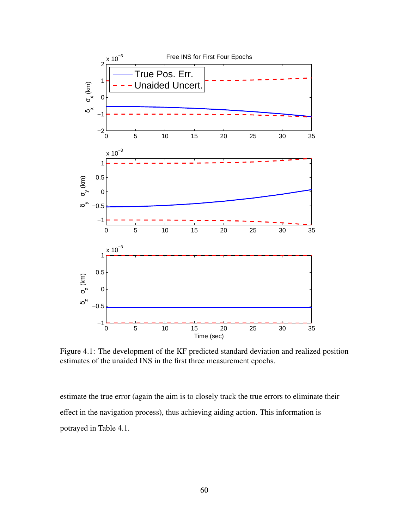

Figure 4.1: The development of the KF predicted standard deviation and realized position estimates of the unaided INS in the first three measurement epochs.

estimate the true error (again the aim is to closely track the true errors to eliminate their effect in the navigation process), thus achieving aiding action. This information is potrayed in Table 4.1.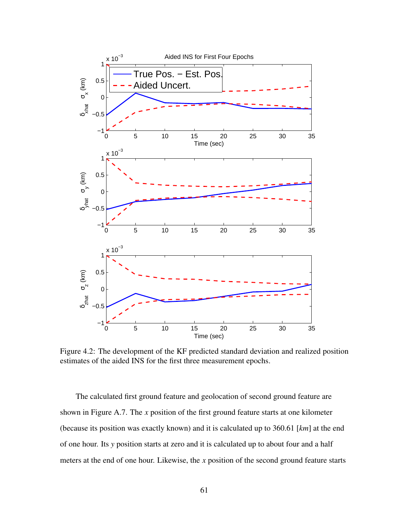

Figure 4.2: The development of the KF predicted standard deviation and realized position estimates of the aided INS for the first three measurement epochs.

The calculated first ground feature and geolocation of second ground feature are shown in Figure A.7. The *x* position of the first ground feature starts at one kilometer (because its position was exactly known) and it is calculated up to 360.61 [*km*] at the end of one hour. Its *y* position starts at zero and it is calculated up to about four and a half meters at the end of one hour. Likewise, the *x* position of the second ground feature starts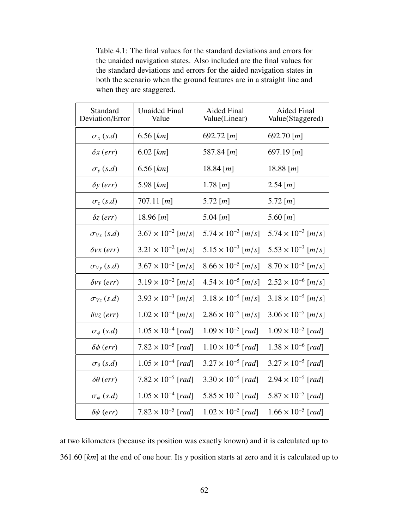Table 4.1: The final values for the standard deviations and errors for the unaided navigation states. Also included are the final values for the standard deviations and errors for the aided navigation states in both the scenario when the ground features are in a straight line and when they are staggered.

| Standard<br>Deviation/Error | <b>Unaided Final</b><br>Value | <b>Aided Final</b><br>Value(Linear) | Aided Final<br>Value(Staggered)      |
|-----------------------------|-------------------------------|-------------------------------------|--------------------------------------|
| $\sigma_x(s.d)$             | $6.56$ [ $km$ ]               | 692.72 [ $m$ ]                      | 692.70 [ $m$ ]                       |
| $\delta x$ (err)            | $6.02$ [ $km$ ]               | 587.84 [ <i>m</i> ]                 | 697.19 [ <i>m</i> ]                  |
| $\sigma_{\rm y}$ (s.d)      | $6.56$ [ $km$ ]               | 18.84 [ $m$ ]                       | 18.88 [ <i>m</i> ]                   |
| $\delta y$ (err)            | 5.98 $[km]$                   | 1.78 [ <i>m</i> ]                   | $2.54$ [ <i>m</i> ]                  |
| $\sigma_z(s.d)$             | 707.11 $[m]$                  | 5.72 $[m]$                          | 5.72 $[m]$                           |
| $\delta z$ (err)            | 18.96 [ <i>m</i> ]            | 5.04 [ $m$ ]                        | 5.60 [ $m$ ]                         |
| $\sigma_{V_{x}}(s.d)$       | $3.67 \times 10^{-2}$ [m/s]   | $5.74 \times 10^{-3}$ [m/s]         | $5.74 \times 10^{-3}$ [m/s]          |
| $\delta vx$ (err)           | $3.21 \times 10^{-2}$ [m/s]   | $5.15 \times 10^{-3}$ [m/s]         | $5.53 \times 10^{-3}$ [m/s]          |
| $\sigma_{Vv}(s.d)$          | $3.67 \times 10^{-2}$ [m/s]   | $8.66 \times 10^{-5}$ [m/s]         | $8.70 \times 10^{-5}$ [ <i>m</i> /s] |
| $\delta v y$ (err)          | $3.19 \times 10^{-2}$ [m/s]   | $4.54 \times 10^{-5}$ [m/s]         | $2.52 \times 10^{-6}$ [m/s]          |
| $\sigma_{V_z}(s.d)$         | $3.93 \times 10^{-3}$ [m/s]   | $3.18 \times 10^{-5}$ [m/s]         | $3.18 \times 10^{-5}$ [m/s]          |
| $\delta v z$ (err)          | $1.02 \times 10^{-4}$ [m/s]   | $2.86 \times 10^{-5}$ [m/s]         | $3.06 \times 10^{-5}$ [m/s]          |
| $\sigma_{\phi}$ (s.d)       | $1.05 \times 10^{-4}$ [rad]   | $1.09 \times 10^{-5}$ [rad]         | $1.09 \times 10^{-5}$ [rad]          |
| $\delta\phi$ (err)          | $7.82 \times 10^{-5}$ [rad]   | $1.10 \times 10^{-6}$ [rad]         | $1.38 \times 10^{-6}$ [rad]          |
| $\sigma_{\theta}$ (s.d)     | $1.05 \times 10^{-4}$ [rad]   | $3.27 \times 10^{-5}$ [rad]         | $3.27 \times 10^{-5}$ [rad]          |
| $\delta\theta$ (err)        | $7.82 \times 10^{-5}$ [rad]   | $3.30 \times 10^{-5}$ [rad]         | $2.94 \times 10^{-5}$ [rad]          |
| $\sigma_{\psi}$ (s.d)       | $1.05 \times 10^{-4}$ [rad]   | $5.85 \times 10^{-5}$ [rad]         | $5.87 \times 10^{-5}$ [rad]          |
| $\delta \psi$ (err)         | $7.82 \times 10^{-5}$ [rad]   | $1.02 \times 10^{-5}$ [rad]         | $1.66 \times 10^{-5}$ [rad]          |

at two kilometers (because its position was exactly known) and it is calculated up to <sup>361</sup>.60 [*km*] at the end of one hour. Its *<sup>y</sup>* position starts at zero and it is calculated up to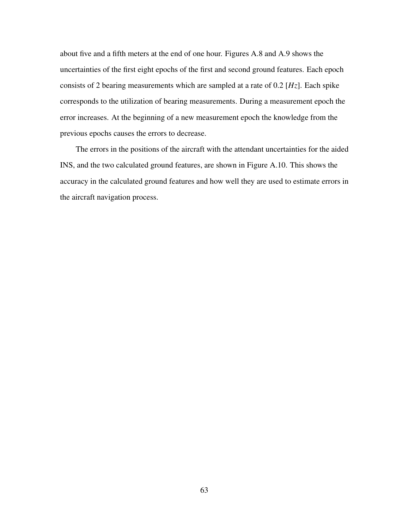about five and a fifth meters at the end of one hour. Figures A.8 and A.9 shows the uncertainties of the first eight epochs of the first and second ground features. Each epoch consists of 2 bearing measurements which are sampled at a rate of 0.2 [*Hz*]. Each spike corresponds to the utilization of bearing measurements. During a measurement epoch the error increases. At the beginning of a new measurement epoch the knowledge from the previous epochs causes the errors to decrease.

The errors in the positions of the aircraft with the attendant uncertainties for the aided INS, and the two calculated ground features, are shown in Figure A.10. This shows the accuracy in the calculated ground features and how well they are used to estimate errors in the aircraft navigation process.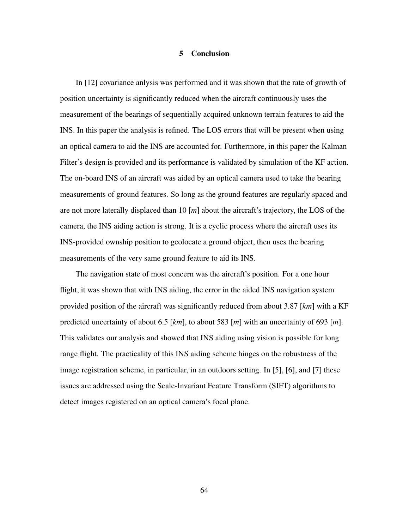### 5 Conclusion

In [12] covariance anlysis was performed and it was shown that the rate of growth of position uncertainty is significantly reduced when the aircraft continuously uses the measurement of the bearings of sequentially acquired unknown terrain features to aid the INS. In this paper the analysis is refined. The LOS errors that will be present when using an optical camera to aid the INS are accounted for. Furthermore, in this paper the Kalman Filter's design is provided and its performance is validated by simulation of the KF action. The on-board INS of an aircraft was aided by an optical camera used to take the bearing measurements of ground features. So long as the ground features are regularly spaced and are not more laterally displaced than 10 [*m*] about the aircraft's trajectory, the LOS of the camera, the INS aiding action is strong. It is a cyclic process where the aircraft uses its INS-provided ownship position to geolocate a ground object, then uses the bearing measurements of the very same ground feature to aid its INS.

The navigation state of most concern was the aircraft's position. For a one hour flight, it was shown that with INS aiding, the error in the aided INS navigation system provided position of the aircraft was significantly reduced from about 3.87 [*km*] with a KF predicted uncertainty of about 6.5 [*km*], to about 583 [*m*] with an uncertainty of 693 [*m*]. This validates our analysis and showed that INS aiding using vision is possible for long range flight. The practicality of this INS aiding scheme hinges on the robustness of the image registration scheme, in particular, in an outdoors setting. In [5], [6], and [7] these issues are addressed using the Scale-Invariant Feature Transform (SIFT) algorithms to detect images registered on an optical camera's focal plane.

64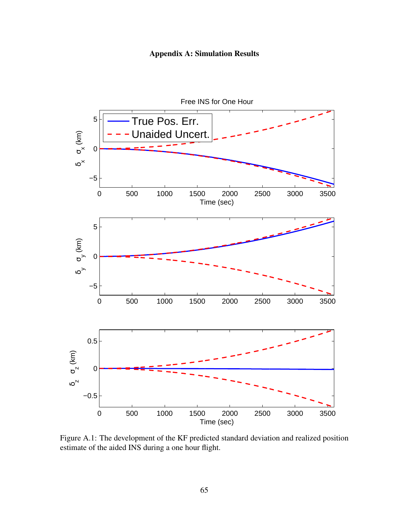



Figure A.1: The development of the KF predicted standard deviation and realized position estimate of the aided INS during a one hour flight.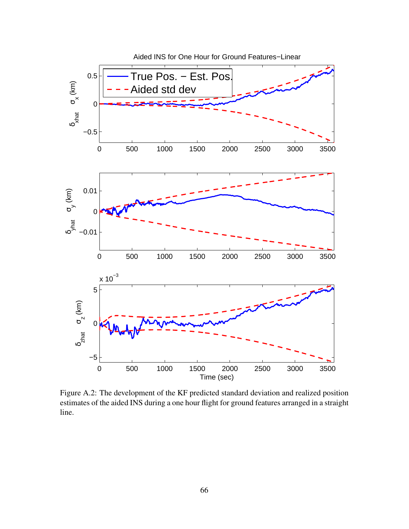

Figure A.2: The development of the KF predicted standard deviation and realized position estimates of the aided INS during a one hour flight for ground features arranged in a straight line.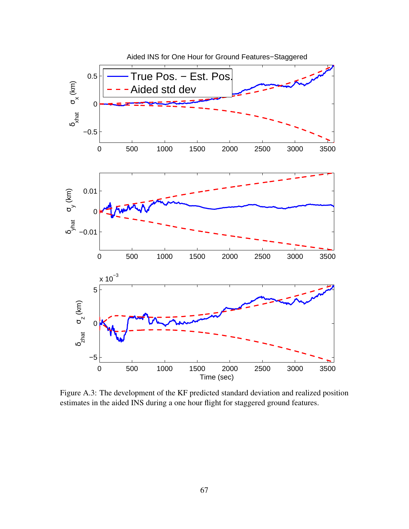

Figure A.3: The development of the KF predicted standard deviation and realized position estimates in the aided INS during a one hour flight for staggered ground features.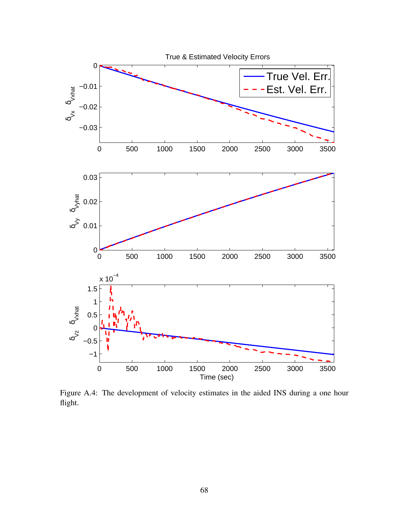

Figure A.4: The development of velocity estimates in the aided INS during a one hour flight.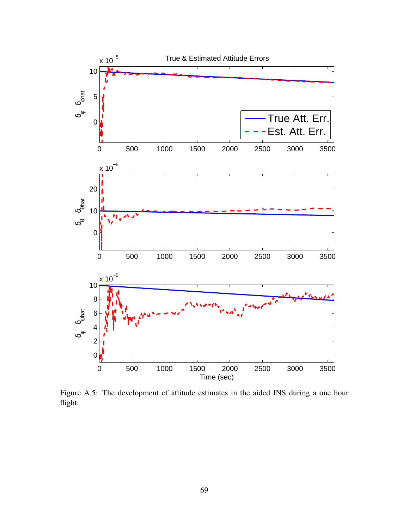

Figure A.5: The development of attitude estimates in the aided INS during a one hour flight.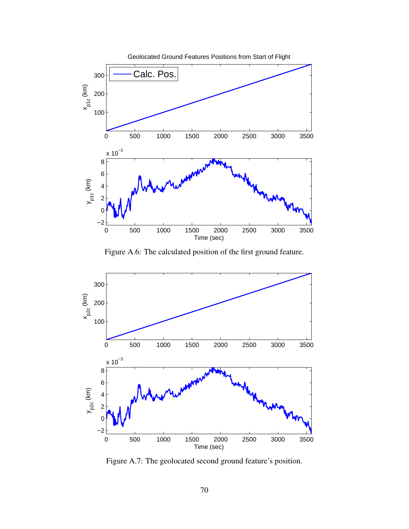

Figure A.6: The calculated position of the first ground feature.



Figure A.7: The geolocated second ground feature's position.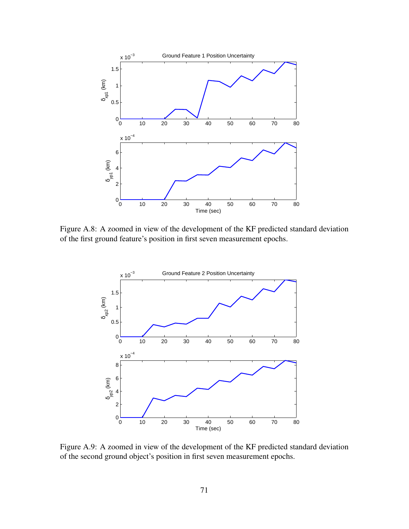

Figure A.8: A zoomed in view of the development of the KF predicted standard deviation of the first ground feature's position in first seven measurement epochs.



Figure A.9: A zoomed in view of the development of the KF predicted standard deviation of the second ground object's position in first seven measurement epochs.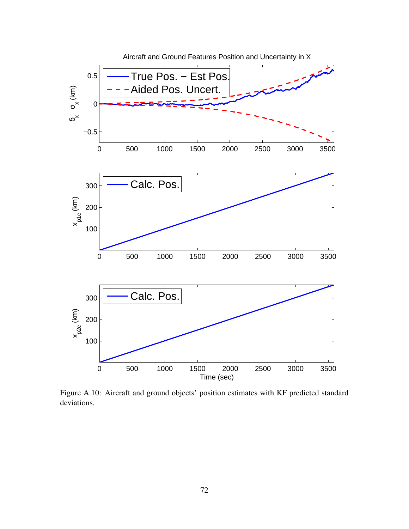

Figure A.10: Aircraft and ground objects' position estimates with KF predicted standard deviations.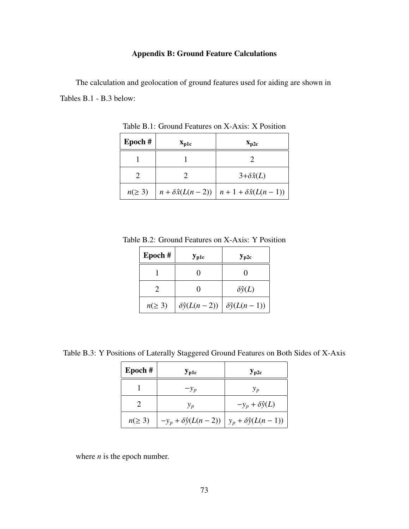# Appendix B: Ground Feature Calculations

The calculation and geolocation of ground features used for aiding are shown in Tables B.1 - B.3 below:

| $Epoch$ #   | $\mathbf{x}_{\text{p1c}}$ | $\mathbf{x}_{\text{p2c}}$                                        |  |
|-------------|---------------------------|------------------------------------------------------------------|--|
|             |                           |                                                                  |  |
|             |                           | $3+\delta \hat{x}(L)$                                            |  |
| $n(\geq 3)$ |                           | $n + \delta \hat{x}(L(n-2)) \mid n + 1 + \delta \hat{x}(L(n-1))$ |  |

Table B.1: Ground Features on X-Axis: X Position

Table B.2: Ground Features on X-Axis: Y Position

| Epoch#      | $\mathbf{y}_{\text{p1c}}$ | $y_{\text{p2c}}$         |
|-------------|---------------------------|--------------------------|
|             | $\mathbf{\Omega}$         | 0                        |
|             | $\mathbf{\Omega}$         | $\delta \hat{y}(L)$      |
| $n(\geq 3)$ | $\delta \hat{y}(L(n-2))$  | $\delta \hat{y}(L(n-1))$ |

Table B.3: Y Positions of Laterally Staggered Ground Features on Both Sides of X-Axis

| Epoch#      | $\mathbf{y}_{\text{p1c}}$                                      | $y_{\rm p2c}$              |
|-------------|----------------------------------------------------------------|----------------------------|
|             | $-y_p$                                                         | $y_p$                      |
|             | $y_p$                                                          | $-y_p + \delta \hat{y}(L)$ |
| $n(\geq 3)$ | $-y_p + \delta \hat{y}(L(n-2))   y_p + \delta \hat{y}(L(n-1))$ |                            |

where *n* is the epoch number.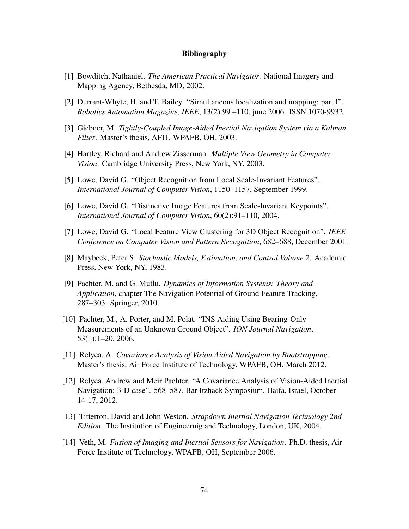#### Bibliography

- [1] Bowditch, Nathaniel. *The American Practical Navigator*. National Imagery and Mapping Agency, Bethesda, MD, 2002.
- [2] Durrant-Whyte, H. and T. Bailey. "Simultaneous localization and mapping: part I". *Robotics Automation Magazine, IEEE*, 13(2):99 –110, june 2006. ISSN 1070-9932.
- [3] Giebner, M. *Tightly-Coupled Image-Aided Inertial Navigation System via a Kalman Filter*. Master's thesis, AFIT, WPAFB, OH, 2003.
- [4] Hartley, Richard and Andrew Zisserman. *Multiple View Geometry in Computer Vision*. Cambridge University Press, New York, NY, 2003.
- [5] Lowe, David G. "Object Recognition from Local Scale-Invariant Features". *International Journal of Computer Vision*, 1150–1157, September 1999.
- [6] Lowe, David G. "Distinctive Image Features from Scale-Invariant Keypoints". *International Journal of Computer Vision*, 60(2):91–110, 2004.
- [7] Lowe, David G. "Local Feature View Clustering for 3D Object Recognition". *IEEE Conference on Computer Vision and Pattern Recognition*, 682–688, December 2001.
- [8] Maybeck, Peter S. *Stochastic Models, Estimation, and Control Volume 2*. Academic Press, New York, NY, 1983.
- [9] Pachter, M. and G. Mutlu. *Dynamics of Information Systems: Theory and Application*, chapter The Navigation Potential of Ground Feature Tracking, 287–303. Springer, 2010.
- [10] Pachter, M., A. Porter, and M. Polat. "INS Aiding Using Bearing-Only Measurements of an Unknown Ground Object". *ION Journal Navigation*, 53(1):1–20, 2006.
- [11] Relyea, A. *Covariance Analysis of Vision Aided Navigation by Bootstrapping*. Master's thesis, Air Force Institute of Technology, WPAFB, OH, March 2012.
- [12] Relyea, Andrew and Meir Pachter. "A Covariance Analysis of Vision-Aided Inertial Navigation: 3-D case". 568–587. Bar Itzhack Symposium, Haifa, Israel, October 14-17, 2012.
- [13] Titterton, David and John Weston. *Strapdown Inertial Navigation Technology 2nd Edition*. The Institution of Engineernig and Technology, London, UK, 2004.
- [14] Veth, M. *Fusion of Imaging and Inertial Sensors for Navigation*. Ph.D. thesis, Air Force Institute of Technology, WPAFB, OH, September 2006.